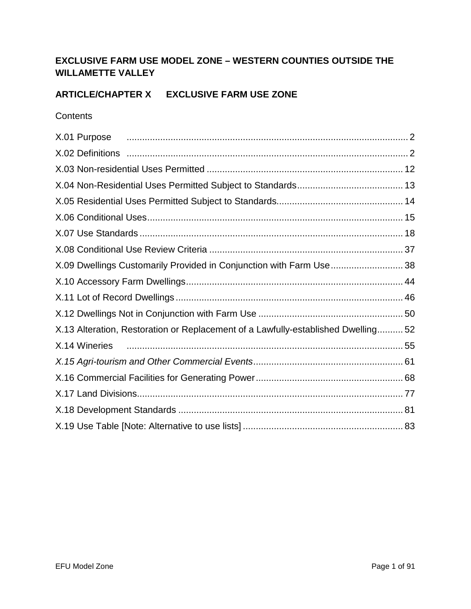## **EXCLUSIVE FARM USE MODEL ZONE – WESTERN COUNTIES OUTSIDE THE WILLAMETTE VALLEY**

## **ARTICLE/CHAPTER X EXCLUSIVE FARM USE ZONE**

### **Contents**

| X.01 Purpose <i>manual content content content de la contenta de la contenta de la contenta de la contenta de la contenta de la contenta de la contenta de la contenta de la contenta de la contenta de la contenta de la conten</i> |  |
|--------------------------------------------------------------------------------------------------------------------------------------------------------------------------------------------------------------------------------------|--|
|                                                                                                                                                                                                                                      |  |
|                                                                                                                                                                                                                                      |  |
|                                                                                                                                                                                                                                      |  |
|                                                                                                                                                                                                                                      |  |
|                                                                                                                                                                                                                                      |  |
|                                                                                                                                                                                                                                      |  |
|                                                                                                                                                                                                                                      |  |
| X.09 Dwellings Customarily Provided in Conjunction with Farm Use 38                                                                                                                                                                  |  |
|                                                                                                                                                                                                                                      |  |
|                                                                                                                                                                                                                                      |  |
|                                                                                                                                                                                                                                      |  |
| X.13 Alteration, Restoration or Replacement of a Lawfully-established Dwelling52                                                                                                                                                     |  |
| X.14 Wineries                                                                                                                                                                                                                        |  |
|                                                                                                                                                                                                                                      |  |
|                                                                                                                                                                                                                                      |  |
|                                                                                                                                                                                                                                      |  |
|                                                                                                                                                                                                                                      |  |
|                                                                                                                                                                                                                                      |  |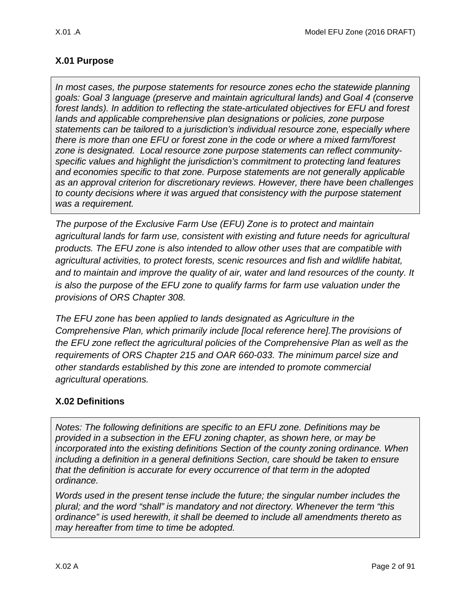# <span id="page-1-0"></span>**X.01 Purpose**

*In most cases, the purpose statements for resource zones echo the statewide planning goals: Goal 3 language (preserve and maintain agricultural lands) and Goal 4 (conserve forest lands). In addition to reflecting the state-articulated objectives for EFU and forest lands and applicable comprehensive plan designations or policies, zone purpose statements can be tailored to a jurisdiction's individual resource zone, especially where there is more than one EFU or forest zone in the code or where a mixed farm/forest zone is designated. Local resource zone purpose statements can reflect communityspecific values and highlight the jurisdiction's commitment to protecting land features and economies specific to that zone. Purpose statements are not generally applicable as an approval criterion for discretionary reviews. However, there have been challenges to county decisions where it was argued that consistency with the purpose statement was a requirement.* 

*The purpose of the Exclusive Farm Use (EFU) Zone is to protect and maintain agricultural lands for farm use, consistent with existing and future needs for agricultural products. The EFU zone is also intended to allow other uses that are compatible with agricultural activities, to protect forests, scenic resources and fish and wildlife habitat, and to maintain and improve the quality of air, water and land resources of the county. It is also the purpose of the EFU zone to qualify farms for farm use valuation under the provisions of ORS Chapter 308.*

*The EFU zone has been applied to lands designated as Agriculture in the Comprehensive Plan, which primarily include [local reference here].The provisions of the EFU zone reflect the agricultural policies of the Comprehensive Plan as well as the requirements of ORS Chapter 215 and OAR 660-033. The minimum parcel size and other standards established by this zone are intended to promote commercial agricultural operations.*

## <span id="page-1-1"></span>**X.02 Definitions**

*Notes: The following definitions are specific to an EFU zone. Definitions may be provided in a subsection in the EFU zoning chapter, as shown here, or may be incorporated into the existing definitions Section of the county zoning ordinance. When including a definition in a general definitions Section, care should be taken to ensure that the definition is accurate for every occurrence of that term in the adopted ordinance.* 

*Words used in the present tense include the future; the singular number includes the plural; and the word "shall" is mandatory and not directory. Whenever the term "this ordinance" is used herewith, it shall be deemed to include all amendments thereto as may hereafter from time to time be adopted.*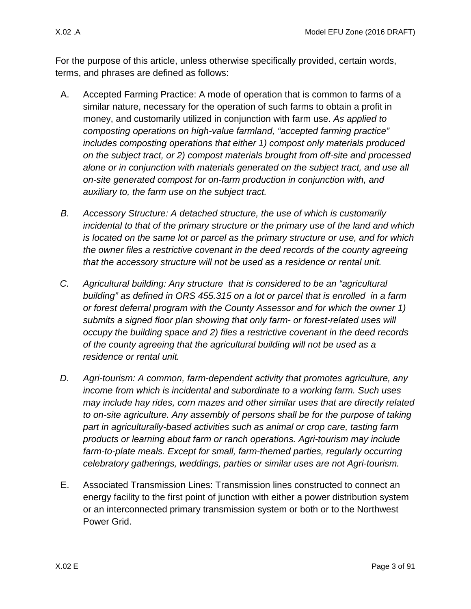For the purpose of this article, unless otherwise specifically provided, certain words, terms, and phrases are defined as follows:

- A. Accepted Farming Practice: A mode of operation that is common to farms of a similar nature, necessary for the operation of such farms to obtain a profit in money, and customarily utilized in conjunction with farm use. *As applied to composting operations on high-value farmland, "accepted farming practice" includes composting operations that either 1) compost only materials produced on the subject tract, or 2) compost materials brought from off-site and processed alone or in conjunction with materials generated on the subject tract, and use all on-site generated compost for on-farm production in conjunction with, and auxiliary to, the farm use on the subject tract.*
- *B. Accessory Structure: A detached structure, the use of which is customarily incidental to that of the primary structure or the primary use of the land and which is located on the same lot or parcel as the primary structure or use, and for which the owner files a restrictive covenant in the deed records of the county agreeing that the accessory structure will not be used as a residence or rental unit.*
- *C. Agricultural building: Any structure that is considered to be an "agricultural building" as defined in ORS 455.315 on a lot or parcel that is enrolled in a farm or forest deferral program with the County Assessor and for which the owner 1) submits a signed floor plan showing that only farm- or forest-related uses will occupy the building space and 2) files a restrictive covenant in the deed records of the county agreeing that the agricultural building will not be used as a residence or rental unit.*
- *D. Agri-tourism: A common, farm-dependent activity that promotes agriculture, any income from which is incidental and subordinate to a working farm. Such uses may include hay rides, corn mazes and other similar uses that are directly related to on-site agriculture. Any assembly of persons shall be for the purpose of taking part in agriculturally-based activities such as animal or crop care, tasting farm products or learning about farm or ranch operations. Agri-tourism may include*  farm-to-plate meals. Except for small, farm-themed parties, regularly occurring *celebratory gatherings, weddings, parties or similar uses are not Agri-tourism.*
- E. Associated Transmission Lines: Transmission lines constructed to connect an energy facility to the first point of junction with either a power distribution system or an interconnected primary transmission system or both or to the Northwest Power Grid.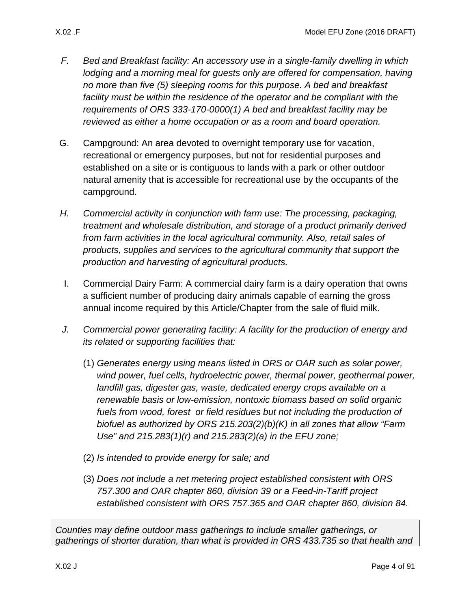- *F. Bed and Breakfast facility: An accessory use in a single-family dwelling in which lodging and a morning meal for guests only are offered for compensation, having no more than five (5) sleeping rooms for this purpose. A bed and breakfast*  facility must be within the residence of the operator and be compliant with the *requirements of ORS 333-170-0000(1) A bed and breakfast facility may be reviewed as either a home occupation or as a room and board operation.*
- G. Campground: An area devoted to overnight temporary use for vacation, recreational or emergency purposes, but not for residential purposes and established on a site or is contiguous to lands with a park or other outdoor natural amenity that is accessible for recreational use by the occupants of the campground.
- *H. Commercial activity in conjunction with farm use: The processing, packaging, treatment and wholesale distribution, and storage of a product primarily derived from farm activities in the local agricultural community. Also, retail sales of products, supplies and services to the agricultural community that support the production and harvesting of agricultural products.*
- I. Commercial Dairy Farm: A commercial dairy farm is a dairy operation that owns a sufficient number of producing dairy animals capable of earning the gross annual income required by this Article/Chapter from the sale of fluid milk.
- *J. Commercial power generating facility: A facility for the production of energy and its related or supporting facilities that:* 
	- (1) *Generates energy using means listed in ORS or OAR such as solar power, wind power, fuel cells, hydroelectric power, thermal power, geothermal power,*  landfill gas, digester gas, waste, dedicated energy crops available on a *renewable basis or low-emission, nontoxic biomass based on solid organic fuels from wood, forest or field residues but not including the production of biofuel as authorized by ORS 215.203(2)(b)(K) in all zones that allow "Farm Use" and 215.283(1)(r) and 215.283(2)(a) in the EFU zone;*
	- (2) *Is intended to provide energy for sale; and*
	- (3) *Does not include a net metering project established consistent with ORS 757.300 and OAR chapter 860, division 39 or a Feed-in-Tariff project established consistent with ORS 757.365 and OAR chapter 860, division 84.*

*Counties may define outdoor mass gatherings to include smaller gatherings, or gatherings of shorter duration, than what is provided in ORS 433.735 so that health and*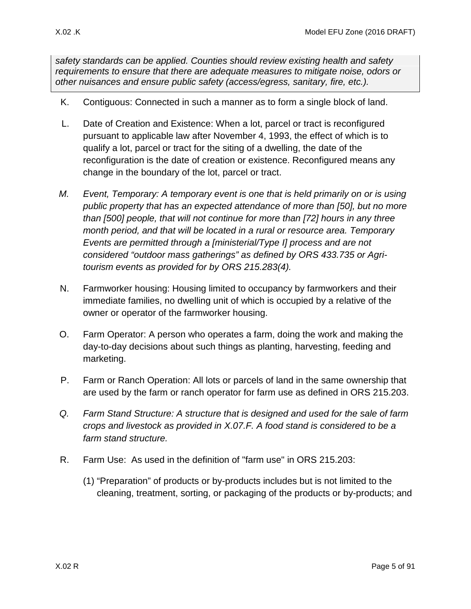*safety standards can be applied. Counties should review existing health and safety requirements to ensure that there are adequate measures to mitigate noise, odors or other nuisances and ensure public safety (access/egress, sanitary, fire, etc.).* 

- K. Contiguous: Connected in such a manner as to form a single block of land.
- L. Date of Creation and Existence: When a lot, parcel or tract is reconfigured pursuant to applicable law after November 4, 1993, the effect of which is to qualify a lot, parcel or tract for the siting of a dwelling, the date of the reconfiguration is the date of creation or existence. Reconfigured means any change in the boundary of the lot, parcel or tract.
- *M. Event, Temporary: A temporary event is one that is held primarily on or is using public property that has an expected attendance of more than [50], but no more than [500] people, that will not continue for more than [72] hours in any three month period, and that will be located in a rural or resource area. Temporary Events are permitted through a [ministerial/Type I] process and are not considered "outdoor mass gatherings" as defined by ORS 433.735 or Agritourism events as provided for by ORS 215.283(4).*
- N. Farmworker housing: Housing limited to occupancy by farmworkers and their immediate families, no dwelling unit of which is occupied by a relative of the owner or operator of the farmworker housing.
- O. Farm Operator: A person who operates a farm, doing the work and making the day-to-day decisions about such things as planting, harvesting, feeding and marketing.
- P. Farm or Ranch Operation: All lots or parcels of land in the same ownership that are used by the farm or ranch operator for farm use as defined in ORS 215.203.
- *Q. Farm Stand Structure: A structure that is designed and used for the sale of farm crops and livestock as provided in X.07.F. A food stand is considered to be a farm stand structure.*
- R. Farm Use: As used in the definition of "farm use" in ORS 215.203:
	- (1) "Preparation" of products or by-products includes but is not limited to the cleaning, treatment, sorting, or packaging of the products or by-products; and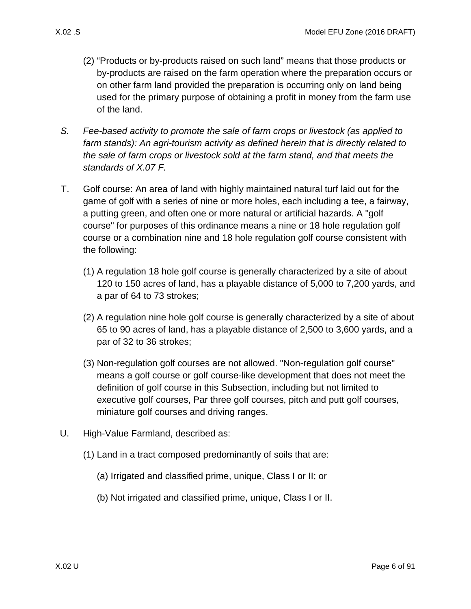- - (2) "Products or by-products raised on such land" means that those products or by-products are raised on the farm operation where the preparation occurs or on other farm land provided the preparation is occurring only on land being used for the primary purpose of obtaining a profit in money from the farm use of the land.
	- *S. Fee-based activity to promote the sale of farm crops or livestock (as applied to farm stands): An agri-tourism activity as defined herein that is directly related to the sale of farm crops or livestock sold at the farm stand, and that meets the standards of [X.07 F.](#page-19-0)*
	- T. Golf course: An area of land with highly maintained natural turf laid out for the game of golf with a series of nine or more holes, each including a tee, a fairway, a putting green, and often one or more natural or artificial hazards. A "golf course" for purposes of this ordinance means a nine or 18 hole regulation golf course or a combination nine and 18 hole regulation golf course consistent with the following:
		- (1) A regulation 18 hole golf course is generally characterized by a site of about 120 to 150 acres of land, has a playable distance of 5,000 to 7,200 yards, and a par of 64 to 73 strokes;
		- (2) A regulation nine hole golf course is generally characterized by a site of about 65 to 90 acres of land, has a playable distance of 2,500 to 3,600 yards, and a par of 32 to 36 strokes;
		- (3) Non-regulation golf courses are not allowed. "Non-regulation golf course" means a golf course or golf course-like development that does not meet the definition of golf course in this Subsection, including but not limited to executive golf courses, Par three golf courses, pitch and putt golf courses, miniature golf courses and driving ranges.
- <span id="page-5-0"></span>U. High-Value Farmland, described as:
	- (1) Land in a tract composed predominantly of soils that are:
		- (a) Irrigated and classified prime, unique, Class I or II; or
		- (b) Not irrigated and classified prime, unique, Class I or II.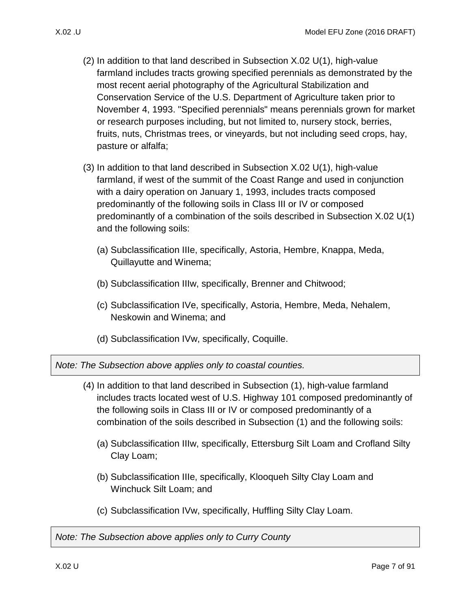- - (2) In addition to that land described in Subsection [X.02 U\(1\),](#page-5-0) high-value farmland includes tracts growing specified perennials as demonstrated by the most recent aerial photography of the Agricultural Stabilization and Conservation Service of the U.S. Department of Agriculture taken prior to November 4, 1993. "Specified perennials" means perennials grown for market or research purposes including, but not limited to, nursery stock, berries, fruits, nuts, Christmas trees, or vineyards, but not including seed crops, hay, pasture or alfalfa;
	- (3) In addition to that land described in Subsection [X.02 U\(1\),](#page-5-0) high-value farmland, if west of the summit of the Coast Range and used in conjunction with a dairy operation on January 1, 1993, includes tracts composed predominantly of the following soils in Class III or IV or composed predominantly of a combination of the soils described in Subsection [X.02 U\(1\)](#page-5-0) and the following soils:
		- (a) Subclassification IIIe, specifically, Astoria, Hembre, Knappa, Meda, Quillayutte and Winema;
		- (b) Subclassification IIIw, specifically, Brenner and Chitwood;
		- (c) Subclassification IVe, specifically, Astoria, Hembre, Meda, Nehalem, Neskowin and Winema; and
		- (d) Subclassification IVw, specifically, Coquille.

*Note: The Subsection above applies only to coastal counties.*

- (4) In addition to that land described in Subsection [\(1\),](#page-5-0) high-value farmland includes tracts located west of U.S. Highway 101 composed predominantly of the following soils in Class III or IV or composed predominantly of a combination of the soils described in Subsection [\(1\)](#page-5-0) and the following soils:
	- (a) Subclassification IIIw, specifically, Ettersburg Silt Loam and Crofland Silty Clay Loam;
	- (b) Subclassification IIIe, specifically, Klooqueh Silty Clay Loam and Winchuck Silt Loam; and
	- (c) Subclassification IVw, specifically, Huffling Silty Clay Loam.

*Note: The Subsection above applies only to Curry County*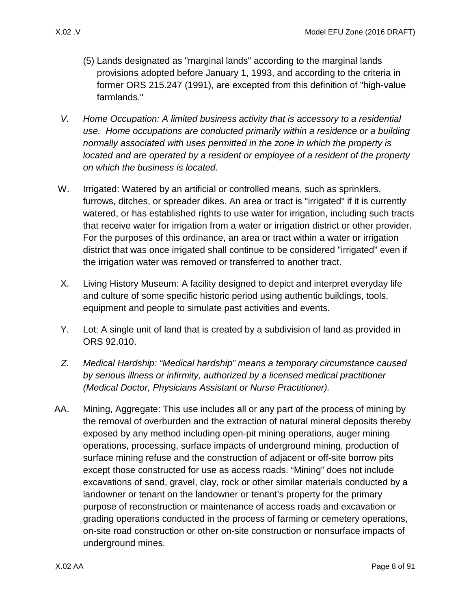- (5) Lands designated as "marginal lands" according to the marginal lands provisions adopted before January 1, 1993, and according to the criteria in former ORS 215.247 (1991), are excepted from this definition of "high-value farmlands."
- *V. Home Occupation: A limited business activity that is accessory to a residential use. Home occupations are conducted primarily within a residence or a building normally associated with uses permitted in the zone in which the property is located and are operated by a resident or employee of a resident of the property on which the business is located.*
- W. Irrigated: Watered by an artificial or controlled means, such as sprinklers, furrows, ditches, or spreader dikes. An area or tract is "irrigated" if it is currently watered, or has established rights to use water for irrigation, including such tracts that receive water for irrigation from a water or irrigation district or other provider. For the purposes of this ordinance, an area or tract within a water or irrigation district that was once irrigated shall continue to be considered "irrigated" even if the irrigation water was removed or transferred to another tract.
- X. Living History Museum: A facility designed to depict and interpret everyday life and culture of some specific historic period using authentic buildings, tools, equipment and people to simulate past activities and events.
- Y. Lot: A single unit of land that is created by a subdivision of land as provided in ORS 92.010.
- *Z. Medical Hardship: "Medical hardship" means a temporary circumstance caused by serious illness or infirmity, authorized by a licensed medical practitioner (Medical Doctor, Physicians Assistant or Nurse Practitioner).*
- AA. Mining, Aggregate: This use includes all or any part of the process of mining by the removal of overburden and the extraction of natural mineral deposits thereby exposed by any method including open-pit mining operations, auger mining operations, processing, surface impacts of underground mining, production of surface mining refuse and the construction of adjacent or off-site borrow pits except those constructed for use as access roads. "Mining" does not include excavations of sand, gravel, clay, rock or other similar materials conducted by a landowner or tenant on the landowner or tenant's property for the primary purpose of reconstruction or maintenance of access roads and excavation or grading operations conducted in the process of farming or cemetery operations, on-site road construction or other on-site construction or nonsurface impacts of underground mines.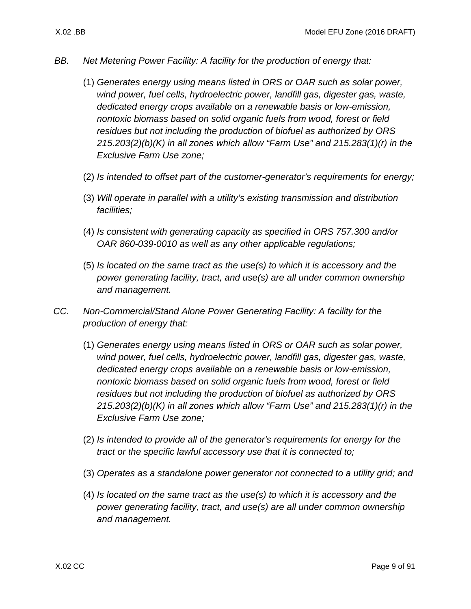- *BB. Net Metering Power Facility: A facility for the production of energy that:*
	- (1) *Generates energy using means listed in ORS or OAR such as solar power, wind power, fuel cells, hydroelectric power, landfill gas, digester gas, waste, dedicated energy crops available on a renewable basis or low-emission, nontoxic biomass based on solid organic fuels from wood, forest or field residues but not including the production of biofuel as authorized by ORS 215.203(2)(b)(K) in all zones which allow "Farm Use" and 215.283(1)(r) in the Exclusive Farm Use zone;*
	- (2) *Is intended to offset part of the customer-generator's requirements for energy;*
	- (3) *Will operate in parallel with a utility's existing transmission and distribution facilities;*
	- (4) *Is consistent with generating capacity as specified in ORS 757.300 and/or OAR 860-039-0010 as well as any other applicable regulations;*
	- (5) *Is located on the same tract as the use(s) to which it is accessory and the power generating facility, tract, and use(s) are all under common ownership and management.*
- *CC. Non-Commercial/Stand Alone Power Generating Facility: A facility for the production of energy that:*
	- (1) *Generates energy using means listed in ORS or OAR such as solar power, wind power, fuel cells, hydroelectric power, landfill gas, digester gas, waste, dedicated energy crops available on a renewable basis or low-emission, nontoxic biomass based on solid organic fuels from wood, forest or field residues but not including the production of biofuel as authorized by ORS 215.203(2)(b)(K) in all zones which allow "Farm Use" and 215.283(1)(r) in the Exclusive Farm Use zone;*
	- (2) *Is intended to provide all of the generator's requirements for energy for the tract or the specific lawful accessory use that it is connected to;*
	- (3) *Operates as a standalone power generator not connected to a utility grid; and*
	- (4) *Is located on the same tract as the use(s) to which it is accessory and the power generating facility, tract, and use(s) are all under common ownership and management.*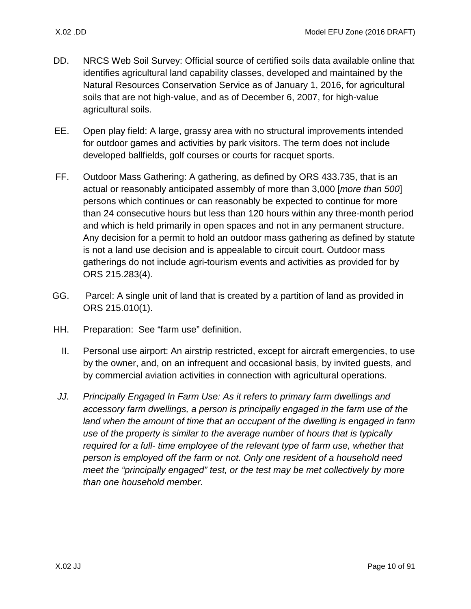- DD. NRCS Web Soil Survey: Official source of certified soils data available online that identifies agricultural land capability classes, developed and maintained by the Natural Resources Conservation Service as of January 1, 2016, for agricultural soils that are not high-value, and as of December 6, 2007, for high-value agricultural soils.
- EE. Open play field: A large, grassy area with no structural improvements intended for outdoor games and activities by park visitors. The term does not include developed ballfields, golf courses or courts for racquet sports.
- FF. Outdoor Mass Gathering: A gathering, as defined by ORS 433.735, that is an actual or reasonably anticipated assembly of more than 3,000 [*more than 500*] persons which continues or can reasonably be expected to continue for more than 24 consecutive hours but less than 120 hours within any three-month period and which is held primarily in open spaces and not in any permanent structure. Any decision for a permit to hold an outdoor mass gathering as defined by statute is not a land use decision and is appealable to circuit court. Outdoor mass gatherings do not include agri-tourism events and activities as provided for by ORS 215.283(4).
- GG. Parcel: A single unit of land that is created by a partition of land as provided in ORS 215.010(1).
- HH. Preparation: See "farm use" definition.
	- II. Personal use airport: An airstrip restricted, except for aircraft emergencies, to use by the owner, and, on an infrequent and occasional basis, by invited guests, and by commercial aviation activities in connection with agricultural operations.
- *JJ. Principally Engaged In Farm Use: As it refers to primary farm dwellings and accessory farm dwellings, a person is principally engaged in the farm use of the*  land when the amount of time that an occupant of the dwelling is engaged in farm *use of the property is similar to the average number of hours that is typically required for a full- time employee of the relevant type of farm use, whether that person is employed off the farm or not. Only one resident of a household need meet the "principally engaged" test, or the test may be met collectively by more than one household member.*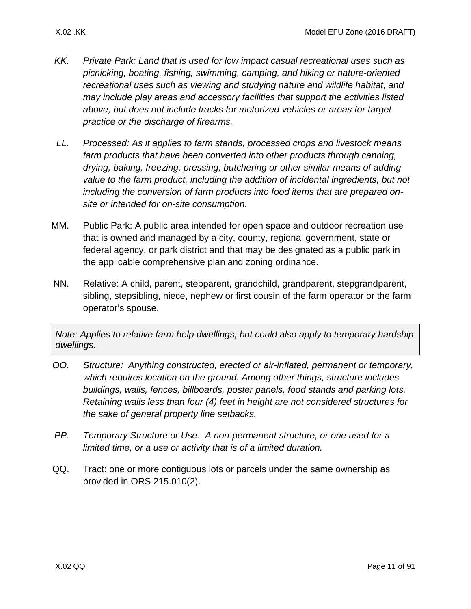- *KK. Private Park: Land that is used for low impact casual recreational uses such as picnicking, boating, fishing, swimming, camping, and hiking or nature-oriented recreational uses such as viewing and studying nature and wildlife habitat, and may include play areas and accessory facilities that support the activities listed above, but does not include tracks for motorized vehicles or areas for target practice or the discharge of firearms.*
- *LL. Processed: As it applies to farm stands, processed crops and livestock means farm products that have been converted into other products through canning, drying, baking, freezing, pressing, butchering or other similar means of adding value to the farm product, including the addition of incidental ingredients, but not including the conversion of farm products into food items that are prepared onsite or intended for on-site consumption.*
- MM. Public Park: A public area intended for open space and outdoor recreation use that is owned and managed by a city, county, regional government, state or federal agency, or park district and that may be designated as a public park in the applicable comprehensive plan and zoning ordinance.
- NN. Relative: A child, parent, stepparent, grandchild, grandparent, stepgrandparent, sibling, stepsibling, niece, nephew or first cousin of the farm operator or the farm operator's spouse.

*Note: Applies to relative farm help dwellings, but could also apply to temporary hardship dwellings.* 

- *OO. Structure: Anything constructed, erected or air-inflated, permanent or temporary, which requires location on the ground. Among other things, structure includes buildings, walls, fences, billboards, poster panels, food stands and parking lots. Retaining walls less than four (4) feet in height are not considered structures for the sake of general property line setbacks.*
- *PP. Temporary Structure or Use: A non-permanent structure, or one used for a limited time, or a use or activity that is of a limited duration.*
- QQ. Tract: one or more contiguous lots or parcels under the same ownership as provided in ORS 215.010(2).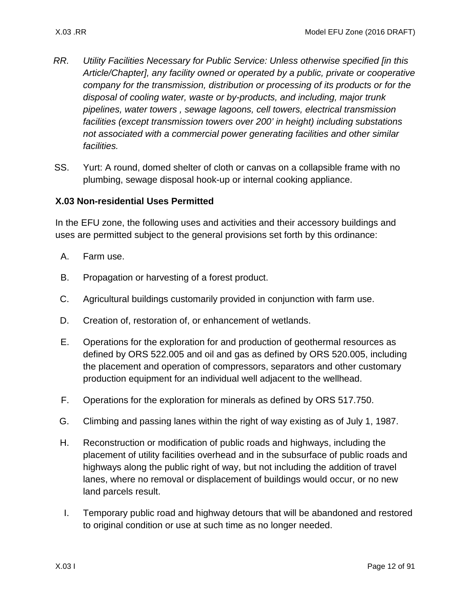- *RR. Utility Facilities Necessary for Public Service: Unless otherwise specified [in this Article/Chapter], any facility owned or operated by a public, private or cooperative company for the transmission, distribution or processing of its products or for the disposal of cooling water, waste or by-products, and including, major trunk pipelines, water towers , sewage lagoons, cell towers, electrical transmission facilities (except transmission towers over 200' in height) including substations not associated with a commercial power generating facilities and other similar facilities.*
- SS. Yurt: A round, domed shelter of cloth or canvas on a collapsible frame with no plumbing, sewage disposal hook-up or internal cooking appliance.

### <span id="page-11-0"></span>**X.03 Non-residential Uses Permitted**

In the EFU zone, the following uses and activities and their accessory buildings and uses are permitted subject to the general provisions set forth by this ordinance:

- A. Farm use.
- B. Propagation or harvesting of a forest product.
- C. Agricultural buildings customarily provided in conjunction with farm use.
- D. Creation of, restoration of, or enhancement of wetlands.
- E. Operations for the exploration for and production of geothermal resources as defined by ORS 522.005 and oil and gas as defined by ORS 520.005, including the placement and operation of compressors, separators and other customary production equipment for an individual well adjacent to the wellhead.
- F. Operations for the exploration for minerals as defined by ORS 517.750.
- G. Climbing and passing lanes within the right of way existing as of July 1, 1987.
- H. Reconstruction or modification of public roads and highways, including the placement of utility facilities overhead and in the subsurface of public roads and highways along the public right of way, but not including the addition of travel lanes, where no removal or displacement of buildings would occur, or no new land parcels result.
- I. Temporary public road and highway detours that will be abandoned and restored to original condition or use at such time as no longer needed.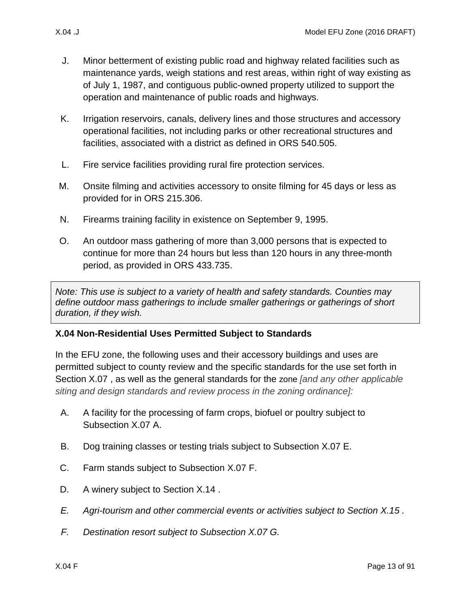- J. Minor betterment of existing public road and highway related facilities such as maintenance yards, weigh stations and rest areas, within right of way existing as of July 1, 1987, and contiguous public-owned property utilized to support the operation and maintenance of public roads and highways.
- K. Irrigation reservoirs, canals, delivery lines and those structures and accessory operational facilities, not including parks or other recreational structures and facilities, associated with a district as defined in ORS 540.505.
- L. Fire service facilities providing rural fire protection services.
- M. Onsite filming and activities accessory to onsite filming for 45 days or less as provided for in ORS 215.306.
- N. Firearms training facility in existence on September 9, 1995.
- O. An outdoor mass gathering of more than 3,000 persons that is expected to continue for more than 24 hours but less than 120 hours in any three-month period, as provided in ORS 433.735.

*Note: This use is subject to a variety of health and safety standards. Counties may define outdoor mass gatherings to include smaller gatherings or gatherings of short duration, if they wish.*

## <span id="page-12-0"></span>**X.04 Non-Residential Uses Permitted Subject to Standards**

In the EFU zone, the following uses and their accessory buildings and uses are permitted subject to county review and the specific standards for the use set forth in Section [X.07 ,](#page-17-0) as well as the general standards for the zone *[and any other applicable siting and design standards and review process in the zoning ordinance]:*

- <span id="page-12-2"></span>A. A facility for the processing of farm crops, biofuel or poultry subject to Subsection [X.07 A.](#page-18-0)
- <span id="page-12-1"></span>B. Dog training classes or testing trials subject to Subsection [X.07 E.](#page-19-1)
- C. Farm stands subject to Subsection [X.07 F.](#page-19-0)
- D. A winery subject to Section X.14.
- *E. Agri-tourism and other commercial events or activities subject to Section [X.15 .](#page-60-0)*
- *F. Destination resort subject to Subsection [X.07 G.](#page-22-0)*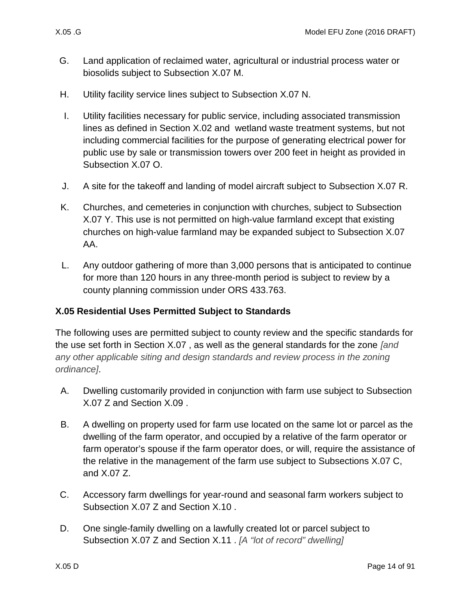- G. Land application of reclaimed water, agricultural or industrial process water or biosolids subject to Subsection [X.07 M.](#page-26-0)
- H. Utility facility service lines subject to Subsection [X.07 N.](#page-26-1)
- I. Utility facilities necessary for public service, including associated transmission lines as defined in Section [X.02 a](#page-1-1)nd wetland waste treatment systems, but not including commercial facilities for the purpose of generating electrical power for public use by sale or transmission towers over 200 feet in height as provided in Subsection [X.07 O.](#page-26-2)
- J. A site for the takeoff and landing of model aircraft subject to Subsection [X.07 R.](#page-32-0)
- K. Churches, and cemeteries in conjunction with churches, subject to Subsection [X.07 Y.](#page-35-0) This use is not permitted on high-value farmland except that existing churches on high-value farmland may be expanded subject to Subsection [X.07](#page-36-1)  [AA.](#page-36-1)
- L. Any outdoor gathering of more than 3,000 persons that is anticipated to continue for more than 120 hours in any three-month period is subject to review by a county planning commission under ORS 433.763.

## <span id="page-13-0"></span>**X.05 Residential Uses Permitted Subject to Standards**

The following uses are permitted subject to county review and the specific standards for the use set forth in Section [X.07 ,](#page-17-0) as well as the general standards for the zone *[and any other applicable siting and design standards and review process in the zoning ordinance]*.

- A. Dwelling customarily provided in conjunction with farm use subject to Subsection [X.07 Z](#page-36-2) and Section [X.09 .](#page-37-0)
- B. A dwelling on property used for farm use located on the same lot or parcel as the dwelling of the farm operator, and occupied by a relative of the farm operator or farm operator's spouse if the farm operator does, or will, require the assistance of the relative in the management of the farm use subject to Subsections [X.07 C,](#page-18-1) and [X.07 Z.](#page-36-2)
- C. Accessory farm dwellings for year-round and seasonal farm workers subject to Subsection [X.07 Z](#page-36-2) and Section [X.10 .](#page-43-0)
- D. One single-family dwelling on a lawfully created lot or parcel subject to Subsection [X.07 Z](#page-36-2) and Section [X.11 .](#page-45-0) *[A "lot of record" dwelling]*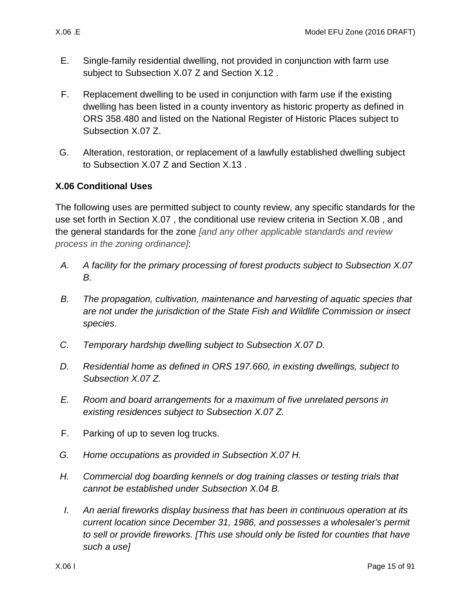- E. Single-family residential dwelling, not provided in conjunction with farm use subject to Subsection [X.07 Z](#page-36-2) and Section [X.12 .](#page-49-0)
- F. Replacement dwelling to be used in conjunction with farm use if the existing dwelling has been listed in a county inventory as historic property as defined in ORS 358.480 and listed on the National Register of Historic Places subject to Subsection [X.07 Z.](#page-36-2)
- <span id="page-14-1"></span>G. Alteration, restoration, or replacement of a lawfully established dwelling subject to Subsection [X.07 Z](#page-36-2) and Section [X.13 .](#page-51-0)

### <span id="page-14-0"></span>**X.06 Conditional Uses**

The following uses are permitted subject to county review, any specific standards for the use set forth in Section [X.07 ,](#page-17-0) the conditional use review criteria in Section [X.08 ,](#page-36-0) and the general standards for the zone *[and any other applicable standards and review process in the zoning ordinance]*:

- *A. A facility for the primary processing of forest products subject to Subsection [X.07](#page-18-2)  [B.](#page-18-2)*
- *B. The propagation, cultivation, maintenance and harvesting of aquatic species that are not under the jurisdiction of the State Fish and Wildlife Commission or insect species.*
- *C. Temporary hardship dwelling subject to Subsection [X.07 D.](#page-18-3)*
- *D. Residential home as defined in ORS 197.660, in existing dwellings, subject to Subsection [X.07 Z.](#page-36-2)*
- *E. Room and board arrangements for a maximum of five unrelated persons in existing residences subject to Subsection [X.07 Z.](#page-36-2)*
- F. Parking of up to seven log trucks.
- *G. Home occupations as provided in Subsection [X.07 H.](#page-22-1)*
- *H. Commercial dog boarding kennels or dog training classes or testing trials that cannot be established under Subsection [X.04 B.](#page-12-1)*
- *I. An aerial fireworks display business that has been in continuous operation at its current location since December 31, 1986, and possesses a wholesaler's permit to sell or provide fireworks. [This use should only be listed for counties that have such a use]*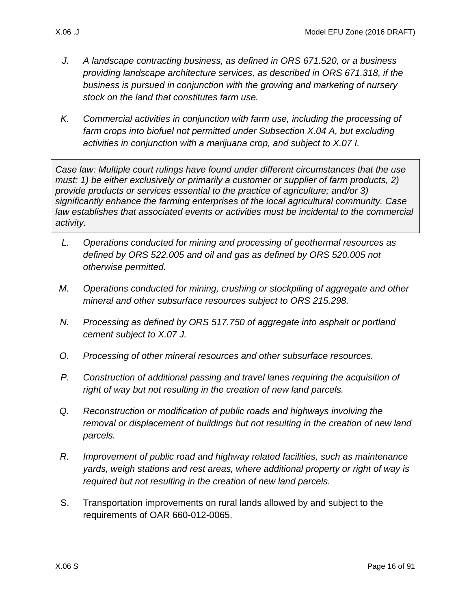- *J. A landscape contracting business, as defined in ORS 671.520, or a business providing landscape architecture services, as described in ORS 671.318, if the business is pursued in conjunction with the growing and marketing of nursery stock on the land that constitutes farm use.*
- *K. Commercial activities in conjunction with farm use, including the processing of farm crops into biofuel not permitted under Subsection [X.04 A,](#page-12-2) but excluding activities in conjunction with a marijuana crop, and subject to [X.07 I.](#page-25-0)*

*Case law: Multiple court rulings have found under different circumstances that the use must: 1) be either exclusively or primarily a customer or supplier of farm products, 2) provide products or services essential to the practice of agriculture; and/or 3) significantly enhance the farming enterprises of the local agricultural community. Case law establishes that associated events or activities must be incidental to the commercial activity.*

- *L. Operations conducted for mining and processing of geothermal resources as defined by ORS 522.005 and oil and gas as defined by ORS 520.005 not otherwise permitted.*
- *M. Operations conducted for mining, crushing or stockpiling of aggregate and other mineral and other subsurface resources subject to ORS 215.298.*
- *N. Processing as defined by ORS 517.750 of aggregate into asphalt or portland cement subject to [X.07 J.](#page-25-1)*
- *O. Processing of other mineral resources and other subsurface resources.*
- *P. Construction of additional passing and travel lanes requiring the acquisition of right of way but not resulting in the creation of new land parcels.*
- *Q. Reconstruction or modification of public roads and highways involving the removal or displacement of buildings but not resulting in the creation of new land parcels.*
- *R. Improvement of public road and highway related facilities, such as maintenance yards, weigh stations and rest areas, where additional property or right of way is required but not resulting in the creation of new land parcels.*
- S. Transportation improvements on rural lands allowed by and subject to the requirements of OAR 660-012-0065.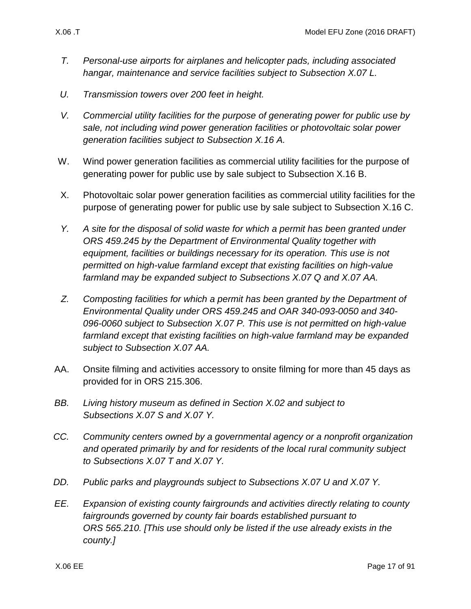- *T. Personal-use airports for airplanes and helicopter pads, including associated hangar, maintenance and service facilities subject to Subsection [X.07 L.](#page-26-3)*
- *U. Transmission towers over 200 feet in height.*
- *V. Commercial utility facilities for the purpose of generating power for public use by sale, not including wind power generation facilities or photovoltaic solar power generation facilities subject to Subsection [X.16 A.](#page-67-1)*
- W. Wind power generation facilities as commercial utility facilities for the purpose of generating power for public use by sale subject to Subsection [X.16 B.](#page-67-2)
- X. Photovoltaic solar power generation facilities as commercial utility facilities for the purpose of generating power for public use by sale subject to Subsection [X.16 C.](#page-70-0)
- *Y. A site for the disposal of solid waste for which a permit has been granted under ORS 459.245 by the Department of Environmental Quality together with equipment, facilities or buildings necessary for its operation. This use is not permitted on high-value farmland except that existing facilities on high-value farmland may be expanded subject to Subsections [X.07 Q](#page-30-0) and [X.07 AA.](#page-36-1)*
- *Z. Composting facilities for which a permit has been granted by the Department of Environmental Quality under ORS 459.245 and OAR 340-093-0050 and 340- 096-0060 subject to Subsection [X.07 P.](#page-29-0) This use is not permitted on high-value farmland except that existing facilities on high-value farmland may be expanded subject to Subsection [X.07 AA.](#page-36-1)*
- AA. Onsite filming and activities accessory to onsite filming for more than 45 days as provided for in ORS 215.306.
- *BB. Living history museum as defined in Section [X.02 a](#page-1-1)nd subject to Subsections [X.07 S](#page-32-1) and [X.07 Y.](#page-35-0)*
- *CC. Community centers owned by a governmental agency or a nonprofit organization and operated primarily by and for residents of the local rural community subject to Subsections [X.07 T](#page-32-2) and [X.07 Y.](#page-35-0)*
- *DD. Public parks and playgrounds subject to Subsections [X.07 U](#page-32-3) and [X.07 Y.](#page-35-0)*
- *EE. Expansion of existing county fairgrounds and activities directly relating to county fairgrounds governed by county fair boards established pursuant to ORS 565.210. [This use should only be listed if the use already exists in the county.]*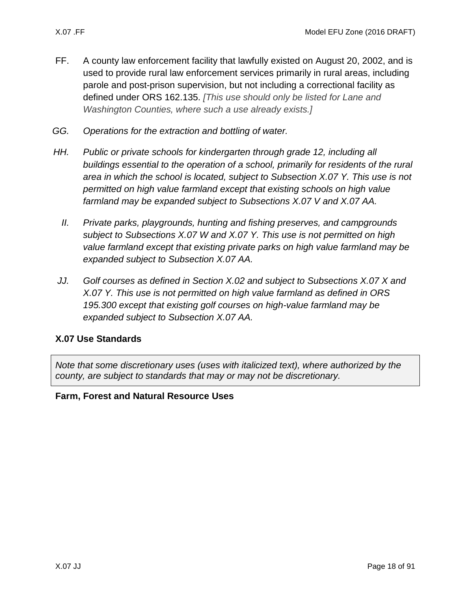- FF. A county law enforcement facility that lawfully existed on August 20, 2002, and is used to provide rural law enforcement services primarily in rural areas, including parole and post-prison supervision, but not including a correctional facility as defined under ORS 162.135. *[This use should only be listed for Lane and Washington Counties, where such a use already exists.]*
- *GG. Operations for the extraction and bottling of water.*
- *HH. Public or private schools for kindergarten through grade 12, including all buildings essential to the operation of a school, primarily for residents of the rural area in which the school is located, subject to Subsection [X.07 Y.](#page-35-0) This use is not permitted on high value farmland except that existing schools on high value farmland may be expanded subject to Subsections [X.07 V](#page-34-0) and [X.07 AA.](#page-36-1)*
	- *II. Private parks, playgrounds, hunting and fishing preserves, and campgrounds subject to Subsections [X.07 W](#page-34-1) and [X.07 Y.](#page-35-0) This use is not permitted on high value farmland except that existing private parks on high value farmland may be expanded subject to Subsection [X.07 AA.](#page-36-1)*
- *JJ. Golf courses as defined in Section [X.02 a](#page-1-1)nd subject to Subsections [X.07 X](#page-34-2) and [X.07 Y.](#page-35-0) This use is not permitted on high value farmland as defined in ORS 195.300 except that existing golf courses on high-value farmland may be expanded subject to Subsection [X.07 AA.](#page-36-1)*

### <span id="page-17-0"></span>**X.07 Use Standards**

*Note that some discretionary uses (uses with italicized text), where authorized by the county, are subject to standards that may or may not be discretionary.* 

#### **Farm, Forest and Natural Resource Uses**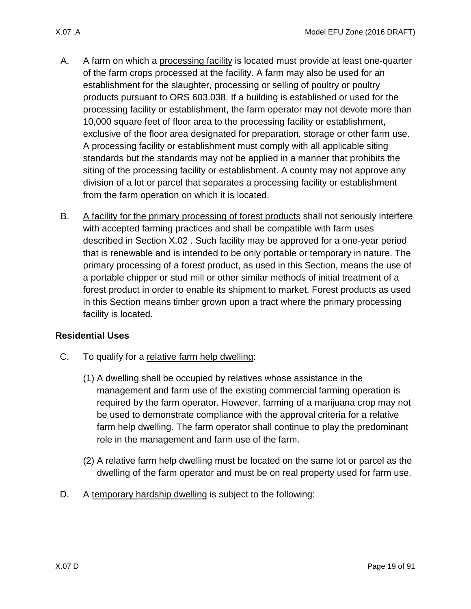- <span id="page-18-0"></span>A. A farm on which a processing facility is located must provide at least one-quarter of the farm crops processed at the facility. A farm may also be used for an establishment for the slaughter, processing or selling of poultry or poultry products pursuant to ORS 603.038. If a building is established or used for the processing facility or establishment, the farm operator may not devote more than 10,000 square feet of floor area to the processing facility or establishment, exclusive of the floor area designated for preparation, storage or other farm use. A processing facility or establishment must comply with all applicable siting standards but the standards may not be applied in a manner that prohibits the siting of the processing facility or establishment. A county may not approve any division of a lot or parcel that separates a processing facility or establishment from the farm operation on which it is located.
- <span id="page-18-2"></span>B. A facility for the primary processing of forest products shall not seriously interfere with accepted farming practices and shall be compatible with farm uses described in Section [X.02 .](#page-1-1) Such facility may be approved for a one-year period that is renewable and is intended to be only portable or temporary in nature. The primary processing of a forest product, as used in this Section, means the use of a portable chipper or stud mill or other similar methods of initial treatment of a forest product in order to enable its shipment to market. Forest products as used in this Section means timber grown upon a tract where the primary processing facility is located.

## **Residential Uses**

- <span id="page-18-1"></span>C. To qualify for a relative farm help dwelling:
	- (1) A dwelling shall be occupied by relatives whose assistance in the management and farm use of the existing commercial farming operation is required by the farm operator. However, farming of a marijuana crop may not be used to demonstrate compliance with the approval criteria for a relative farm help dwelling. The farm operator shall continue to play the predominant role in the management and farm use of the farm.
	- (2) A relative farm help dwelling must be located on the same lot or parcel as the dwelling of the farm operator and must be on real property used for farm use.
- <span id="page-18-3"></span>D. A temporary hardship dwelling is subject to the following: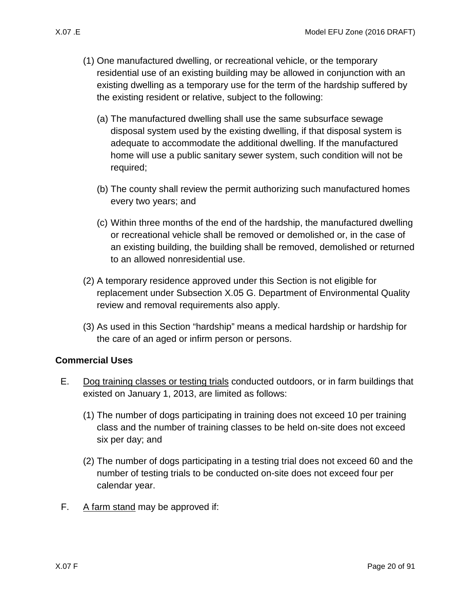- - (1) One manufactured dwelling, or recreational vehicle, or the temporary residential use of an existing building may be allowed in conjunction with an existing dwelling as a temporary use for the term of the hardship suffered by the existing resident or relative, subject to the following:
		- (a) The manufactured dwelling shall use the same subsurface sewage disposal system used by the existing dwelling, if that disposal system is adequate to accommodate the additional dwelling. If the manufactured home will use a public sanitary sewer system, such condition will not be required;
		- (b) The county shall review the permit authorizing such manufactured homes every two years; and
		- (c) Within three months of the end of the hardship, the manufactured dwelling or recreational vehicle shall be removed or demolished or, in the case of an existing building, the building shall be removed, demolished or returned to an allowed nonresidential use.
	- (2) A temporary residence approved under this Section is not eligible for replacement under Subsection [X.05 G.](#page-14-1) Department of Environmental Quality review and removal requirements also apply.
	- (3) As used in this Section "hardship" means a medical hardship or hardship for the care of an aged or infirm person or persons.

## **Commercial Uses**

- <span id="page-19-1"></span>E. Dog training classes or testing trials conducted outdoors, or in farm buildings that existed on January 1, 2013, are limited as follows:
	- (1) The number of dogs participating in training does not exceed 10 per training class and the number of training classes to be held on-site does not exceed six per day; and
	- (2) The number of dogs participating in a testing trial does not exceed 60 and the number of testing trials to be conducted on-site does not exceed four per calendar year.
- <span id="page-19-0"></span>F. A farm stand may be approved if: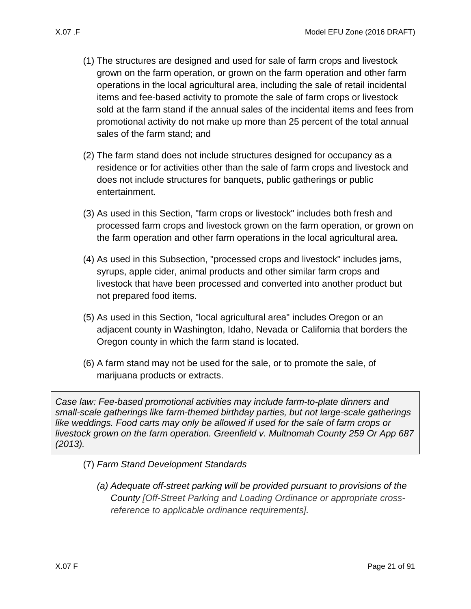- - (1) The structures are designed and used for sale of farm crops and livestock grown on the farm operation, or grown on the farm operation and other farm operations in the local agricultural area, including the sale of retail incidental items and fee-based activity to promote the sale of farm crops or livestock sold at the farm stand if the annual sales of the incidental items and fees from promotional activity do not make up more than 25 percent of the total annual sales of the farm stand; and
	- (2) The farm stand does not include structures designed for occupancy as a residence or for activities other than the sale of farm crops and livestock and does not include structures for banquets, public gatherings or public entertainment.
	- (3) As used in this Section, "farm crops or livestock" includes both fresh and processed farm crops and livestock grown on the farm operation, or grown on the farm operation and other farm operations in the local agricultural area.
	- (4) As used in this Subsection, "processed crops and livestock" includes jams, syrups, apple cider, animal products and other similar farm crops and livestock that have been processed and converted into another product but not prepared food items.
	- (5) As used in this Section, "local agricultural area" includes Oregon or an adjacent county in Washington, Idaho, Nevada or California that borders the Oregon county in which the farm stand is located.
	- (6) A farm stand may not be used for the sale, or to promote the sale, of marijuana products or extracts.

*Case law: Fee-based promotional activities may include farm-to-plate dinners and small-scale gatherings like farm-themed birthday parties, but not large-scale gatherings like weddings. Food carts may only be allowed if used for the sale of farm crops or livestock grown on the farm operation. Greenfield v. Multnomah County 259 Or App 687 (2013).*

- (7) *Farm Stand Development Standards*
	- *(a) Adequate off-street parking will be provided pursuant to provisions of the County [Off-Street Parking and Loading Ordinance or appropriate crossreference to applicable ordinance requirements].*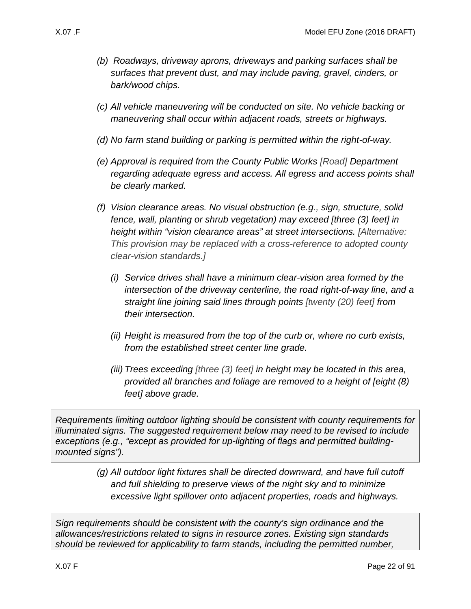- *(b) Roadways, driveway aprons, driveways and parking surfaces shall be surfaces that prevent dust, and may include paving, gravel, cinders, or bark/wood chips.*
- *(c) All vehicle maneuvering will be conducted on site. No vehicle backing or maneuvering shall occur within adjacent roads, streets or highways.*
- *(d) No farm stand building or parking is permitted within the right-of-way.*
- *(e) Approval is required from the County Public Works [Road] Department regarding adequate egress and access. All egress and access points shall be clearly marked.*
- *(f) Vision clearance areas. No visual obstruction (e.g., sign, structure, solid fence, wall, planting or shrub vegetation) may exceed [three (3) feet] in height within "vision clearance areas" at street intersections. [Alternative: This provision may be replaced with a cross-reference to adopted county clear-vision standards.]*
	- *(i) Service drives shall have a minimum clear-vision area formed by the intersection of the driveway centerline, the road right-of-way line, and a straight line joining said lines through points [twenty (20) feet] from their intersection.*
	- *(ii) Height is measured from the top of the curb or, where no curb exists, from the established street center line grade.*
	- *(iii) Trees exceeding [three (3) feet] in height may be located in this area, provided all branches and foliage are removed to a height of [eight (8) feet] above grade.*

*Requirements limiting outdoor lighting should be consistent with county requirements for illuminated signs. The suggested requirement below may need to be revised to include exceptions (e.g., "except as provided for up-lighting of flags and permitted buildingmounted signs").*

> *(g) All outdoor light fixtures shall be directed downward, and have full cutoff and full shielding to preserve views of the night sky and to minimize excessive light spillover onto adjacent properties, roads and highways.*

*Sign requirements should be consistent with the county's sign ordinance and the allowances/restrictions related to signs in resource zones. Existing sign standards should be reviewed for applicability to farm stands, including the permitted number,*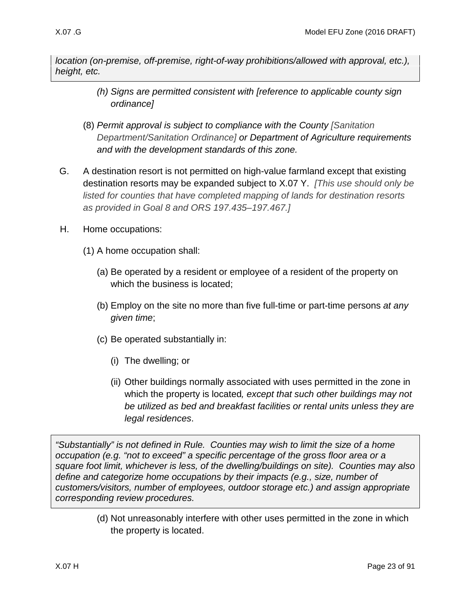*location (on-premise, off-premise, right-of-way prohibitions/allowed with approval, etc.), height, etc.*

- *(h) Signs are permitted consistent with [reference to applicable county sign ordinance]*
- (8) *Permit approval is subject to compliance with the County [Sanitation Department/Sanitation Ordinance] or Department of Agriculture requirements and with the development standards of this zone.*
- <span id="page-22-0"></span>G. A destination resort is not permitted on high-value farmland except that existing destination resorts may be expanded subject to [X.07 Y.](#page-35-0) *[This use should only be listed for counties that have completed mapping of lands for destination resorts as provided in Goal 8 and ORS 197.435–197.467.]*
- <span id="page-22-1"></span>H. Home occupations:
	- (1) A home occupation shall:
		- (a) Be operated by a resident or employee of a resident of the property on which the business is located;
		- (b) Employ on the site no more than five full-time or part-time persons *at any given time*;
		- (c) Be operated substantially in:
			- (i) The dwelling; or
			- (ii) Other buildings normally associated with uses permitted in the zone in which the property is located*, except that such other buildings may not be utilized as bed and breakfast facilities or rental units unless they are legal residences*.

<span id="page-22-2"></span>*"Substantially" is not defined in Rule. Counties may wish to limit the size of a home occupation (e.g. "not to exceed" a specific percentage of the gross floor area or a square foot limit, whichever is less, of the dwelling/buildings on site). Counties may also define and categorize home occupations by their impacts (e.g., size, number of customers/visitors, number of employees, outdoor storage etc.) and assign appropriate corresponding review procedures.*

> <span id="page-22-3"></span>(d) Not unreasonably interfere with other uses permitted in the zone in which the property is located.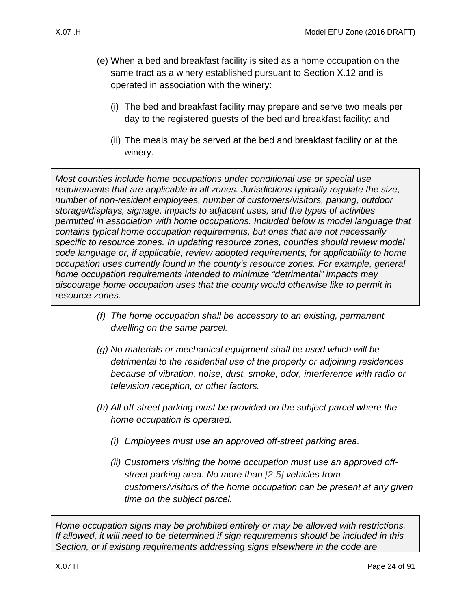- (e) When a bed and breakfast facility is sited as a home occupation on the same tract as a winery established pursuant to Section [X.12 a](#page-49-0)nd is operated in association with the winery:
	- (i) The bed and breakfast facility may prepare and serve two meals per day to the registered guests of the bed and breakfast facility; and
	- (ii) The meals may be served at the bed and breakfast facility or at the winery.

<span id="page-23-0"></span>*Most counties include home occupations under conditional use or special use requirements that are applicable in all zones. Jurisdictions typically regulate the size, number of non-resident employees, number of customers/visitors, parking, outdoor storage/displays, signage, impacts to adjacent uses, and the types of activities permitted in association with home occupations. Included below is model language that contains typical home occupation requirements, but ones that are not necessarily specific to resource zones. In updating resource zones, counties should review model code language or, if applicable, review adopted requirements, for applicability to home occupation uses currently found in the county's resource zones. For example, general home occupation requirements intended to minimize "detrimental" impacts may discourage home occupation uses that the county would otherwise like to permit in resource zones.*

- <span id="page-23-1"></span>*(f) The home occupation shall be accessory to an existing, permanent dwelling on the same parcel.*
- <span id="page-23-2"></span>*(g) No materials or mechanical equipment shall be used which will be detrimental to the residential use of the property or adjoining residences because of vibration, noise, dust, smoke, odor, interference with radio or television reception, or other factors.*
- *(h) All off-street parking must be provided on the subject parcel where the home occupation is operated.*
	- *(i) Employees must use an approved off-street parking area.*
	- *(ii) Customers visiting the home occupation must use an approved offstreet parking area. No more than [2-5] vehicles from customers/visitors of the home occupation can be present at any given time on the subject parcel.*

*Home occupation signs may be prohibited entirely or may be allowed with restrictions. If allowed, it will need to be determined if sign requirements should be included in this Section, or if existing requirements addressing signs elsewhere in the code are*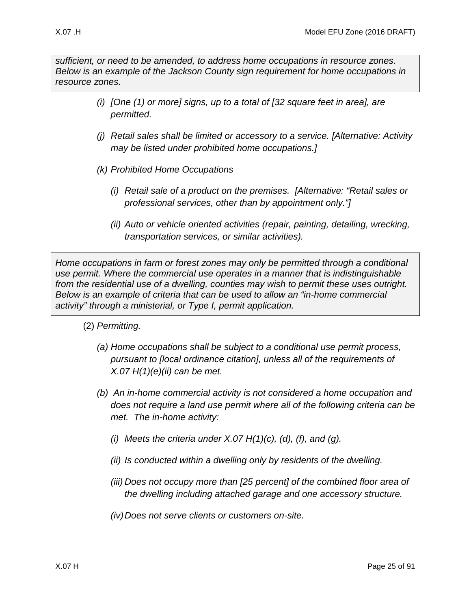*sufficient, or need to be amended, to address home occupations in resource zones. Below is an example of the Jackson County sign requirement for home occupations in resource zones.*

- *(i) [One (1) or more] signs, up to a total of [32 square feet in area], are permitted.*
- *(j) Retail sales shall be limited or accessory to a service. [Alternative: Activity may be listed under prohibited home occupations.]*
- *(k) Prohibited Home Occupations* 
	- *(i) Retail sale of a product on the premises. [Alternative: "Retail sales or professional services, other than by appointment only."]*
	- *(ii) Auto or vehicle oriented activities (repair, painting, detailing, wrecking, transportation services, or similar activities).*

*Home occupations in farm or forest zones may only be permitted through a conditional use permit. Where the commercial use operates in a manner that is indistinguishable from the residential use of a dwelling, counties may wish to permit these uses outright. Below is an example of criteria that can be used to allow an "in-home commercial activity" through a ministerial, or Type I, permit application.* 

- (2) *Permitting.* 
	- *(a) Home occupations shall be subject to a conditional use permit process, pursuant to [local ordinance citation], unless all of the requirements of [X.07 H\(1\)\(e\)\(ii\)](#page-23-0) can be met.*
	- *(b) An in-home commercial activity is not considered a home occupation and does not require a land use permit where all of the following criteria can be met. The in-home activity:*
		- *(i) Meets the criteria under [X.07 H\(1\)\(c\),](#page-22-2) [\(d\),](#page-22-3) [\(f\),](#page-23-1) and [\(g\).](#page-23-2)*
		- *(ii) Is conducted within a dwelling only by residents of the dwelling.*
		- *(iii) Does not occupy more than [25 percent] of the combined floor area of the dwelling including attached garage and one accessory structure.*
		- *(iv)Does not serve clients or customers on-site.*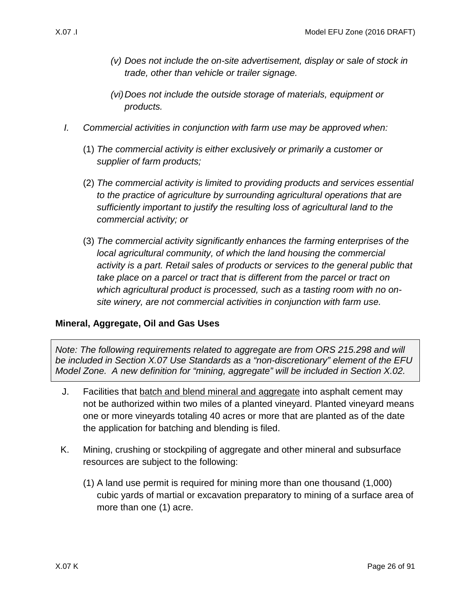- *(v) Does not include the on-site advertisement, display or sale of stock in trade, other than vehicle or trailer signage.*
- *(vi)Does not include the outside storage of materials, equipment or products.*
- <span id="page-25-0"></span>*I. Commercial activities in conjunction with farm use may be approved when:*
	- (1) *The commercial activity is either exclusively or primarily a customer or supplier of farm products;*
	- (2) *The commercial activity is limited to providing products and services essential to the practice of agriculture by surrounding agricultural operations that are sufficiently important to justify the resulting loss of agricultural land to the commercial activity; or*
	- (3) *The commercial activity significantly enhances the farming enterprises of the local agricultural community, of which the land housing the commercial activity is a part. Retail sales of products or services to the general public that take place on a parcel or tract that is different from the parcel or tract on which agricultural product is processed, such as a tasting room with no onsite winery, are not commercial activities in conjunction with farm use.*

### **Mineral, Aggregate, Oil and Gas Uses**

*Note: The following requirements related to aggregate are from ORS 215.298 and will be included in Section X.07 Use Standards as a "non-discretionary" element of the EFU Model Zone. A new definition for "mining, aggregate" will be included in Section X.02.*

- <span id="page-25-1"></span>J. Facilities that batch and blend mineral and aggregate into asphalt cement may not be authorized within two miles of a planted vineyard. Planted vineyard means one or more vineyards totaling 40 acres or more that are planted as of the date the application for batching and blending is filed.
- K. Mining, crushing or stockpiling of aggregate and other mineral and subsurface resources are subject to the following:
	- (1) A land use permit is required for mining more than one thousand (1,000) cubic yards of martial or excavation preparatory to mining of a surface area of more than one (1) acre.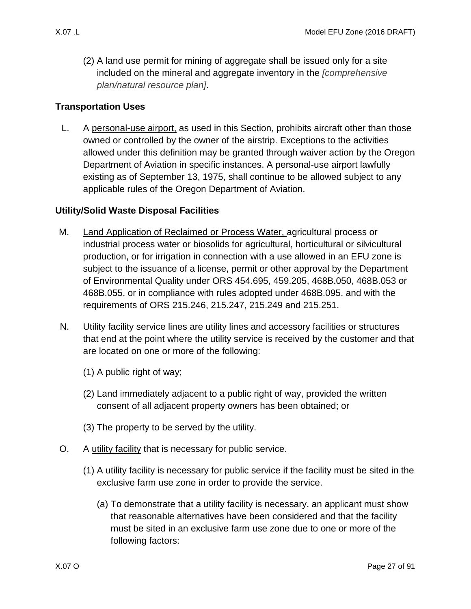(2) A land use permit for mining of aggregate shall be issued only for a site included on the mineral and aggregate inventory in the *[comprehensive plan/natural resource plan]*.

#### **Transportation Uses**

<span id="page-26-3"></span>L. A personal-use airport, as used in this Section, prohibits aircraft other than those owned or controlled by the owner of the airstrip. Exceptions to the activities allowed under this definition may be granted through waiver action by the Oregon Department of Aviation in specific instances. A personal-use airport lawfully existing as of September 13, 1975, shall continue to be allowed subject to any applicable rules of the Oregon Department of Aviation.

#### **Utility/Solid Waste Disposal Facilities**

- <span id="page-26-0"></span>M. Land Application of Reclaimed or Process Water, agricultural process or industrial process water or biosolids for agricultural, horticultural or silvicultural production, or for irrigation in connection with a use allowed in an EFU zone is subject to the issuance of a license, permit or other approval by the Department of Environmental Quality under ORS 454.695, 459.205, 468B.050, 468B.053 or 468B.055, or in compliance with rules adopted under 468B.095, and with the requirements of ORS 215.246, 215.247, 215.249 and 215.251.
- <span id="page-26-1"></span>N. Utility facility service lines are utility lines and accessory facilities or structures that end at the point where the utility service is received by the customer and that are located on one or more of the following:
	- (1) A public right of way;
	- (2) Land immediately adjacent to a public right of way, provided the written consent of all adjacent property owners has been obtained; or
	- (3) The property to be served by the utility.
- <span id="page-26-5"></span><span id="page-26-4"></span><span id="page-26-2"></span>O. A utility facility that is necessary for public service.
	- (1) A utility facility is necessary for public service if the facility must be sited in the exclusive farm use zone in order to provide the service.
		- (a) To demonstrate that a utility facility is necessary, an applicant must show that reasonable alternatives have been considered and that the facility must be sited in an exclusive farm use zone due to one or more of the following factors: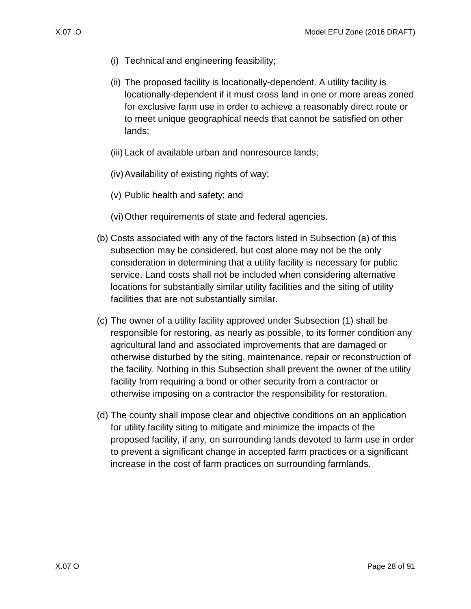- (i) Technical and engineering feasibility;
- (ii) The proposed facility is locationally-dependent. A utility facility is locationally-dependent if it must cross land in one or more areas zoned for exclusive farm use in order to achieve a reasonably direct route or to meet unique geographical needs that cannot be satisfied on other lands;
- (iii) Lack of available urban and nonresource lands;
- (iv)Availability of existing rights of way;
- (v) Public health and safety; and
- (vi)Other requirements of state and federal agencies.
- (b) Costs associated with any of the factors listed in Subsection [\(a\)](#page-26-4) of this subsection may be considered, but cost alone may not be the only consideration in determining that a utility facility is necessary for public service. Land costs shall not be included when considering alternative locations for substantially similar utility facilities and the siting of utility facilities that are not substantially similar.
- (c) The owner of a utility facility approved under Subsection [\(1\)](#page-26-5) shall be responsible for restoring, as nearly as possible, to its former condition any agricultural land and associated improvements that are damaged or otherwise disturbed by the siting, maintenance, repair or reconstruction of the facility. Nothing in this Subsection shall prevent the owner of the utility facility from requiring a bond or other security from a contractor or otherwise imposing on a contractor the responsibility for restoration.
- <span id="page-27-0"></span>(d) The county shall impose clear and objective conditions on an application for utility facility siting to mitigate and minimize the impacts of the proposed facility, if any, on surrounding lands devoted to farm use in order to prevent a significant change in accepted farm practices or a significant increase in the cost of farm practices on surrounding farmlands.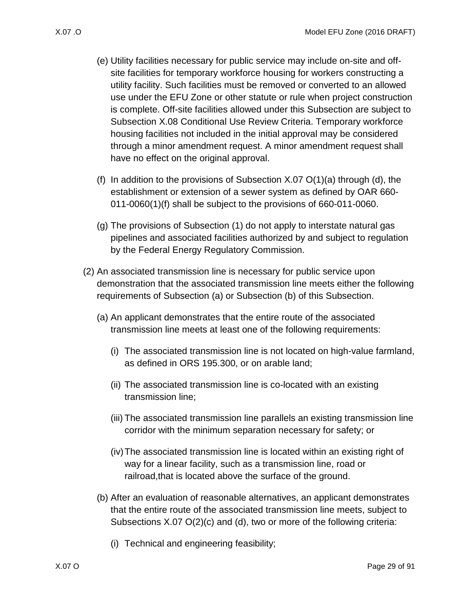- (e) Utility facilities necessary for public service may include on-site and offsite facilities for temporary workforce housing for workers constructing a utility facility. Such facilities must be removed or converted to an allowed use under the EFU Zone or other statute or rule when project construction is complete. Off-site facilities allowed under this Subsection are subject to Subsection [X.08 C](#page-36-0)onditional Use Review Criteria. Temporary workforce housing facilities not included in the initial approval may be considered through a minor amendment request. A minor amendment request shall have no effect on the original approval.
- (f) In addition to the provisions of Subsection  $X.07 \mathcal{O}(1)(a)$  through [\(d\),](#page-27-0) the establishment or extension of a sewer system as defined by OAR 660- 011-0060(1)(f) shall be subject to the provisions of 660-011-0060.
- (g) The provisions of Subsection [\(1\)](#page-26-5) do not apply to interstate natural gas pipelines and associated facilities authorized by and subject to regulation by the Federal Energy Regulatory Commission.
- <span id="page-28-1"></span><span id="page-28-0"></span>(2) An associated transmission line is necessary for public service upon demonstration that the associated transmission line meets either the following requirements of Subsection [\(a\)](#page-28-0) or Subsection [\(b\)](#page-28-1) of this Subsection.
	- (a) An applicant demonstrates that the entire route of the associated transmission line meets at least one of the following requirements:
		- (i) The associated transmission line is not located on high-value farmland, as defined in ORS 195.300, or on arable land;
		- (ii) The associated transmission line is co-located with an existing transmission line;
		- (iii) The associated transmission line parallels an existing transmission line corridor with the minimum separation necessary for safety; or
		- (iv)The associated transmission line is located within an existing right of way for a linear facility, such as a transmission line, road or railroad,that is located above the surface of the ground.
	- (b) After an evaluation of reasonable alternatives, an applicant demonstrates that the entire route of the associated transmission line meets, subject to Subsections [X.07 O\(2\)\(c\)](#page-29-1) and [\(d\),](#page-29-2) two or more of the following criteria:
		- (i) Technical and engineering feasibility;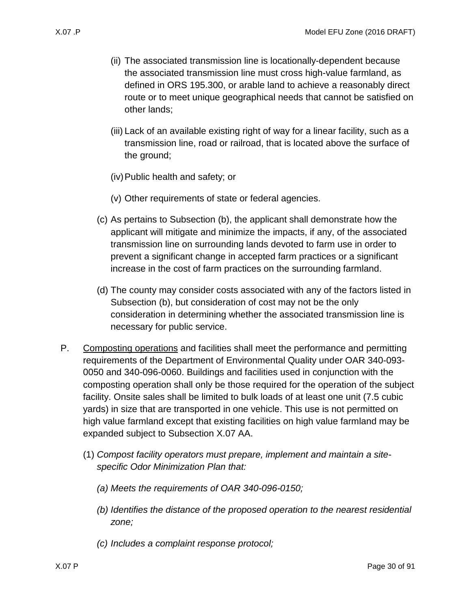- (ii) The associated transmission line is locationally-dependent because the associated transmission line must cross high-value farmland, as defined in ORS 195.300, or arable land to achieve a reasonably direct route or to meet unique geographical needs that cannot be satisfied on other lands;
- (iii) Lack of an available existing right of way for a linear facility, such as a transmission line, road or railroad, that is located above the surface of the ground;
- (iv)Public health and safety; or
- (v) Other requirements of state or federal agencies.
- <span id="page-29-1"></span>(c) As pertains to Subsection [\(b\),](#page-28-1) the applicant shall demonstrate how the applicant will mitigate and minimize the impacts, if any, of the associated transmission line on surrounding lands devoted to farm use in order to prevent a significant change in accepted farm practices or a significant increase in the cost of farm practices on the surrounding farmland.
- <span id="page-29-2"></span>(d) The county may consider costs associated with any of the factors listed in Subsection [\(b\),](#page-28-1) but consideration of cost may not be the only consideration in determining whether the associated transmission line is necessary for public service.
- <span id="page-29-3"></span><span id="page-29-0"></span>P. Composting operations and facilities shall meet the performance and permitting requirements of the Department of Environmental Quality under OAR 340-093- 0050 and 340-096-0060. Buildings and facilities used in conjunction with the composting operation shall only be those required for the operation of the subject facility. Onsite sales shall be limited to bulk loads of at least one unit (7.5 cubic yards) in size that are transported in one vehicle. This use is not permitted on high value farmland except that existing facilities on high value farmland may be expanded subject to Subsection [X.07 AA.](#page-36-1)
	- (1) *Compost facility operators must prepare, implement and maintain a sitespecific Odor Minimization Plan that:*
		- *(a) Meets the requirements of OAR 340-096-0150;*
		- *(b) Identifies the distance of the proposed operation to the nearest residential zone;*
		- *(c) Includes a complaint response protocol;*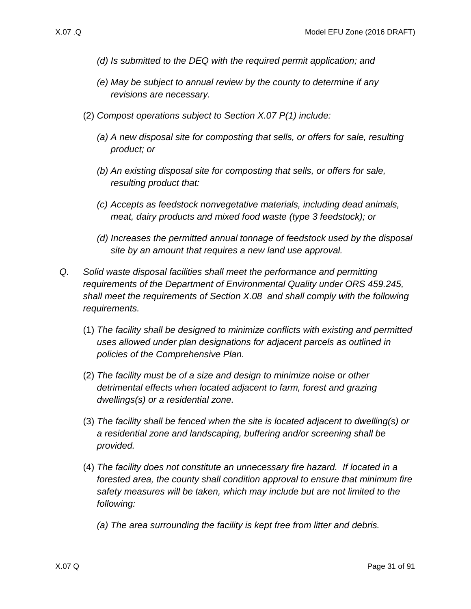- *(d) Is submitted to the DEQ with the required permit application; and*
- *(e) May be subject to annual review by the county to determine if any revisions are necessary.*
- (2) *Compost operations subject to Section [X.07 P\(1\)](#page-29-3) include:*
	- *(a) A new disposal site for composting that sells, or offers for sale, resulting product; or*
	- *(b) An existing disposal site for composting that sells, or offers for sale, resulting product that:*
	- *(c) Accepts as feedstock nonvegetative materials, including dead animals, meat, dairy products and mixed food waste (type 3 feedstock); or*
	- *(d) Increases the permitted annual tonnage of feedstock used by the disposal site by an amount that requires a new land use approval.*
- <span id="page-30-0"></span>*Q. Solid waste disposal facilities shall meet the performance and permitting requirements of the Department of Environmental Quality under ORS 459.245, shall meet the requirements of Section [X.08](#page-36-0) and shall comply with the following requirements.*
	- (1) *The facility shall be designed to minimize conflicts with existing and permitted uses allowed under plan designations for adjacent parcels as outlined in policies of the Comprehensive Plan.*
	- (2) *The facility must be of a size and design to minimize noise or other detrimental effects when located adjacent to farm, forest and grazing dwellings(s) or a residential zone.*
	- (3) *The facility shall be fenced when the site is located adjacent to dwelling(s) or a residential zone and landscaping, buffering and/or screening shall be provided.*
	- (4) *The facility does not constitute an unnecessary fire hazard. If located in a forested area, the county shall condition approval to ensure that minimum fire safety measures will be taken, which may include but are not limited to the following:* 
		- *(a) The area surrounding the facility is kept free from litter and debris.*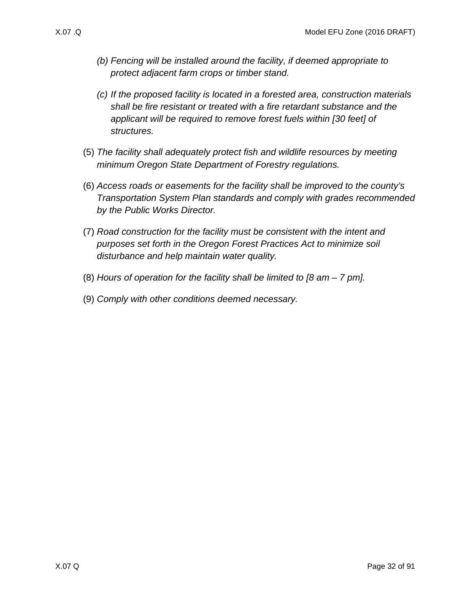- *(b) Fencing will be installed around the facility, if deemed appropriate to protect adjacent farm crops or timber stand.*
- *(c) If the proposed facility is located in a forested area, construction materials shall be fire resistant or treated with a fire retardant substance and the applicant will be required to remove forest fuels within [30 feet] of structures.*
- (5) *The facility shall adequately protect fish and wildlife resources by meeting minimum Oregon State Department of Forestry regulations.*
- (6) *Access roads or easements for the facility shall be improved to the county's Transportation System Plan standards and comply with grades recommended by the Public Works Director.*
- (7) *Road construction for the facility must be consistent with the intent and purposes set forth in the Oregon Forest Practices Act to minimize soil disturbance and help maintain water quality.*
- (8) *Hours of operation for the facility shall be limited to [8 am – 7 pm].*
- (9) *Comply with other conditions deemed necessary.*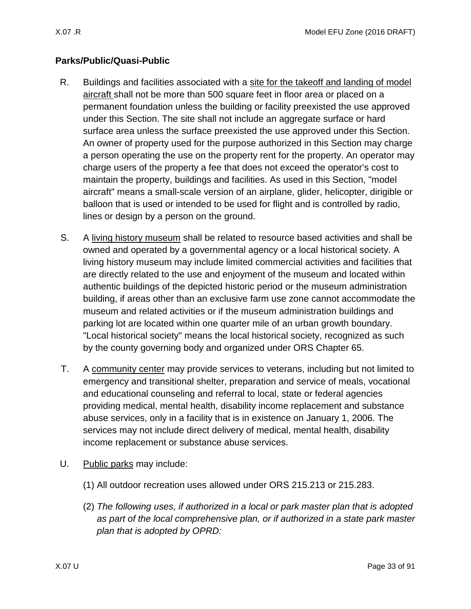## **Parks/Public/Quasi-Public**

- <span id="page-32-0"></span>R. Buildings and facilities associated with a site for the takeoff and landing of model aircraft shall not be more than 500 square feet in floor area or placed on a permanent foundation unless the building or facility preexisted the use approved under this Section. The site shall not include an aggregate surface or hard surface area unless the surface preexisted the use approved under this Section. An owner of property used for the purpose authorized in this Section may charge a person operating the use on the property rent for the property. An operator may charge users of the property a fee that does not exceed the operator's cost to maintain the property, buildings and facilities. As used in this Section, "model aircraft" means a small-scale version of an airplane, glider, helicopter, dirigible or balloon that is used or intended to be used for flight and is controlled by radio, lines or design by a person on the ground.
- <span id="page-32-1"></span>S. A living history museum shall be related to resource based activities and shall be owned and operated by a governmental agency or a local historical society. A living history museum may include limited commercial activities and facilities that are directly related to the use and enjoyment of the museum and located within authentic buildings of the depicted historic period or the museum administration building, if areas other than an exclusive farm use zone cannot accommodate the museum and related activities or if the museum administration buildings and parking lot are located within one quarter mile of an urban growth boundary. "Local historical society" means the local historical society, recognized as such by the county governing body and organized under ORS Chapter 65.
- <span id="page-32-2"></span>T. A community center may provide services to veterans, including but not limited to emergency and transitional shelter, preparation and service of meals, vocational and educational counseling and referral to local, state or federal agencies providing medical, mental health, disability income replacement and substance abuse services, only in a facility that is in existence on January 1, 2006. The services may not include direct delivery of medical, mental health, disability income replacement or substance abuse services.
- <span id="page-32-3"></span>U. Public parks may include:
	- (1) All outdoor recreation uses allowed under ORS 215.213 or 215.283.
	- (2) *The following uses, if authorized in a local or park master plan that is adopted as part of the local comprehensive plan, or if authorized in a state park master plan that is adopted by OPRD:*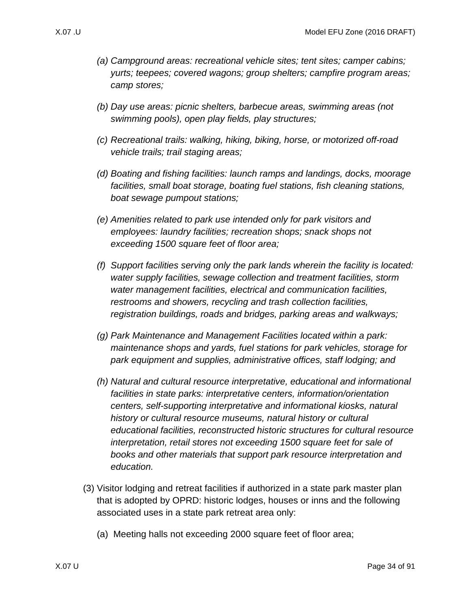- *(a) Campground areas: recreational vehicle sites; tent sites; camper cabins; yurts; teepees; covered wagons; group shelters; campfire program areas; camp stores;*
- *(b) Day use areas: picnic shelters, barbecue areas, swimming areas (not swimming pools), open play fields, play structures;*
- *(c) Recreational trails: walking, hiking, biking, horse, or motorized off-road vehicle trails; trail staging areas;*
- *(d) Boating and fishing facilities: launch ramps and landings, docks, moorage facilities, small boat storage, boating fuel stations, fish cleaning stations, boat sewage pumpout stations;*
- *(e) Amenities related to park use intended only for park visitors and employees: laundry facilities; recreation shops; snack shops not exceeding 1500 square feet of floor area;*
- *(f) Support facilities serving only the park lands wherein the facility is located: water supply facilities, sewage collection and treatment facilities, storm water management facilities, electrical and communication facilities, restrooms and showers, recycling and trash collection facilities, registration buildings, roads and bridges, parking areas and walkways;*
- *(g) Park Maintenance and Management Facilities located within a park: maintenance shops and yards, fuel stations for park vehicles, storage for park equipment and supplies, administrative offices, staff lodging; and*
- *(h) Natural and cultural resource interpretative, educational and informational facilities in state parks: interpretative centers, information/orientation centers, self-supporting interpretative and informational kiosks, natural history or cultural resource museums, natural history or cultural educational facilities, reconstructed historic structures for cultural resource interpretation, retail stores not exceeding 1500 square feet for sale of books and other materials that support park resource interpretation and education.*
- (3) Visitor lodging and retreat facilities if authorized in a state park master plan that is adopted by OPRD: historic lodges, houses or inns and the following associated uses in a state park retreat area only:
	- (a) Meeting halls not exceeding 2000 square feet of floor area;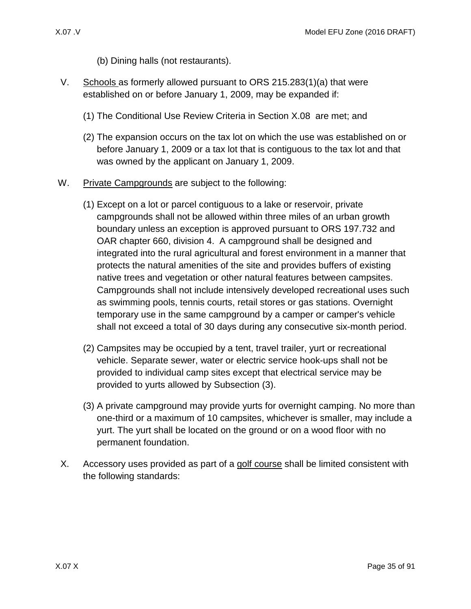- (b) Dining halls (not restaurants).
- <span id="page-34-0"></span>V. Schools as formerly allowed pursuant to ORS 215.283(1)(a) that were established on or before January 1, 2009, may be expanded if:
	- (1) The Conditional Use Review Criteria in Section [X.08](#page-36-0) are met; and
	- (2) The expansion occurs on the tax lot on which the use was established on or before January 1, 2009 or a tax lot that is contiguous to the tax lot and that was owned by the applicant on January 1, 2009.
- <span id="page-34-1"></span>W. Private Campgrounds are subject to the following:
	- (1) Except on a lot or parcel contiguous to a lake or reservoir, private campgrounds shall not be allowed within three miles of an urban growth boundary unless an exception is approved pursuant to ORS 197.732 and OAR chapter 660, division 4. A campground shall be designed and integrated into the rural agricultural and forest environment in a manner that protects the natural amenities of the site and provides buffers of existing native trees and vegetation or other natural features between campsites. Campgrounds shall not include intensively developed recreational uses such as swimming pools, tennis courts, retail stores or gas stations. Overnight temporary use in the same campground by a camper or camper's vehicle shall not exceed a total of 30 days during any consecutive six-month period.
	- (2) Campsites may be occupied by a tent, travel trailer, yurt or recreational vehicle. Separate sewer, water or electric service hook-ups shall not be provided to individual camp sites except that electrical service may be provided to yurts allowed by Subsection [\(3\).](#page-34-3)
	- (3) A private campground may provide yurts for overnight camping. No more than one-third or a maximum of 10 campsites, whichever is smaller, may include a yurt. The yurt shall be located on the ground or on a wood floor with no permanent foundation.
- <span id="page-34-3"></span><span id="page-34-2"></span>X. Accessory uses provided as part of a golf course shall be limited consistent with the following standards: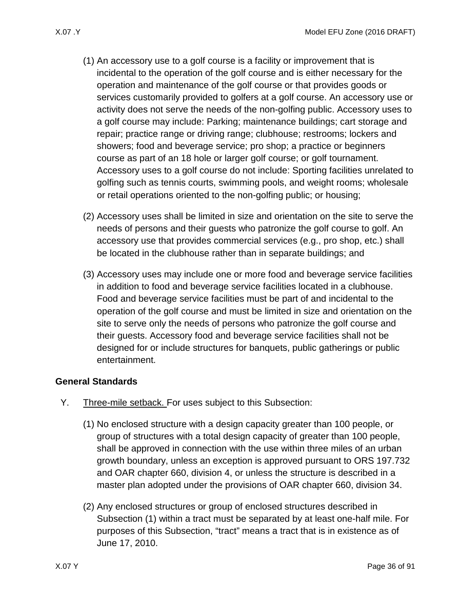- (1) An accessory use to a golf course is a facility or improvement that is incidental to the operation of the golf course and is either necessary for the operation and maintenance of the golf course or that provides goods or services customarily provided to golfers at a golf course. An accessory use or activity does not serve the needs of the non-golfing public. Accessory uses to a golf course may include: Parking; maintenance buildings; cart storage and repair; practice range or driving range; clubhouse; restrooms; lockers and showers; food and beverage service; pro shop; a practice or beginners course as part of an 18 hole or larger golf course; or golf tournament. Accessory uses to a golf course do not include: Sporting facilities unrelated to golfing such as tennis courts, swimming pools, and weight rooms; wholesale or retail operations oriented to the non-golfing public; or housing;
- (2) Accessory uses shall be limited in size and orientation on the site to serve the needs of persons and their guests who patronize the golf course to golf. An accessory use that provides commercial services (e.g., pro shop, etc.) shall be located in the clubhouse rather than in separate buildings; and
- (3) Accessory uses may include one or more food and beverage service facilities in addition to food and beverage service facilities located in a clubhouse. Food and beverage service facilities must be part of and incidental to the operation of the golf course and must be limited in size and orientation on the site to serve only the needs of persons who patronize the golf course and their guests. Accessory food and beverage service facilities shall not be designed for or include structures for banquets, public gatherings or public entertainment.

#### **General Standards**

- <span id="page-35-1"></span><span id="page-35-0"></span>Y. Three-mile setback. For uses subject to this Subsection:
	- (1) No enclosed structure with a design capacity greater than 100 people, or group of structures with a total design capacity of greater than 100 people, shall be approved in connection with the use within three miles of an urban growth boundary, unless an exception is approved pursuant to ORS 197.732 and OAR chapter 660, division 4, or unless the structure is described in a master plan adopted under the provisions of OAR chapter 660, division 34.
	- (2) Any enclosed structures or group of enclosed structures described in Subsection [\(1\)](#page-35-1) within a tract must be separated by at least one-half mile. For purposes of this Subsection, "tract" means a tract that is in existence as of June 17, 2010.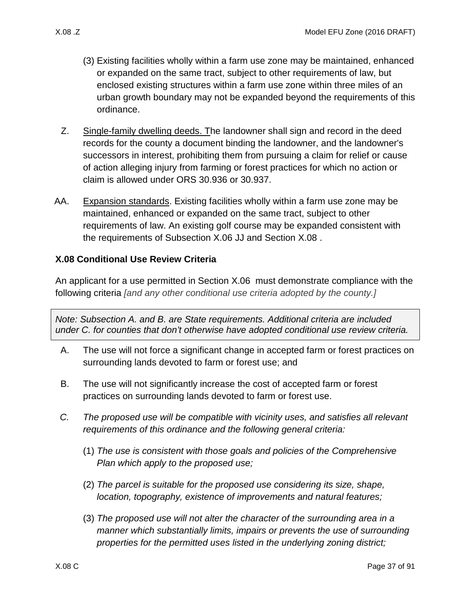- (3) Existing facilities wholly within a farm use zone may be maintained, enhanced or expanded on the same tract, subject to other requirements of law, but enclosed existing structures within a farm use zone within three miles of an urban growth boundary may not be expanded beyond the requirements of this ordinance.
- Z. Single-family dwelling deeds. The landowner shall sign and record in the deed records for the county a document binding the landowner, and the landowner's successors in interest, prohibiting them from pursuing a claim for relief or cause of action alleging injury from farming or forest practices for which no action or claim is allowed under ORS 30.936 or 30.937.
- AA. Expansion standards. Existing facilities wholly within a farm use zone may be maintained, enhanced or expanded on the same tract, subject to other requirements of law. An existing golf course may be expanded consistent with the requirements of Subsection [X.06 JJ](#page-17-0) and Section [X.08 .](#page-36-0)

# <span id="page-36-0"></span>**X.08 Conditional Use Review Criteria**

An applicant for a use permitted in Section [X.06](#page-14-0) must demonstrate compliance with the following criteria *[and any other conditional use criteria adopted by the county.]*

*Note: Subsection A. and B. are State requirements. Additional criteria are included under C. for counties that don't otherwise have adopted conditional use review criteria.*

- <span id="page-36-1"></span>A. The use will not force a significant change in accepted farm or forest practices on surrounding lands devoted to farm or forest use; and
- <span id="page-36-2"></span>B. The use will not significantly increase the cost of accepted farm or forest practices on surrounding lands devoted to farm or forest use.
- *C. The proposed use will be compatible with vicinity uses, and satisfies all relevant requirements of this ordinance and the following general criteria:*
	- (1) *The use is consistent with those goals and policies of the Comprehensive Plan which apply to the proposed use;*
	- (2) *The parcel is suitable for the proposed use considering its size, shape, location, topography, existence of improvements and natural features;*
	- (3) *The proposed use will not alter the character of the surrounding area in a manner which substantially limits, impairs or prevents the use of surrounding properties for the permitted uses listed in the underlying zoning district;*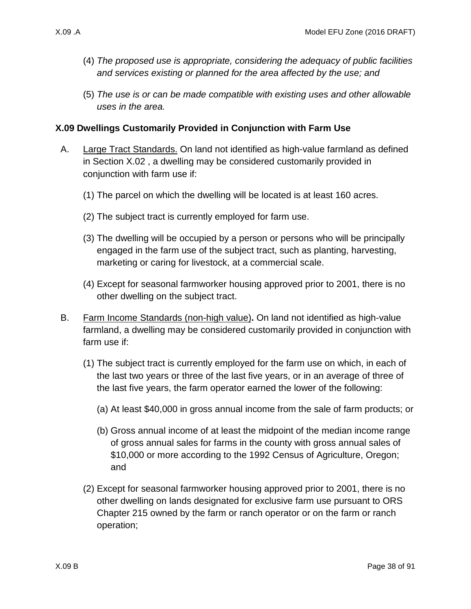- (4) *The proposed use is appropriate, considering the adequacy of public facilities and services existing or planned for the area affected by the use; and*
- (5) *The use is or can be made compatible with existing uses and other allowable uses in the area.*

# **X.09 Dwellings Customarily Provided in Conjunction with Farm Use**

- A. Large Tract Standards. On land not identified as high-value farmland as defined in Section [X.02 ,](#page-1-0) a dwelling may be considered customarily provided in conjunction with farm use if:
	- (1) The parcel on which the dwelling will be located is at least 160 acres.
	- (2) The subject tract is currently employed for farm use.
	- (3) The dwelling will be occupied by a person or persons who will be principally engaged in the farm use of the subject tract, such as planting, harvesting, marketing or caring for livestock, at a commercial scale.
	- (4) Except for seasonal farmworker housing approved prior to 2001, there is no other dwelling on the subject tract.
- <span id="page-37-1"></span><span id="page-37-0"></span>B. Farm Income Standards (non-high value)**.** On land not identified as high-value farmland, a dwelling may be considered customarily provided in conjunction with farm use if:
	- (1) The subject tract is currently employed for the farm use on which, in each of the last two years or three of the last five years, or in an average of three of the last five years, the farm operator earned the lower of the following:
		- (a) At least \$40,000 in gross annual income from the sale of farm products; or
		- (b) Gross annual income of at least the midpoint of the median income range of gross annual sales for farms in the county with gross annual sales of \$10,000 or more according to the 1992 Census of Agriculture, Oregon; and
	- (2) Except for seasonal farmworker housing approved prior to 2001, there is no other dwelling on lands designated for exclusive farm use pursuant to ORS Chapter 215 owned by the farm or ranch operator or on the farm or ranch operation;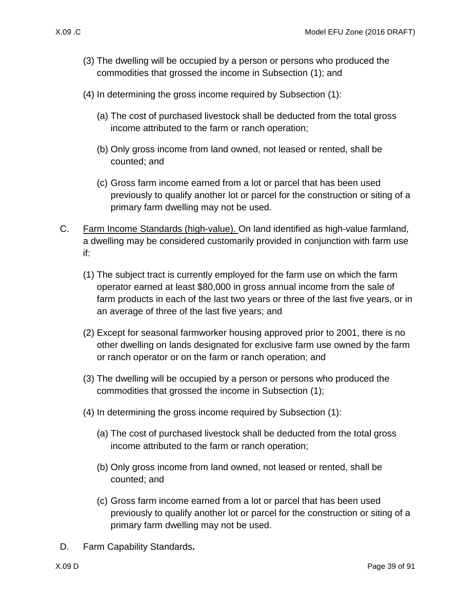- (3) The dwelling will be occupied by a person or persons who produced the commodities that grossed the income in Subsection [\(1\);](#page-37-0) and
- (4) In determining the gross income required by Subsection [\(1\):](#page-37-0)
	- (a) The cost of purchased livestock shall be deducted from the total gross income attributed to the farm or ranch operation;
	- (b) Only gross income from land owned, not leased or rented, shall be counted; and
	- (c) Gross farm income earned from a lot or parcel that has been used previously to qualify another lot or parcel for the construction or siting of a primary farm dwelling may not be used.
- <span id="page-38-1"></span><span id="page-38-0"></span>C. Farm Income Standards (high-value). On land identified as high-value farmland, a dwelling may be considered customarily provided in conjunction with farm use if:
	- (1) The subject tract is currently employed for the farm use on which the farm operator earned at least \$80,000 in gross annual income from the sale of farm products in each of the last two years or three of the last five years, or in an average of three of the last five years; and
	- (2) Except for seasonal farmworker housing approved prior to 2001, there is no other dwelling on lands designated for exclusive farm use owned by the farm or ranch operator or on the farm or ranch operation; and
	- (3) The dwelling will be occupied by a person or persons who produced the commodities that grossed the income in Subsection [\(1\);](#page-38-0)
	- (4) In determining the gross income required by Subsection [\(1\):](#page-38-0)
		- (a) The cost of purchased livestock shall be deducted from the total gross income attributed to the farm or ranch operation;
		- (b) Only gross income from land owned, not leased or rented, shall be counted; and
		- (c) Gross farm income earned from a lot or parcel that has been used previously to qualify another lot or parcel for the construction or siting of a primary farm dwelling may not be used.
- D. Farm Capability Standards**.**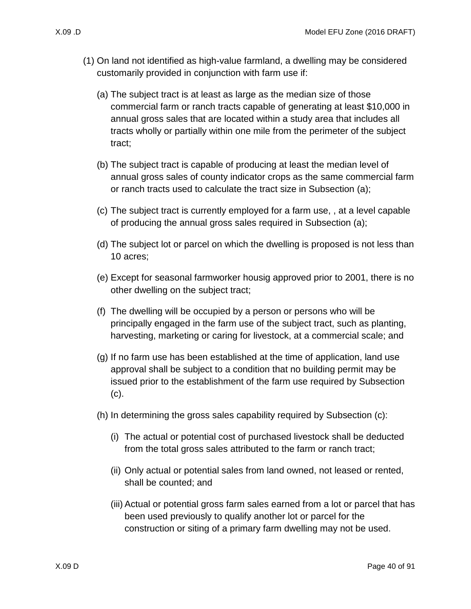- <span id="page-39-1"></span><span id="page-39-0"></span>(1) On land not identified as high-value farmland, a dwelling may be considered customarily provided in conjunction with farm use if:
	- (a) The subject tract is at least as large as the median size of those commercial farm or ranch tracts capable of generating at least \$10,000 in annual gross sales that are located within a study area that includes all tracts wholly or partially within one mile from the perimeter of the subject tract;
	- (b) The subject tract is capable of producing at least the median level of annual gross sales of county indicator crops as the same commercial farm or ranch tracts used to calculate the tract size in Subsection [\(a\);](#page-39-0)
	- (c) The subject tract is currently employed for a farm use, , at a level capable of producing the annual gross sales required in Subsection [\(a\);](#page-39-0)
	- (d) The subject lot or parcel on which the dwelling is proposed is not less than 10 acres;
	- (e) Except for seasonal farmworker housig approved prior to 2001, there is no other dwelling on the subject tract;
	- (f) The dwelling will be occupied by a person or persons who will be principally engaged in the farm use of the subject tract, such as planting, harvesting, marketing or caring for livestock, at a commercial scale; and
	- (g) If no farm use has been established at the time of application, land use approval shall be subject to a condition that no building permit may be issued prior to the establishment of the farm use required by Subsection [\(c\).](#page-39-1)
	- (h) In determining the gross sales capability required by Subsection [\(c\):](#page-39-1)
		- (i) The actual or potential cost of purchased livestock shall be deducted from the total gross sales attributed to the farm or ranch tract;
		- (ii) Only actual or potential sales from land owned, not leased or rented, shall be counted; and
		- (iii) Actual or potential gross farm sales earned from a lot or parcel that has been used previously to qualify another lot or parcel for the construction or siting of a primary farm dwelling may not be used.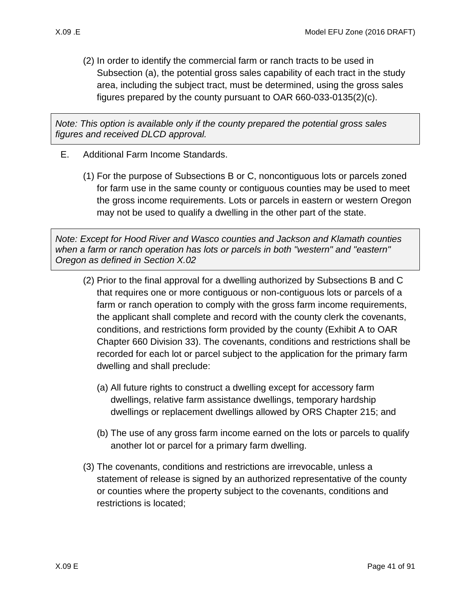- - (2) In order to identify the commercial farm or ranch tracts to be used in Subsection [\(a\),](#page-39-0) the potential gross sales capability of each tract in the study area, including the subject tract, must be determined, using the gross sales figures prepared by the county pursuant to OAR 660-033-0135(2)(c).

*Note: This option is available only if the county prepared the potential gross sales figures and received DLCD approval.*

- E. Additional Farm Income Standards.
	- (1) For the purpose of Subsections [B](#page-37-1) or [C,](#page-38-1) noncontiguous lots or parcels zoned for farm use in the same county or contiguous counties may be used to meet the gross income requirements. Lots or parcels in eastern or western Oregon may not be used to qualify a dwelling in the other part of the state.

*Note: Except for Hood River and Wasco counties and Jackson and Klamath counties when a farm or ranch operation has lots or parcels in both "western" and "eastern" Oregon as defined in Section X.02*

- (2) Prior to the final approval for a dwelling authorized by Subsections [B](#page-37-1) and [C](#page-38-1)  that requires one or more contiguous or non-contiguous lots or parcels of a farm or ranch operation to comply with the gross farm income requirements, the applicant shall complete and record with the county clerk the covenants, conditions, and restrictions form provided by the county (Exhibit A to OAR Chapter 660 Division 33). The covenants, conditions and restrictions shall be recorded for each lot or parcel subject to the application for the primary farm dwelling and shall preclude:
	- (a) All future rights to construct a dwelling except for accessory farm dwellings, relative farm assistance dwellings, temporary hardship dwellings or replacement dwellings allowed by ORS Chapter 215; and
	- (b) The use of any gross farm income earned on the lots or parcels to qualify another lot or parcel for a primary farm dwelling.
- (3) The covenants, conditions and restrictions are irrevocable, unless a statement of release is signed by an authorized representative of the county or counties where the property subject to the covenants, conditions and restrictions is located;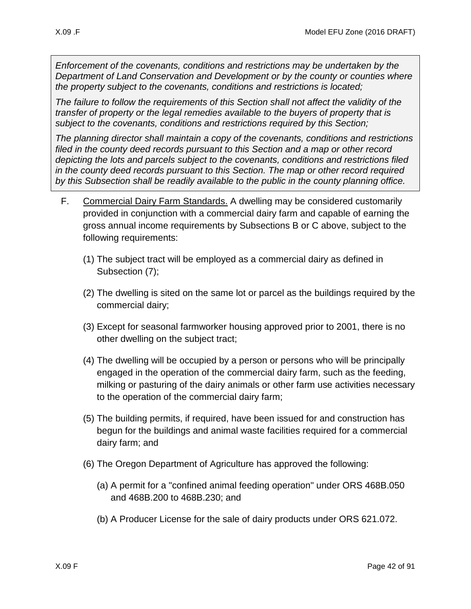*Enforcement of the covenants, conditions and restrictions may be undertaken by the Department of Land Conservation and Development or by the county or counties where the property subject to the covenants, conditions and restrictions is located;*

*The failure to follow the requirements of this Section shall not affect the validity of the transfer of property or the legal remedies available to the buyers of property that is subject to the covenants, conditions and restrictions required by this Section;* 

*The planning director shall maintain a copy of the covenants, conditions and restrictions filed in the county deed records pursuant to this Section and a map or other record depicting the lots and parcels subject to the covenants, conditions and restrictions filed in the county deed records pursuant to this Section. The map or other record required by this Subsection shall be readily available to the public in the county planning office.* 

- F. Commercial Dairy Farm Standards. A dwelling may be considered customarily provided in conjunction with a commercial dairy farm and capable of earning the gross annual income requirements by Subsections [B](#page-37-1) or [C](#page-38-1) above, subject to the following requirements:
	- (1) The subject tract will be employed as a commercial dairy as defined in Subsection [\(7\);](#page-42-0)
	- (2) The dwelling is sited on the same lot or parcel as the buildings required by the commercial dairy;
	- (3) Except for seasonal farmworker housing approved prior to 2001, there is no other dwelling on the subject tract;
	- (4) The dwelling will be occupied by a person or persons who will be principally engaged in the operation of the commercial dairy farm, such as the feeding, milking or pasturing of the dairy animals or other farm use activities necessary to the operation of the commercial dairy farm;
	- (5) The building permits, if required, have been issued for and construction has begun for the buildings and animal waste facilities required for a commercial dairy farm; and
	- (6) The Oregon Department of Agriculture has approved the following:
		- (a) A permit for a "confined animal feeding operation" under ORS 468B.050 and 468B.200 to 468B.230; and
		- (b) A Producer License for the sale of dairy products under ORS 621.072.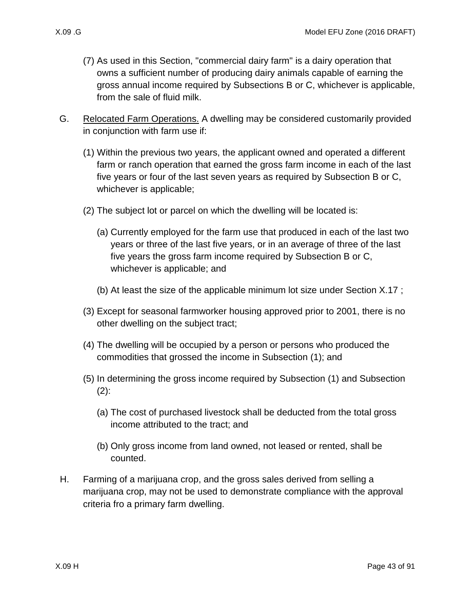- <span id="page-42-0"></span>(7) As used in this Section, "commercial dairy farm" is a dairy operation that owns a sufficient number of producing dairy animals capable of earning the gross annual income required by Subsections [B](#page-37-1) or [C,](#page-38-1) whichever is applicable, from the sale of fluid milk.
- <span id="page-42-3"></span><span id="page-42-2"></span><span id="page-42-1"></span>G. Relocated Farm Operations. A dwelling may be considered customarily provided in conjunction with farm use if:
	- (1) Within the previous two years, the applicant owned and operated a different farm or ranch operation that earned the gross farm income in each of the last five years or four of the last seven years as required by Subsection [B](#page-37-1) or [C,](#page-38-1) whichever is applicable;
	- (2) The subject lot or parcel on which the dwelling will be located is:
		- (a) Currently employed for the farm use that produced in each of the last two years or three of the last five years, or in an average of three of the last five years the gross farm income required by Subsection [B](#page-37-1) or [C,](#page-38-1) whichever is applicable; and
		- (b) At least the size of the applicable minimum lot size under Section [X.17 ;](#page-76-0)
	- (3) Except for seasonal farmworker housing approved prior to 2001, there is no other dwelling on the subject tract;
	- (4) The dwelling will be occupied by a person or persons who produced the commodities that grossed the income in Subsection [\(1\);](#page-42-1) and
	- (5) In determining the gross income required by Subsection [\(1\)](#page-42-1) and Subsection  $(2)$ :
		- (a) The cost of purchased livestock shall be deducted from the total gross income attributed to the tract; and
		- (b) Only gross income from land owned, not leased or rented, shall be counted.
- H. Farming of a marijuana crop, and the gross sales derived from selling a marijuana crop, may not be used to demonstrate compliance with the approval criteria fro a primary farm dwelling.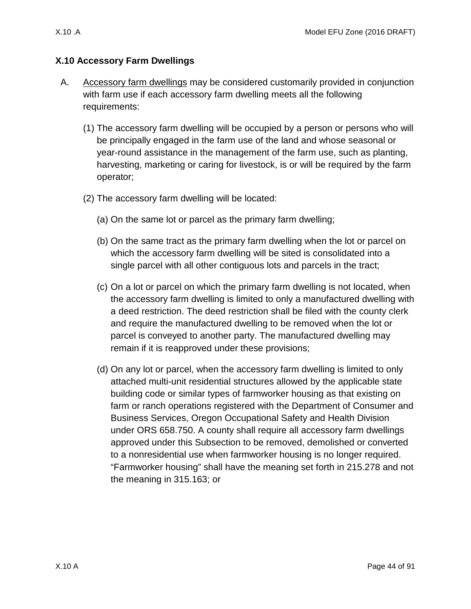# **X.10 Accessory Farm Dwellings**

- <span id="page-43-0"></span>A. Accessory farm dwellings may be considered customarily provided in conjunction with farm use if each accessory farm dwelling meets all the following requirements:
	- (1) The accessory farm dwelling will be occupied by a person or persons who will be principally engaged in the farm use of the land and whose seasonal or year-round assistance in the management of the farm use, such as planting, harvesting, marketing or caring for livestock, is or will be required by the farm operator;
	- (2) The accessory farm dwelling will be located:
		- (a) On the same lot or parcel as the primary farm dwelling;
		- (b) On the same tract as the primary farm dwelling when the lot or parcel on which the accessory farm dwelling will be sited is consolidated into a single parcel with all other contiguous lots and parcels in the tract;
		- (c) On a lot or parcel on which the primary farm dwelling is not located, when the accessory farm dwelling is limited to only a manufactured dwelling with a deed restriction. The deed restriction shall be filed with the county clerk and require the manufactured dwelling to be removed when the lot or parcel is conveyed to another party. The manufactured dwelling may remain if it is reapproved under these provisions;
		- (d) On any lot or parcel, when the accessory farm dwelling is limited to only attached multi-unit residential structures allowed by the applicable state building code or similar types of farmworker housing as that existing on farm or ranch operations registered with the Department of Consumer and Business Services, Oregon Occupational Safety and Health Division under ORS 658.750. A county shall require all accessory farm dwellings approved under this Subsection to be removed, demolished or converted to a nonresidential use when farmworker housing is no longer required. "Farmworker housing" shall have the meaning set forth in 215.278 and not the meaning in 315.163; or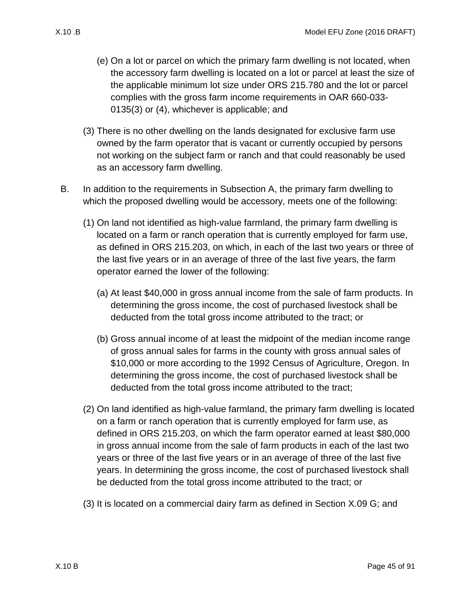- (e) On a lot or parcel on which the primary farm dwelling is not located, when the accessory farm dwelling is located on a lot or parcel at least the size of the applicable minimum lot size under ORS 215.780 and the lot or parcel complies with the gross farm income requirements in OAR 660-033- 0135(3) or (4), whichever is applicable; and
- (3) There is no other dwelling on the lands designated for exclusive farm use owned by the farm operator that is vacant or currently occupied by persons not working on the subject farm or ranch and that could reasonably be used as an accessory farm dwelling.
- B. In addition to the requirements in Subsection [A,](#page-43-0) the primary farm dwelling to which the proposed dwelling would be accessory, meets one of the following:
	- (1) On land not identified as high-value farmland, the primary farm dwelling is located on a farm or ranch operation that is currently employed for farm use, as defined in ORS 215.203, on which, in each of the last two years or three of the last five years or in an average of three of the last five years, the farm operator earned the lower of the following:
		- (a) At least \$40,000 in gross annual income from the sale of farm products. In determining the gross income, the cost of purchased livestock shall be deducted from the total gross income attributed to the tract; or
		- (b) Gross annual income of at least the midpoint of the median income range of gross annual sales for farms in the county with gross annual sales of \$10,000 or more according to the 1992 Census of Agriculture, Oregon. In determining the gross income, the cost of purchased livestock shall be deducted from the total gross income attributed to the tract;
	- (2) On land identified as high-value farmland, the primary farm dwelling is located on a farm or ranch operation that is currently employed for farm use, as defined in ORS 215.203, on which the farm operator earned at least \$80,000 in gross annual income from the sale of farm products in each of the last two years or three of the last five years or in an average of three of the last five years. In determining the gross income, the cost of purchased livestock shall be deducted from the total gross income attributed to the tract; or
	- (3) It is located on a commercial dairy farm as defined in Section [X.09 G;](#page-42-3) and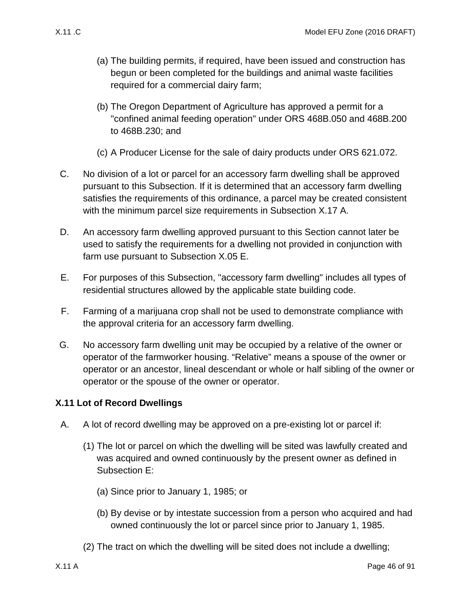- (a) The building permits, if required, have been issued and construction has begun or been completed for the buildings and animal waste facilities required for a commercial dairy farm;
- (b) The Oregon Department of Agriculture has approved a permit for a "confined animal feeding operation" under ORS 468B.050 and 468B.200 to 468B.230; and
- (c) A Producer License for the sale of dairy products under ORS 621.072.
- C. No division of a lot or parcel for an accessory farm dwelling shall be approved pursuant to this Subsection. If it is determined that an accessory farm dwelling satisfies the requirements of this ordinance, a parcel may be created consistent with the minimum parcel size requirements in Subsection [X.17 A.](#page-76-1)
- D. An accessory farm dwelling approved pursuant to this Section cannot later be used to satisfy the requirements for a dwelling not provided in conjunction with farm use pursuant to Subsection [X.05 E.](#page-14-1)
- E. For purposes of this Subsection, "accessory farm dwelling" includes all types of residential structures allowed by the applicable state building code.
- F. Farming of a marijuana crop shall not be used to demonstrate compliance with the approval criteria for an accessory farm dwelling.
- G. No accessory farm dwelling unit may be occupied by a relative of the owner or operator of the farmworker housing. "Relative" means a spouse of the owner or operator or an ancestor, lineal descendant or whole or half sibling of the owner or operator or the spouse of the owner or operator.

# **X.11 Lot of Record Dwellings**

- <span id="page-45-1"></span><span id="page-45-0"></span>A. A lot of record dwelling may be approved on a pre-existing lot or parcel if:
	- (1) The lot or parcel on which the dwelling will be sited was lawfully created and was acquired and owned continuously by the present owner as defined in Subsection [E:](#page-48-0)
		- (a) Since prior to January 1, 1985; or
		- (b) By devise or by intestate succession from a person who acquired and had owned continuously the lot or parcel since prior to January 1, 1985.
	- (2) The tract on which the dwelling will be sited does not include a dwelling;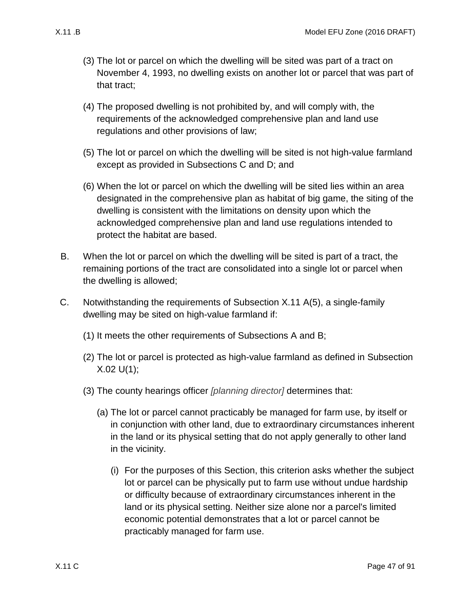- (3) The lot or parcel on which the dwelling will be sited was part of a tract on November 4, 1993, no dwelling exists on another lot or parcel that was part of that tract;
- (4) The proposed dwelling is not prohibited by, and will comply with, the requirements of the acknowledged comprehensive plan and land use regulations and other provisions of law;
- <span id="page-46-1"></span>(5) The lot or parcel on which the dwelling will be sited is not high-value farmland except as provided in Subsections [C](#page-46-0) and [D;](#page-47-0) and
- (6) When the lot or parcel on which the dwelling will be sited lies within an area designated in the comprehensive plan as habitat of big game, the siting of the dwelling is consistent with the limitations on density upon which the acknowledged comprehensive plan and land use regulations intended to protect the habitat are based.
- <span id="page-46-2"></span>B. When the lot or parcel on which the dwelling will be sited is part of a tract, the remaining portions of the tract are consolidated into a single lot or parcel when the dwelling is allowed;
- <span id="page-46-3"></span><span id="page-46-0"></span>C. Notwithstanding the requirements of Subsection [X.11 A\(5\),](#page-46-1) a single-family dwelling may be sited on high-value farmland if:
	- (1) It meets the other requirements of Subsections [A](#page-45-0) and [B;](#page-46-2)
	- (2) The lot or parcel is protected as high-value farmland as defined in Subsection  $X.02 U(1)$ ;
	- (3) The county hearings officer *[planning director]* determines that:
		- (a) The lot or parcel cannot practicably be managed for farm use, by itself or in conjunction with other land, due to extraordinary circumstances inherent in the land or its physical setting that do not apply generally to other land in the vicinity.
			- (i) For the purposes of this Section, this criterion asks whether the subject lot or parcel can be physically put to farm use without undue hardship or difficulty because of extraordinary circumstances inherent in the land or its physical setting. Neither size alone nor a parcel's limited economic potential demonstrates that a lot or parcel cannot be practicably managed for farm use.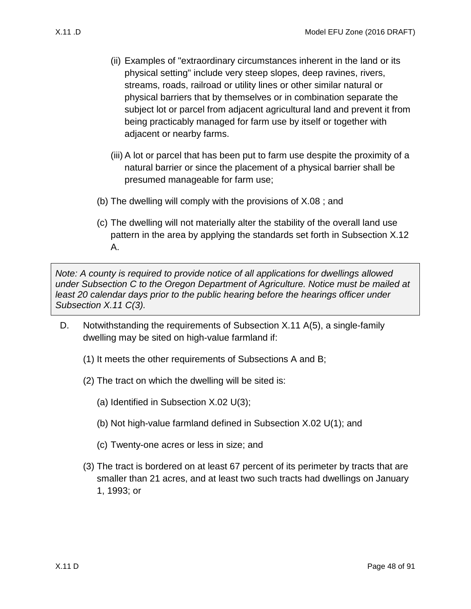- (ii) Examples of "extraordinary circumstances inherent in the land or its physical setting" include very steep slopes, deep ravines, rivers, streams, roads, railroad or utility lines or other similar natural or physical barriers that by themselves or in combination separate the subject lot or parcel from adjacent agricultural land and prevent it from
	- adjacent or nearby farms. (iii) A lot or parcel that has been put to farm use despite the proximity of a natural barrier or since the placement of a physical barrier shall be

being practicably managed for farm use by itself or together with

(b) The dwelling will comply with the provisions of [X.08 ;](#page-36-0) and

presumed manageable for farm use;

(c) The dwelling will not materially alter the stability of the overall land use pattern in the area by applying the standards set forth in Subsection [X.12](#page-49-0)  [A.](#page-49-0)

*Note: A county is required to provide notice of all applications for dwellings allowed under Subsection [C](#page-46-0) to the Oregon Department of Agriculture. Notice must be mailed at least 20 calendar days prior to the public hearing before the hearings officer under Subsection [X.11 C\(3\).](#page-46-3)*

- <span id="page-47-0"></span>D. Notwithstanding the requirements of Subsection [X.11 A\(5\),](#page-46-1) a single-family dwelling may be sited on high-value farmland if:
	- (1) It meets the other requirements of Subsections [A](#page-45-0) and [B;](#page-46-2)
	- (2) The tract on which the dwelling will be sited is:
		- (a) Identified in Subsection [X.02 U\(3\);](#page-6-0)
		- (b) Not high-value farmland defined in Subsection [X.02 U\(1\);](#page-5-0) and
		- (c) Twenty-one acres or less in size; and
	- (3) The tract is bordered on at least 67 percent of its perimeter by tracts that are smaller than 21 acres, and at least two such tracts had dwellings on January 1, 1993; or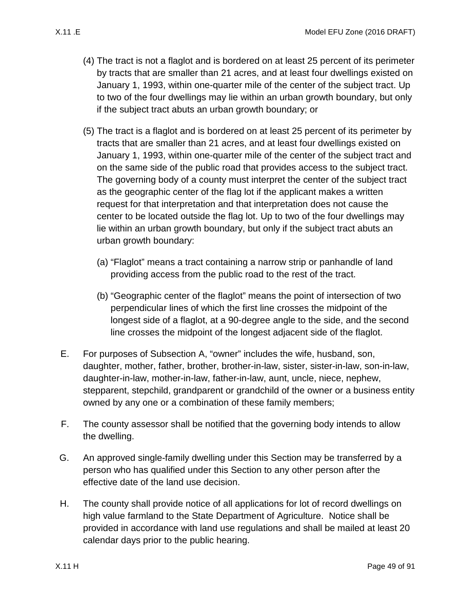- (4) The tract is not a flaglot and is bordered on at least 25 percent of its perimeter by tracts that are smaller than 21 acres, and at least four dwellings existed on January 1, 1993, within one-quarter mile of the center of the subject tract. Up to two of the four dwellings may lie within an urban growth boundary, but only if the subject tract abuts an urban growth boundary; or
- (5) The tract is a flaglot and is bordered on at least 25 percent of its perimeter by tracts that are smaller than 21 acres, and at least four dwellings existed on January 1, 1993, within one-quarter mile of the center of the subject tract and on the same side of the public road that provides access to the subject tract. The governing body of a county must interpret the center of the subject tract as the geographic center of the flag lot if the applicant makes a written request for that interpretation and that interpretation does not cause the center to be located outside the flag lot. Up to two of the four dwellings may lie within an urban growth boundary, but only if the subject tract abuts an urban growth boundary:
	- (a) "Flaglot" means a tract containing a narrow strip or panhandle of land providing access from the public road to the rest of the tract.
	- (b) "Geographic center of the flaglot" means the point of intersection of two perpendicular lines of which the first line crosses the midpoint of the longest side of a flaglot, at a 90-degree angle to the side, and the second line crosses the midpoint of the longest adjacent side of the flaglot.
- <span id="page-48-0"></span>E. For purposes of Subsection [A,](#page-45-0) "owner" includes the wife, husband, son, daughter, mother, father, brother, brother-in-law, sister, sister-in-law, son-in-law, daughter-in-law, mother-in-law, father-in-law, aunt, uncle, niece, nephew, stepparent, stepchild, grandparent or grandchild of the owner or a business entity owned by any one or a combination of these family members;
- F. The county assessor shall be notified that the governing body intends to allow the dwelling.
- G. An approved single-family dwelling under this Section may be transferred by a person who has qualified under this Section to any other person after the effective date of the land use decision.
- H. The county shall provide notice of all applications for lot of record dwellings on high value farmland to the State Department of Agriculture. Notice shall be provided in accordance with land use regulations and shall be mailed at least 20 calendar days prior to the public hearing.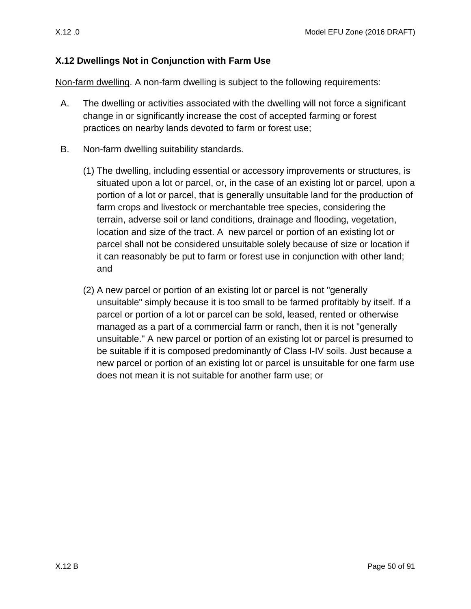### <span id="page-49-1"></span>**X.12 Dwellings Not in Conjunction with Farm Use**

Non-farm dwelling. A non-farm dwelling is subject to the following requirements:

- <span id="page-49-0"></span>A. The dwelling or activities associated with the dwelling will not force a significant change in or significantly increase the cost of accepted farming or forest practices on nearby lands devoted to farm or forest use;
- B. Non-farm dwelling suitability standards.
	- (1) The dwelling, including essential or accessory improvements or structures, is situated upon a lot or parcel, or, in the case of an existing lot or parcel, upon a portion of a lot or parcel, that is generally unsuitable land for the production of farm crops and livestock or merchantable tree species, considering the terrain, adverse soil or land conditions, drainage and flooding, vegetation, location and size of the tract. A new parcel or portion of an existing lot or parcel shall not be considered unsuitable solely because of size or location if it can reasonably be put to farm or forest use in conjunction with other land; and
	- (2) A new parcel or portion of an existing lot or parcel is not "generally unsuitable" simply because it is too small to be farmed profitably by itself. If a parcel or portion of a lot or parcel can be sold, leased, rented or otherwise managed as a part of a commercial farm or ranch, then it is not "generally unsuitable." A new parcel or portion of an existing lot or parcel is presumed to be suitable if it is composed predominantly of Class I-IV soils. Just because a new parcel or portion of an existing lot or parcel is unsuitable for one farm use does not mean it is not suitable for another farm use; or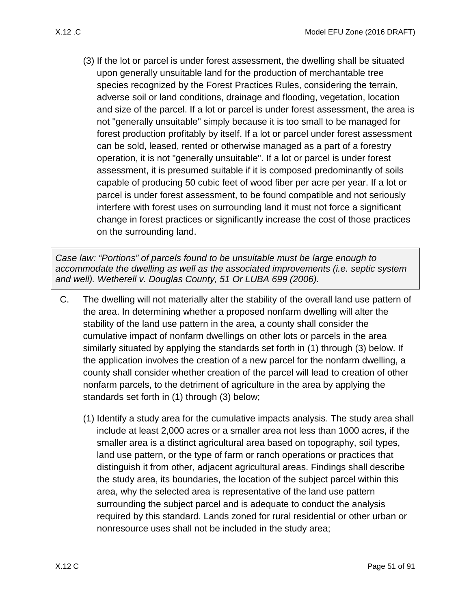(3) If the lot or parcel is under forest assessment, the dwelling shall be situated upon generally unsuitable land for the production of merchantable tree species recognized by the Forest Practices Rules, considering the terrain, adverse soil or land conditions, drainage and flooding, vegetation, location and size of the parcel. If a lot or parcel is under forest assessment, the area is not "generally unsuitable" simply because it is too small to be managed for forest production profitably by itself. If a lot or parcel under forest assessment can be sold, leased, rented or otherwise managed as a part of a forestry operation, it is not "generally unsuitable". If a lot or parcel is under forest assessment, it is presumed suitable if it is composed predominantly of soils capable of producing 50 cubic feet of wood fiber per acre per year. If a lot or parcel is under forest assessment, to be found compatible and not seriously interfere with forest uses on surrounding land it must not force a significant change in forest practices or significantly increase the cost of those practices on the surrounding land.

*Case law: "Portions" of parcels found to be unsuitable must be large enough to accommodate the dwelling as well as the associated improvements (i.e. septic system and well). Wetherell v. Douglas County, 51 Or LUBA 699 (2006).*

- C. The dwelling will not materially alter the stability of the overall land use pattern of the area. In determining whether a proposed nonfarm dwelling will alter the stability of the land use pattern in the area, a county shall consider the cumulative impact of nonfarm dwellings on other lots or parcels in the area similarly situated by applying the standards set forth in (1) through (3) below. If the application involves the creation of a new parcel for the nonfarm dwelling, a county shall consider whether creation of the parcel will lead to creation of other nonfarm parcels, to the detriment of agriculture in the area by applying the standards set forth in (1) through (3) below;
	- (1) Identify a study area for the cumulative impacts analysis. The study area shall include at least 2,000 acres or a smaller area not less than 1000 acres, if the smaller area is a distinct agricultural area based on topography, soil types, land use pattern, or the type of farm or ranch operations or practices that distinguish it from other, adjacent agricultural areas. Findings shall describe the study area, its boundaries, the location of the subject parcel within this area, why the selected area is representative of the land use pattern surrounding the subject parcel and is adequate to conduct the analysis required by this standard. Lands zoned for rural residential or other urban or nonresource uses shall not be included in the study area;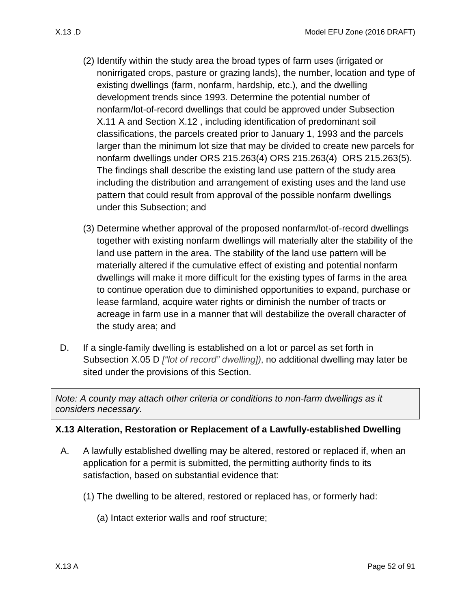- (2) Identify within the study area the broad types of farm uses (irrigated or nonirrigated crops, pasture or grazing lands), the number, location and type of existing dwellings (farm, nonfarm, hardship, etc.), and the dwelling development trends since 1993. Determine the potential number of nonfarm/lot-of-record dwellings that could be approved under Subsection [X.11 A](#page-45-1) and Section [X.12 ,](#page-49-1) including identification of predominant soil classifications, the parcels created prior to January 1, 1993 and the parcels larger than the minimum lot size that may be divided to create new parcels for nonfarm dwellings under ORS 215.263(4) ORS 215.263(4) ORS 215.263(5). The findings shall describe the existing land use pattern of the study area including the distribution and arrangement of existing uses and the land use pattern that could result from approval of the possible nonfarm dwellings under this Subsection; and
- (3) Determine whether approval of the proposed nonfarm/lot-of-record dwellings together with existing nonfarm dwellings will materially alter the stability of the land use pattern in the area. The stability of the land use pattern will be materially altered if the cumulative effect of existing and potential nonfarm dwellings will make it more difficult for the existing types of farms in the area to continue operation due to diminished opportunities to expand, purchase or lease farmland, acquire water rights or diminish the number of tracts or acreage in farm use in a manner that will destabilize the overall character of the study area; and
- D. If a single-family dwelling is established on a lot or parcel as set forth in Subsection [X.05 D](#page-13-0) *["lot of record" dwelling])*, no additional dwelling may later be sited under the provisions of this Section.

*Note: A county may attach other criteria or conditions to non-farm dwellings as it considers necessary.*

### **X.13 Alteration, Restoration or Replacement of a Lawfully-established Dwelling**

- <span id="page-51-0"></span>A. A lawfully established dwelling may be altered, restored or replaced if, when an application for a permit is submitted, the permitting authority finds to its satisfaction, based on substantial evidence that:
	- (1) The dwelling to be altered, restored or replaced has, or formerly had:
		- (a) Intact exterior walls and roof structure;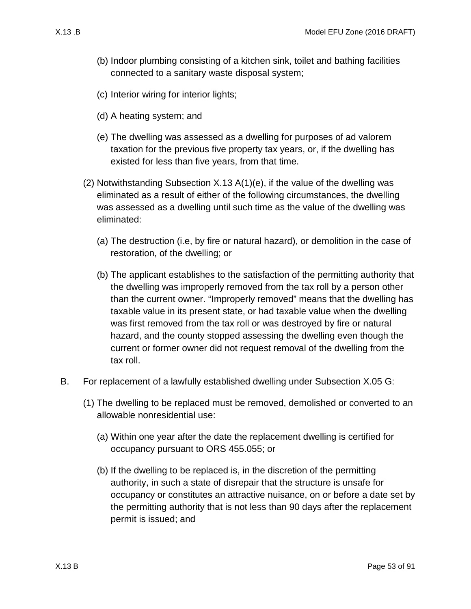- (b) Indoor plumbing consisting of a kitchen sink, toilet and bathing facilities connected to a sanitary waste disposal system;
- (c) Interior wiring for interior lights;
- (d) A heating system; and
- <span id="page-52-0"></span>(e) The dwelling was assessed as a dwelling for purposes of ad valorem taxation for the previous five property tax years, or, if the dwelling has existed for less than five years, from that time.
- <span id="page-52-1"></span>(2) Notwithstanding Subsection [X.13 A\(1\)\(e\),](#page-52-0) if the value of the dwelling was eliminated as a result of either of the following circumstances, the dwelling was assessed as a dwelling until such time as the value of the dwelling was eliminated:
	- (a) The destruction (i.e, by fire or natural hazard), or demolition in the case of restoration, of the dwelling; or
	- (b) The applicant establishes to the satisfaction of the permitting authority that the dwelling was improperly removed from the tax roll by a person other than the current owner. "Improperly removed" means that the dwelling has taxable value in its present state, or had taxable value when the dwelling was first removed from the tax roll or was destroyed by fire or natural hazard, and the county stopped assessing the dwelling even though the current or former owner did not request removal of the dwelling from the tax roll.
- B. For replacement of a lawfully established dwelling under Subsection [X.05 G:](#page-14-2)
	- (1) The dwelling to be replaced must be removed, demolished or converted to an allowable nonresidential use:
		- (a) Within one year after the date the replacement dwelling is certified for occupancy pursuant to ORS 455.055; or
		- (b) If the dwelling to be replaced is, in the discretion of the permitting authority, in such a state of disrepair that the structure is unsafe for occupancy or constitutes an attractive nuisance, on or before a date set by the permitting authority that is not less than 90 days after the replacement permit is issued; and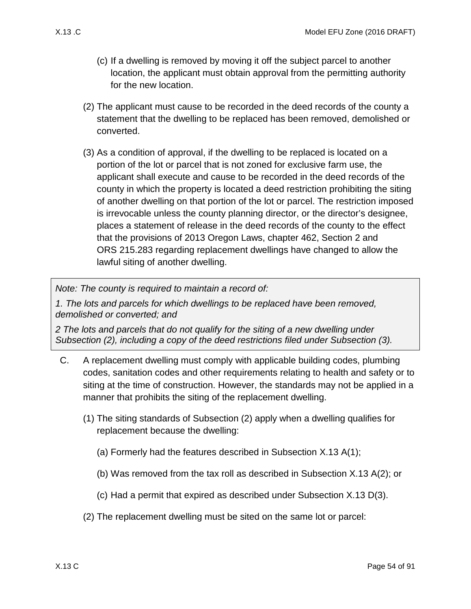- (c) If a dwelling is removed by moving it off the subject parcel to another location, the applicant must obtain approval from the permitting authority for the new location.
- <span id="page-53-0"></span>(2) The applicant must cause to be recorded in the deed records of the county a statement that the dwelling to be replaced has been removed, demolished or converted.
- <span id="page-53-1"></span>(3) As a condition of approval, if the dwelling to be replaced is located on a portion of the lot or parcel that is not zoned for exclusive farm use, the applicant shall execute and cause to be recorded in the deed records of the county in which the property is located a deed restriction prohibiting the siting of another dwelling on that portion of the lot or parcel. The restriction imposed is irrevocable unless the county planning director, or the director's designee, places a statement of release in the deed records of the county to the effect that the provisions of 2013 Oregon Laws, chapter 462, Section 2 and ORS 215.283 regarding replacement dwellings have changed to allow the lawful siting of another dwelling.

*Note: The county is required to maintain a record of:* 

*1. The lots and parcels for which dwellings to be replaced have been removed, demolished or converted; and* 

*2 The lots and parcels that do not qualify for the siting of a new dwelling under Subsection [\(2\),](#page-53-0) including a copy of the deed restrictions filed under Subsection [\(3\).](#page-53-1)*

- <span id="page-53-2"></span>C. A replacement dwelling must comply with applicable building codes, plumbing codes, sanitation codes and other requirements relating to health and safety or to siting at the time of construction. However, the standards may not be applied in a manner that prohibits the siting of the replacement dwelling.
	- (1) The siting standards of Subsection [\(2\)](#page-53-2) apply when a dwelling qualifies for replacement because the dwelling:
		- (a) Formerly had the features described in Subsection [X.13 A\(1\);](#page-51-0)
		- (b) Was removed from the tax roll as described in Subsection [X.13 A\(2\);](#page-52-1) or
		- (c) Had a permit that expired as described under Subsection [X.13 D\(3\).](#page-54-0)
	- (2) The replacement dwelling must be sited on the same lot or parcel: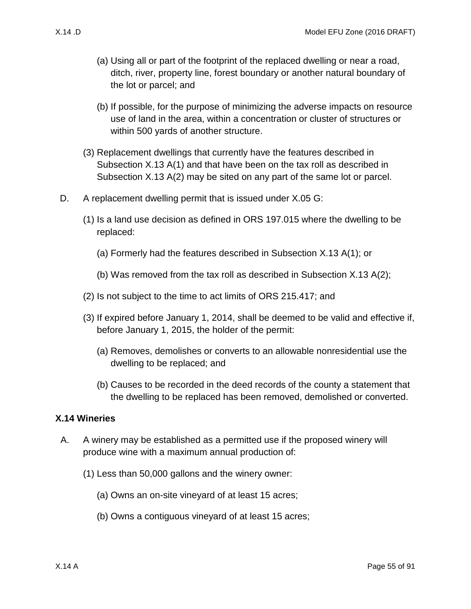- (a) Using all or part of the footprint of the replaced dwelling or near a road, ditch, river, property line, forest boundary or another natural boundary of the lot or parcel; and
- (b) If possible, for the purpose of minimizing the adverse impacts on resource use of land in the area, within a concentration or cluster of structures or within 500 yards of another structure.
- (3) Replacement dwellings that currently have the features described in Subsection [X.13 A\(1\)](#page-51-0) and that have been on the tax roll as described in Subsection [X.13 A\(2\)](#page-52-1) may be sited on any part of the same lot or parcel.
- D. A replacement dwelling permit that is issued under [X.05 G:](#page-14-2)
	- (1) Is a land use decision as defined in ORS 197.015 where the dwelling to be replaced:
		- (a) Formerly had the features described in Subsection [X.13 A\(1\);](#page-51-0) or
		- (b) Was removed from the tax roll as described in Subsection [X.13 A\(2\);](#page-52-1)
	- (2) Is not subject to the time to act limits of ORS 215.417; and
	- (3) If expired before January 1, 2014, shall be deemed to be valid and effective if, before January 1, 2015, the holder of the permit:
		- (a) Removes, demolishes or converts to an allowable nonresidential use the dwelling to be replaced; and
		- (b) Causes to be recorded in the deed records of the county a statement that the dwelling to be replaced has been removed, demolished or converted.

#### <span id="page-54-0"></span>**X.14 Wineries**

- <span id="page-54-3"></span><span id="page-54-2"></span><span id="page-54-1"></span>A. A winery may be established as a permitted use if the proposed winery will produce wine with a maximum annual production of:
	- (1) Less than 50,000 gallons and the winery owner:
		- (a) Owns an on-site vineyard of at least 15 acres;
		- (b) Owns a contiguous vineyard of at least 15 acres;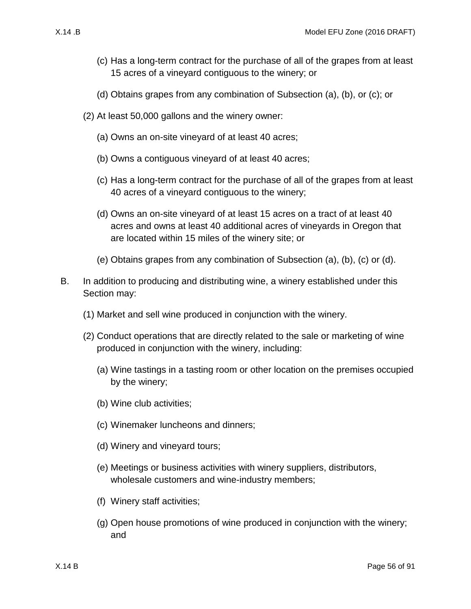- <span id="page-55-0"></span>(c) Has a long-term contract for the purchase of all of the grapes from at least 15 acres of a vineyard contiguous to the winery; or
- (d) Obtains grapes from any combination of Subsection [\(a\),](#page-54-1) [\(b\),](#page-54-2) or [\(c\);](#page-55-0) or
- <span id="page-55-1"></span>(2) At least 50,000 gallons and the winery owner:
	- (a) Owns an on-site vineyard of at least 40 acres;
	- (b) Owns a contiguous vineyard of at least 40 acres;
	- (c) Has a long-term contract for the purchase of all of the grapes from at least 40 acres of a vineyard contiguous to the winery;
	- (d) Owns an on-site vineyard of at least 15 acres on a tract of at least 40 acres and owns at least 40 additional acres of vineyards in Oregon that are located within 15 miles of the winery site; or
	- (e) Obtains grapes from any combination of Subsection [\(a\),](#page-54-1) [\(b\),](#page-54-2) [\(c\)](#page-55-0) or [\(d\).](#page-55-1)
- <span id="page-55-2"></span>B. In addition to producing and distributing wine, a winery established under this Section may:
	- (1) Market and sell wine produced in conjunction with the winery.
	- (2) Conduct operations that are directly related to the sale or marketing of wine produced in conjunction with the winery, including:
		- (a) Wine tastings in a tasting room or other location on the premises occupied by the winery;
		- (b) Wine club activities;
		- (c) Winemaker luncheons and dinners;
		- (d) Winery and vineyard tours;
		- (e) Meetings or business activities with winery suppliers, distributors, wholesale customers and wine-industry members;
		- (f) Winery staff activities;
		- (g) Open house promotions of wine produced in conjunction with the winery; and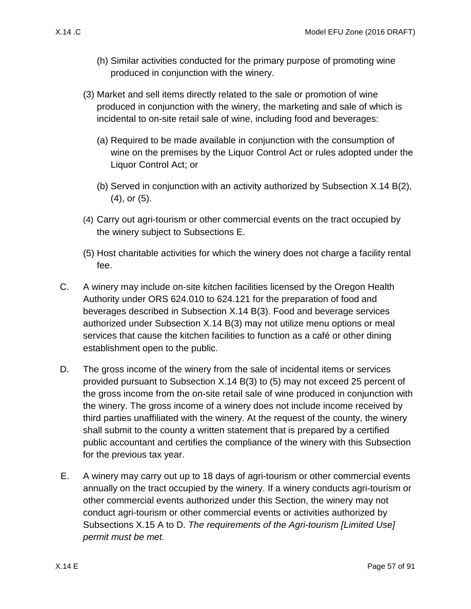- (h) Similar activities conducted for the primary purpose of promoting wine produced in conjunction with the winery.
- <span id="page-56-2"></span>(3) Market and sell items directly related to the sale or promotion of wine produced in conjunction with the winery, the marketing and sale of which is incidental to on-site retail sale of wine, including food and beverages:
	- (a) Required to be made available in conjunction with the consumption of wine on the premises by the Liquor Control Act or rules adopted under the Liquor Control Act; or
	- (b) Served in conjunction with an activity authorized by Subsection [X.14 B\(2\),](#page-55-2) [\(4\),](#page-56-0) or [\(5\).](#page-56-1)
- <span id="page-56-0"></span>(4) Carry out agri-tourism or other commercial events on the tract occupied by the winery subject to Subsections E.
- <span id="page-56-1"></span>(5) Host charitable activities for which the winery does not charge a facility rental fee.
- C. A winery may include on-site kitchen facilities licensed by the Oregon Health Authority under ORS 624.010 to 624.121 for the preparation of food and beverages described in Subsection [X.14 B\(3\).](#page-56-2) Food and beverage services authorized under Subsection [X.14 B\(3\)](#page-56-2) may not utilize menu options or meal services that cause the kitchen facilities to function as a café or other dining establishment open to the public.
- D. The gross income of the winery from the sale of incidental items or services provided pursuant to Subsection [X.14 B\(3\)](#page-56-2) to [\(5\)](#page-56-1) may not exceed 25 percent of the gross income from the on-site retail sale of wine produced in conjunction with the winery. The gross income of a winery does not include income received by third parties unaffiliated with the winery. At the request of the county, the winery shall submit to the county a written statement that is prepared by a certified public accountant and certifies the compliance of the winery with this Subsection for the previous tax year.
- <span id="page-56-3"></span>E. A winery may carry out up to 18 days of agri-tourism or other commercial events annually on the tract occupied by the winery. If a winery conducts agri-tourism or other commercial events authorized under this Section, the winery may not conduct agri-tourism or other commercial events or activities authorized by Subsections [X.15 A](#page-60-0) to [D.](#page-63-0) *The requirements of the Agri-tourism [Limited Use] permit must be met.*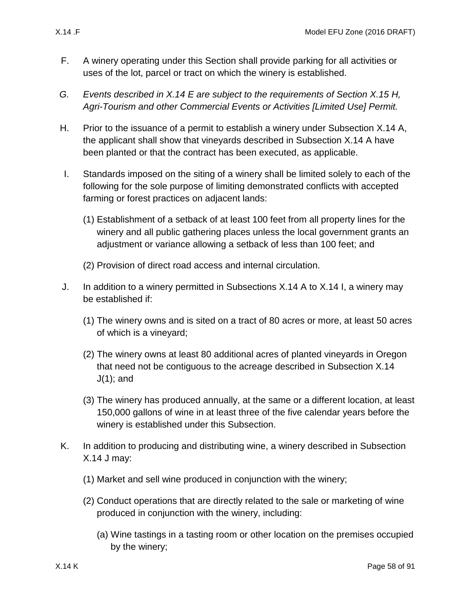- F. A winery operating under this Section shall provide parking for all activities or uses of the lot, parcel or tract on which the winery is established.
- *G. Events described in [X.14 E](#page-56-3) are subject to the requirements of Section [X.15 H,](#page-64-0) Agri-Tourism and other Commercial Events or Activities [Limited Use] Permit.*
- H. Prior to the issuance of a permit to establish a winery under Subsection [X.14 A,](#page-54-3) the applicant shall show that vineyards described in Subsection [X.14 A](#page-54-3) have been planted or that the contract has been executed, as applicable.
- <span id="page-57-0"></span>I. Standards imposed on the siting of a winery shall be limited solely to each of the following for the sole purpose of limiting demonstrated conflicts with accepted farming or forest practices on adjacent lands:
	- (1) Establishment of a setback of at least 100 feet from all property lines for the winery and all public gathering places unless the local government grants an adjustment or variance allowing a setback of less than 100 feet; and
	- (2) Provision of direct road access and internal circulation.
- <span id="page-57-2"></span><span id="page-57-1"></span>J. In addition to a winery permitted in Subsections [X.14 A](#page-54-3) to [X.14 I,](#page-57-0) a winery may be established if:
	- (1) The winery owns and is sited on a tract of 80 acres or more, at least 50 acres of which is a vineyard;
	- (2) The winery owns at least 80 additional acres of planted vineyards in Oregon that need not be contiguous to the acreage described in Subsection [X.14](#page-57-1)  [J\(1\);](#page-57-1) and
	- (3) The winery has produced annually, at the same or a different location, at least 150,000 gallons of wine in at least three of the five calendar years before the winery is established under this Subsection.
- <span id="page-57-3"></span>K. In addition to producing and distributing wine, a winery described in Subsection [X.14 J](#page-57-2) may:
	- (1) Market and sell wine produced in conjunction with the winery;
	- (2) Conduct operations that are directly related to the sale or marketing of wine produced in conjunction with the winery, including:
		- (a) Wine tastings in a tasting room or other location on the premises occupied by the winery;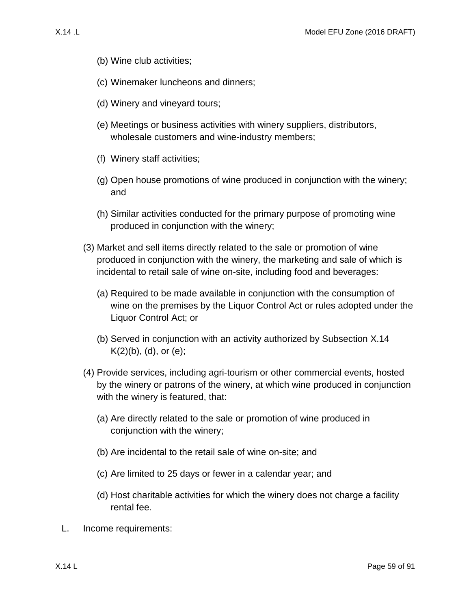- <span id="page-58-0"></span>(b) Wine club activities;
- (c) Winemaker luncheons and dinners;
- <span id="page-58-1"></span>(d) Winery and vineyard tours;
- <span id="page-58-2"></span>(e) Meetings or business activities with winery suppliers, distributors, wholesale customers and wine-industry members;
- (f) Winery staff activities;
- (g) Open house promotions of wine produced in conjunction with the winery; and
- (h) Similar activities conducted for the primary purpose of promoting wine produced in conjunction with the winery;
- <span id="page-58-3"></span>(3) Market and sell items directly related to the sale or promotion of wine produced in conjunction with the winery, the marketing and sale of which is incidental to retail sale of wine on-site, including food and beverages:
	- (a) Required to be made available in conjunction with the consumption of wine on the premises by the Liquor Control Act or rules adopted under the Liquor Control Act; or
	- (b) Served in conjunction with an activity authorized by Subsection [X.14](#page-58-0)   $K(2)(b)$ , [\(d\),](#page-58-1) or [\(e\);](#page-58-2)
- <span id="page-58-4"></span>(4) Provide services, including agri-tourism or other commercial events, hosted by the winery or patrons of the winery, at which wine produced in conjunction with the winery is featured, that:
	- (a) Are directly related to the sale or promotion of wine produced in conjunction with the winery;
	- (b) Are incidental to the retail sale of wine on-site; and
	- (c) Are limited to 25 days or fewer in a calendar year; and
	- (d) Host charitable activities for which the winery does not charge a facility rental fee.
- L. Income requirements: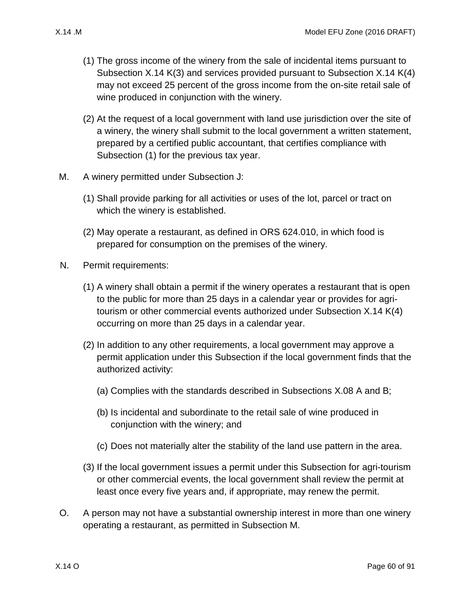- (1) The gross income of the winery from the sale of incidental items pursuant to Subsection [X.14 K\(3\)](#page-58-3) and services provided pursuant to Subsection [X.14 K\(4\)](#page-58-4) may not exceed 25 percent of the gross income from the on-site retail sale of wine produced in conjunction with the winery.
- (2) At the request of a local government with land use jurisdiction over the site of a winery, the winery shall submit to the local government a written statement, prepared by a certified public accountant, that certifies compliance with Subsection [\(1\)](#page-57-3) for the previous tax year.
- <span id="page-59-0"></span>M. A winery permitted under Subsection [J:](#page-57-2)
	- (1) Shall provide parking for all activities or uses of the lot, parcel or tract on which the winery is established.
	- (2) May operate a restaurant, as defined in ORS 624.010, in which food is prepared for consumption on the premises of the winery.
- N. Permit requirements:
	- (1) A winery shall obtain a permit if the winery operates a restaurant that is open to the public for more than 25 days in a calendar year or provides for agritourism or other commercial events authorized under Subsection [X.14 K\(4\)](#page-58-4) occurring on more than 25 days in a calendar year.
	- (2) In addition to any other requirements, a local government may approve a permit application under this Subsection if the local government finds that the authorized activity:
		- (a) Complies with the standards described in Subsections [X.08 A](#page-36-1) and [B;](#page-36-2)
		- (b) Is incidental and subordinate to the retail sale of wine produced in conjunction with the winery; and
		- (c) Does not materially alter the stability of the land use pattern in the area.
	- (3) If the local government issues a permit under this Subsection for agri-tourism or other commercial events, the local government shall review the permit at least once every five years and, if appropriate, may renew the permit.
- O. A person may not have a substantial ownership interest in more than one winery operating a restaurant, as permitted in Subsection [M.](#page-59-0)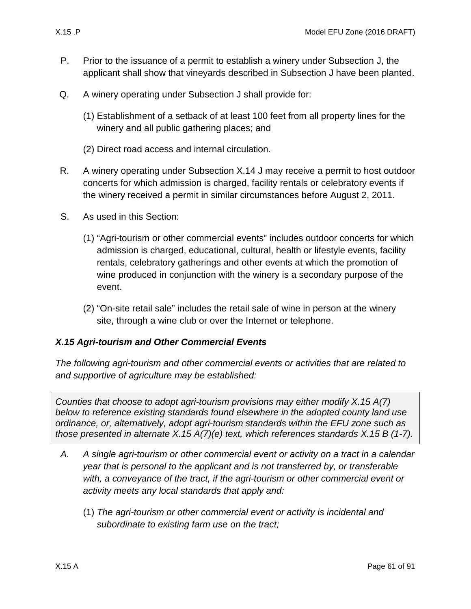- P. Prior to the issuance of a permit to establish a winery under Subsection [J,](#page-57-2) the applicant shall show that vineyards described in Subsection [J](#page-57-2) have been planted.
- Q. A winery operating under Subsection [J](#page-57-2) shall provide for:
	- (1) Establishment of a setback of at least 100 feet from all property lines for the winery and all public gathering places; and
	- (2) Direct road access and internal circulation.
- R. A winery operating under Subsection [X.14 J](#page-57-2) may receive a permit to host outdoor concerts for which admission is charged, facility rentals or celebratory events if the winery received a permit in similar circumstances before August 2, 2011.
- S. As used in this Section:
	- (1) "Agri-tourism or other commercial events" includes outdoor concerts for which admission is charged, educational, cultural, health or lifestyle events, facility rentals, celebratory gatherings and other events at which the promotion of wine produced in conjunction with the winery is a secondary purpose of the event.
	- (2) "On-site retail sale" includes the retail sale of wine in person at the winery site, through a wine club or over the Internet or telephone.

### *X.15 Agri-tourism and Other Commercial Events*

*The following agri-tourism and other commercial events or activities that are related to and supportive of agriculture may be established:*

*Counties that choose to adopt agri-tourism provisions may either modify [X.15 A\(7\)](#page-61-0) below to reference existing standards found elsewhere in the adopted county land use ordinance, or, alternatively, adopt agri-tourism standards within the EFU zone such as those presented in alternate [X.15 A\(7\)\(e\)](#page-61-1) text, which references standards [X.15 B](#page-61-2) (1-7).*

- <span id="page-60-0"></span>*A. A single agri-tourism or other commercial event or activity on a tract in a calendar year that is personal to the applicant and is not transferred by, or transferable*  with, a conveyance of the tract, if the agri-tourism or other commercial event or *activity meets any local standards that apply and:*
	- (1) *The agri-tourism or other commercial event or activity is incidental and subordinate to existing farm use on the tract;*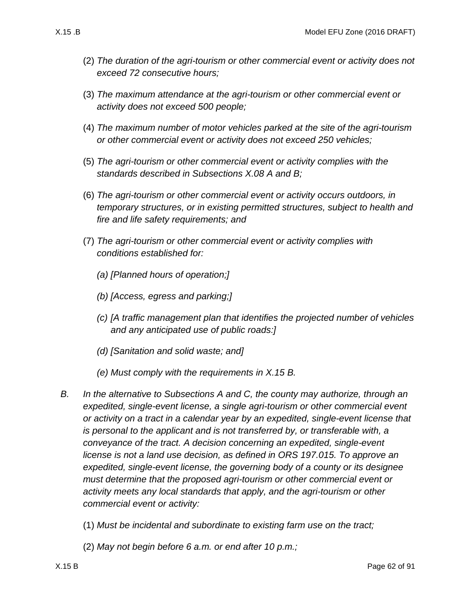- (2) *The duration of the agri-tourism or other commercial event or activity does not exceed 72 consecutive hours;*
- (3) *The maximum attendance at the agri-tourism or other commercial event or activity does not exceed 500 people;*
- (4) *The maximum number of motor vehicles parked at the site of the agri-tourism or other commercial event or activity does not exceed 250 vehicles;*
- (5) *The agri-tourism or other commercial event or activity complies with the standards described in Subsections [X.08 A](#page-36-1) and [B;](#page-36-2)*
- (6) *The agri-tourism or other commercial event or activity occurs outdoors, in temporary structures, or in existing permitted structures, subject to health and fire and life safety requirements; and*
- <span id="page-61-0"></span>(7) *The agri-tourism or other commercial event or activity complies with conditions established for:*
	- *(a) [Planned hours of operation;]*
	- *(b) [Access, egress and parking;]*
	- *(c) [A traffic management plan that identifies the projected number of vehicles and any anticipated use of public roads:]*
	- *(d) [Sanitation and solid waste; and]*
	- *(e) Must comply with the requirements in [X.15 B.](#page-61-2)*
- <span id="page-61-2"></span><span id="page-61-1"></span>*B. In the alternative to Subsections [A](#page-60-0) and [C,](#page-62-0) the county may authorize, through an expedited, single-event license, a single agri-tourism or other commercial event or activity on a tract in a calendar year by an expedited, single-event license that is personal to the applicant and is not transferred by, or transferable with, a conveyance of the tract. A decision concerning an expedited, single-event license is not a land use decision, as defined in ORS 197.015. To approve an expedited, single-event license, the governing body of a county or its designee must determine that the proposed agri-tourism or other commercial event or activity meets any local standards that apply, and the agri-tourism or other commercial event or activity:*
	- (1) *Must be incidental and subordinate to existing farm use on the tract;*
	- (2) *May not begin before 6 a.m. or end after 10 p.m.;*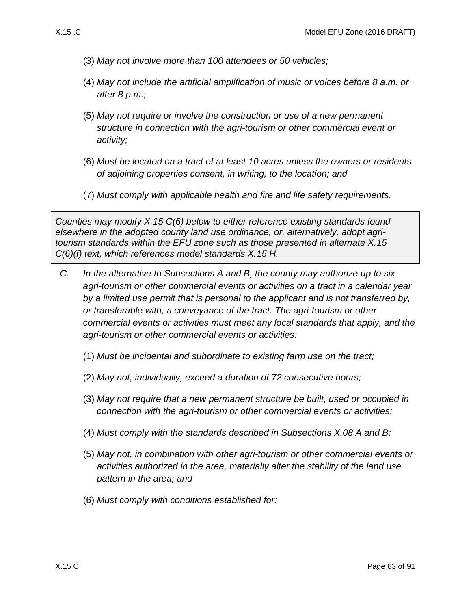- (3) *May not involve more than 100 attendees or 50 vehicles;*
- (4) *May not include the artificial amplification of music or voices before 8 a.m. or after 8 p.m.;*
- (5) *May not require or involve the construction or use of a new permanent structure in connection with the agri-tourism or other commercial event or activity;*
- (6) *Must be located on a tract of at least 10 acres unless the owners or residents of adjoining properties consent, in writing, to the location; and*
- (7) *Must comply with applicable health and fire and life safety requirements.*

*Counties may modify [X.15 C\(6\)](#page-62-1) below to either reference existing standards found elsewhere in the adopted county land use ordinance, or, alternatively, adopt agritourism standards within the EFU zone such as those presented in alternate [X.15](#page-63-1)  [C\(6\)\(f\)](#page-63-1) text, which references model standards [X.15 H.](#page-64-0)*

- <span id="page-62-4"></span><span id="page-62-3"></span><span id="page-62-2"></span><span id="page-62-1"></span><span id="page-62-0"></span>*C. In the alternative to Subsections [A](#page-60-0) and [B,](#page-61-2) the county may authorize up to six agri-tourism or other commercial events or activities on a tract in a calendar year by a limited use permit that is personal to the applicant and is not transferred by, or transferable with, a conveyance of the tract. The agri-tourism or other commercial events or activities must meet any local standards that apply, and the agri-tourism or other commercial events or activities:*
	- (1) *Must be incidental and subordinate to existing farm use on the tract;*
	- (2) *May not, individually, exceed a duration of 72 consecutive hours;*
	- (3) *May not require that a new permanent structure be built, used or occupied in connection with the agri-tourism or other commercial events or activities;*
	- (4) *Must comply with the standards described in Subsections [X.08 A](#page-36-1) and [B;](#page-36-2)*
	- (5) *May not, in combination with other agri-tourism or other commercial events or activities authorized in the area, materially alter the stability of the land use pattern in the area; and*
	- (6) *Must comply with conditions established for:*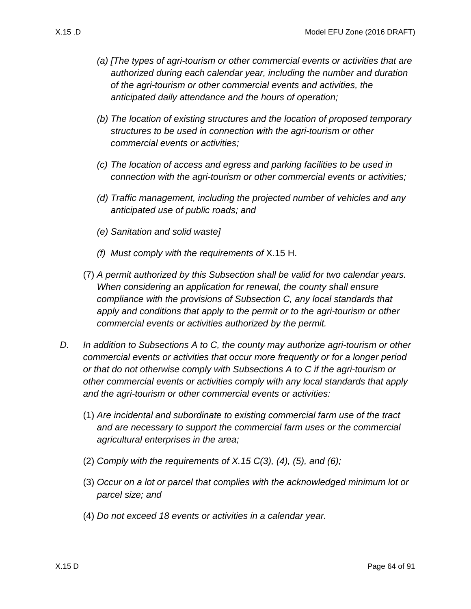- *(a) [The types of agri-tourism or other commercial events or activities that are authorized during each calendar year, including the number and duration of the agri-tourism or other commercial events and activities, the anticipated daily attendance and the hours of operation;*
- *(b) The location of existing structures and the location of proposed temporary structures to be used in connection with the agri-tourism or other commercial events or activities;*
- *(c) The location of access and egress and parking facilities to be used in connection with the agri-tourism or other commercial events or activities;*
- *(d) Traffic management, including the projected number of vehicles and any anticipated use of public roads; and*
- *(e) Sanitation and solid waste]*
- *(f) Must comply with the requirements of* [X.15 H.](#page-64-0)
- <span id="page-63-1"></span>(7) *A permit authorized by this Subsection shall be valid for two calendar years. When considering an application for renewal, the county shall ensure compliance with the provisions of Subsection [C,](#page-62-0) any local standards that apply and conditions that apply to the permit or to the agri-tourism or other commercial events or activities authorized by the permit.*
- <span id="page-63-0"></span>*D. In addition to Subsections [A](#page-60-0) to [C,](#page-62-0) the county may authorize agri-tourism or other commercial events or activities that occur more frequently or for a longer period or that do not otherwise comply with Subsections [A](#page-60-0) to [C](#page-62-0) if the agri-tourism or other commercial events or activities comply with any local standards that apply and the agri-tourism or other commercial events or activities:*
	- (1) *Are incidental and subordinate to existing commercial farm use of the tract and are necessary to support the commercial farm uses or the commercial agricultural enterprises in the area;*
	- (2) *Comply with the requirements of [X.15 C\(3\),](#page-62-2) [\(4\),](#page-62-3) [\(5\),](#page-62-4) and [\(6\);](#page-62-1)*
	- (3) *Occur on a lot or parcel that complies with the acknowledged minimum lot or parcel size; and*
	- (4) *Do not exceed 18 events or activities in a calendar year.*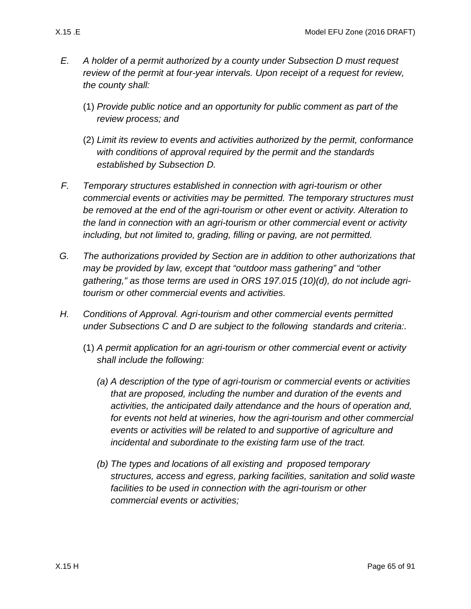- *E. A holder of a permit authorized by a county under Subsection [D](#page-63-0) must request review of the permit at four-year intervals. Upon receipt of a request for review, the county shall:*
	- (1) *Provide public notice and an opportunity for public comment as part of the review process; and*
	- (2) *Limit its review to events and activities authorized by the permit, conformance with conditions of approval required by the permit and the standards established by Subsection [D.](#page-63-0)*
- *F. Temporary structures established in connection with agri-tourism or other commercial events or activities may be permitted. The temporary structures must be removed at the end of the agri-tourism or other event or activity. Alteration to the land in connection with an agri-tourism or other commercial event or activity including, but not limited to, grading, filling or paving, are not permitted.*
- *G. The authorizations provided by Section are in addition to other authorizations that may be provided by law, except that "outdoor mass gathering" and "other gathering," as those terms are used in ORS 197.015 (10)(d), do not include agritourism or other commercial events and activities.*
- <span id="page-64-0"></span>*H. Conditions of Approval. Agri-tourism and other commercial events permitted under Subsections C and D are subject to the following standards and criteria:.*
	- (1) *A permit application for an agri-tourism or other commercial event or activity shall include the following:*
		- *(a) A description of the type of agri-tourism or commercial events or activities that are proposed, including the number and duration of the events and activities, the anticipated daily attendance and the hours of operation and, for events not held at wineries, how the agri-tourism and other commercial events or activities will be related to and supportive of agriculture and incidental and subordinate to the existing farm use of the tract.*
		- *(b) The types and locations of all existing and proposed temporary structures, access and egress, parking facilities, sanitation and solid waste facilities to be used in connection with the agri-tourism or other commercial events or activities;*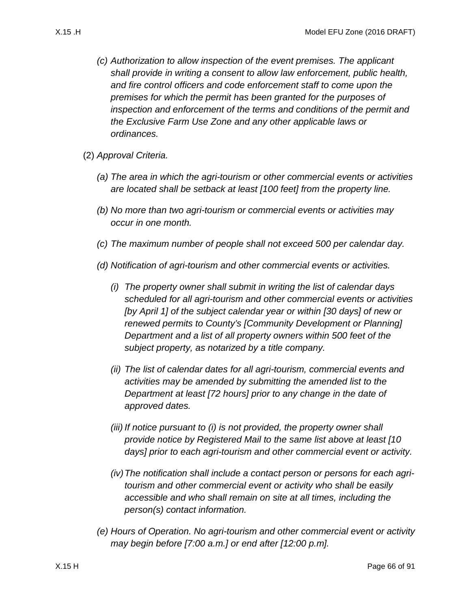- <span id="page-65-0"></span>
	- *(c) Authorization to allow inspection of the event premises. The applicant shall provide in writing a consent to allow law enforcement, public health, and fire control officers and code enforcement staff to come upon the premises for which the permit has been granted for the purposes of inspection and enforcement of the terms and conditions of the permit and the Exclusive Farm Use Zone and any other applicable laws or ordinances.*
	- (2) *Approval Criteria.*
		- *(a) The area in which the agri-tourism or other commercial events or activities are located shall be setback at least [100 feet] from the property line.*
		- *(b) No more than two agri-tourism or commercial events or activities may occur in one month.*
		- *(c) The maximum number of people shall not exceed 500 per calendar day.*
		- *(d) Notification of agri-tourism and other commercial events or activities.*
			- *(i) The property owner shall submit in writing the list of calendar days scheduled for all agri-tourism and other commercial events or activities [by April 1] of the subject calendar year or within [30 days] of new or renewed permits to County's [Community Development or Planning] Department and a list of all property owners within 500 feet of the subject property, as notarized by a title company.*
			- *(ii) The list of calendar dates for all agri-tourism, commercial events and activities may be amended by submitting the amended list to the Department at least [72 hours] prior to any change in the date of approved dates.*
			- *(iii) If notice pursuant to [\(i\)](#page-65-0) is not provided, the property owner shall provide notice by Registered Mail to the same list above at least [10 days] prior to each agri-tourism and other commercial event or activity.*
			- *(iv)The notification shall include a contact person or persons for each agritourism and other commercial event or activity who shall be easily accessible and who shall remain on site at all times, including the person(s) contact information.*
		- *(e) Hours of Operation. No agri-tourism and other commercial event or activity may begin before [7:00 a.m.] or end after [12:00 p.m].*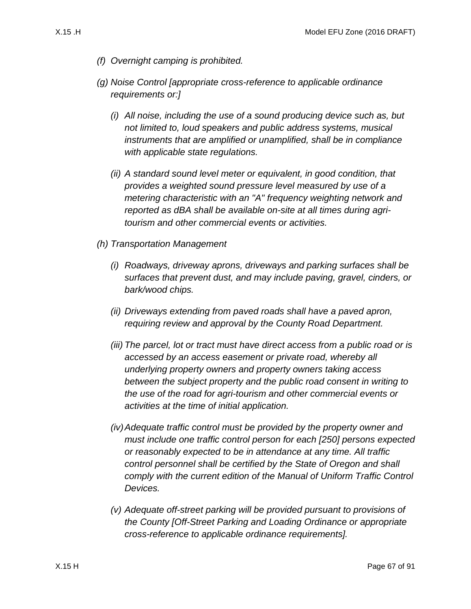- *(f) Overnight camping is prohibited.*
- *(g) Noise Control [appropriate cross-reference to applicable ordinance requirements or:]*
	- *(i) All noise, including the use of a sound producing device such as, but not limited to, loud speakers and public address systems, musical instruments that are amplified or unamplified, shall be in compliance with applicable state regulations.*
	- *(ii) A standard sound level meter or equivalent, in good condition, that provides a weighted sound pressure level measured by use of a metering characteristic with an "A" frequency weighting network and reported as dBA shall be available on-site at all times during agritourism and other commercial events or activities.*
- *(h) Transportation Management*
	- *(i) Roadways, driveway aprons, driveways and parking surfaces shall be surfaces that prevent dust, and may include paving, gravel, cinders, or bark/wood chips.*
	- *(ii) Driveways extending from paved roads shall have a paved apron, requiring review and approval by the County Road Department.*
	- *(iii) The parcel, lot or tract must have direct access from a public road or is accessed by an access easement or private road, whereby all underlying property owners and property owners taking access between the subject property and the public road consent in writing to the use of the road for agri-tourism and other commercial events or activities at the time of initial application.*
	- *(iv)Adequate traffic control must be provided by the property owner and must include one traffic control person for each [250] persons expected or reasonably expected to be in attendance at any time. All traffic control personnel shall be certified by the State of Oregon and shall comply with the current edition of the Manual of Uniform Traffic Control Devices.*
	- *(v) Adequate off-street parking will be provided pursuant to provisions of the County [Off-Street Parking and Loading Ordinance or appropriate cross-reference to applicable ordinance requirements].*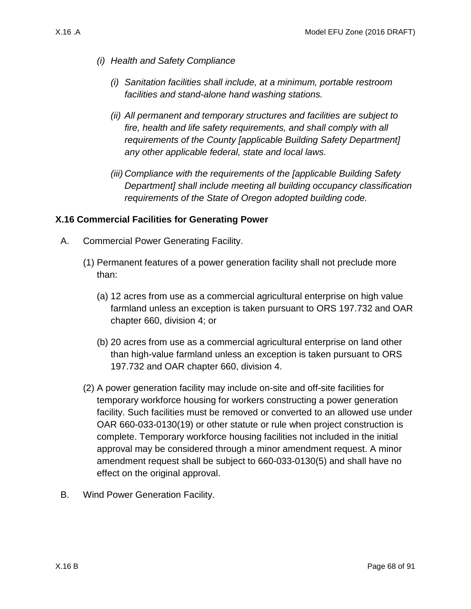- *(i) Health and Safety Compliance*
	- *(i) Sanitation facilities shall include, at a minimum, portable restroom facilities and stand-alone hand washing stations.*
	- *(ii) All permanent and temporary structures and facilities are subject to fire, health and life safety requirements, and shall comply with all requirements of the County [applicable Building Safety Department] any other applicable federal, state and local laws.*
	- *(iii) Compliance with the requirements of the [applicable Building Safety Department] shall include meeting all building occupancy classification requirements of the State of Oregon adopted building code.*

#### **X.16 Commercial Facilities for Generating Power**

- A. Commercial Power Generating Facility.
	- (1) Permanent features of a power generation facility shall not preclude more than:
		- (a) 12 acres from use as a commercial agricultural enterprise on high value farmland unless an exception is taken pursuant to ORS 197.732 and OAR chapter 660, division 4; or
		- (b) 20 acres from use as a commercial agricultural enterprise on land other than high-value farmland unless an exception is taken pursuant to ORS 197.732 and OAR chapter 660, division 4.
	- (2) A power generation facility may include on-site and off-site facilities for temporary workforce housing for workers constructing a power generation facility. Such facilities must be removed or converted to an allowed use under OAR 660-033-0130(19) or other statute or rule when project construction is complete. Temporary workforce housing facilities not included in the initial approval may be considered through a minor amendment request. A minor amendment request shall be subject to 660-033-0130(5) and shall have no effect on the original approval.
- <span id="page-67-0"></span>B. Wind Power Generation Facility.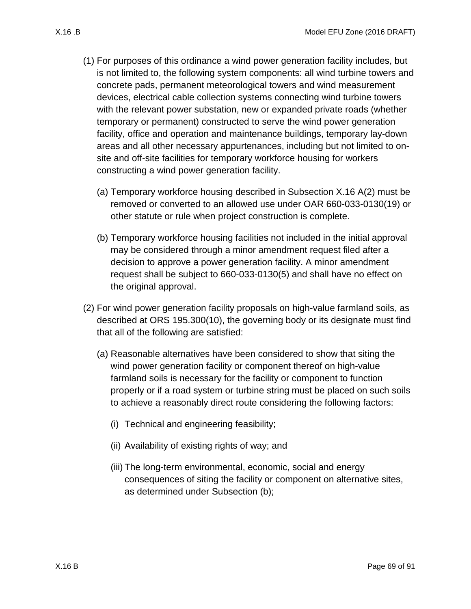- <span id="page-68-1"></span><span id="page-68-0"></span>(1) For purposes of this ordinance a wind power generation facility includes, but is not limited to, the following system components: all wind turbine towers and concrete pads, permanent meteorological towers and wind measurement devices, electrical cable collection systems connecting wind turbine towers
	- with the relevant power substation, new or expanded private roads (whether temporary or permanent) constructed to serve the wind power generation facility, office and operation and maintenance buildings, temporary lay-down areas and all other necessary appurtenances, including but not limited to onsite and off-site facilities for temporary workforce housing for workers constructing a wind power generation facility.
	- (a) Temporary workforce housing described in Subsection [X.16 A\(2\)](#page-67-0) must be removed or converted to an allowed use under OAR 660-033-0130(19) or other statute or rule when project construction is complete.
	- (b) Temporary workforce housing facilities not included in the initial approval may be considered through a minor amendment request filed after a decision to approve a power generation facility. A minor amendment request shall be subject to 660-033-0130(5) and shall have no effect on the original approval.
	- (2) For wind power generation facility proposals on high-value farmland soils, as described at ORS 195.300(10), the governing body or its designate must find that all of the following are satisfied:
		- (a) Reasonable alternatives have been considered to show that siting the wind power generation facility or component thereof on high-value farmland soils is necessary for the facility or component to function properly or if a road system or turbine string must be placed on such soils to achieve a reasonably direct route considering the following factors:
			- (i) Technical and engineering feasibility;
			- (ii) Availability of existing rights of way; and
			- (iii) The long-term environmental, economic, social and energy consequences of siting the facility or component on alternative sites, as determined under Subsection [\(b\);](#page-69-0)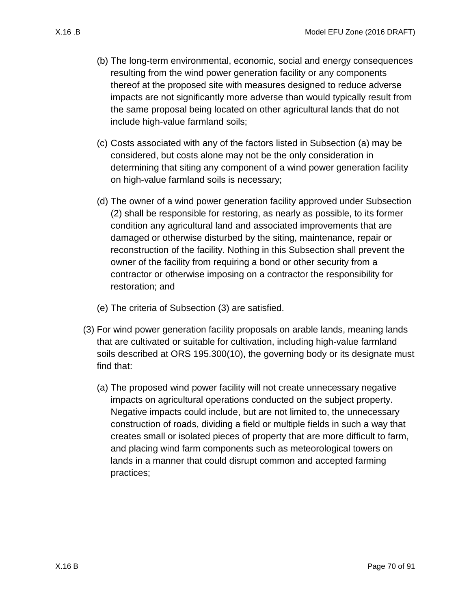- <span id="page-69-0"></span>(b) The long-term environmental, economic, social and energy consequences resulting from the wind power generation facility or any components thereof at the proposed site with measures designed to reduce adverse impacts are not significantly more adverse than would typically result from the same proposal being located on other agricultural lands that do not include high-value farmland soils;
- (c) Costs associated with any of the factors listed in Subsection [\(a\)](#page-68-0) may be considered, but costs alone may not be the only consideration in determining that siting any component of a wind power generation facility on high-value farmland soils is necessary;
- (d) The owner of a wind power generation facility approved under Subsection [\(2\)](#page-68-1) shall be responsible for restoring, as nearly as possible, to its former condition any agricultural land and associated improvements that are damaged or otherwise disturbed by the siting, maintenance, repair or reconstruction of the facility. Nothing in this Subsection shall prevent the owner of the facility from requiring a bond or other security from a contractor or otherwise imposing on a contractor the responsibility for restoration; and
- (e) The criteria of Subsection [\(3\)](#page-69-1) are satisfied.
- <span id="page-69-1"></span>(3) For wind power generation facility proposals on arable lands, meaning lands that are cultivated or suitable for cultivation, including high-value farmland soils described at ORS 195.300(10), the governing body or its designate must find that:
	- (a) The proposed wind power facility will not create unnecessary negative impacts on agricultural operations conducted on the subject property. Negative impacts could include, but are not limited to, the unnecessary construction of roads, dividing a field or multiple fields in such a way that creates small or isolated pieces of property that are more difficult to farm, and placing wind farm components such as meteorological towers on lands in a manner that could disrupt common and accepted farming practices;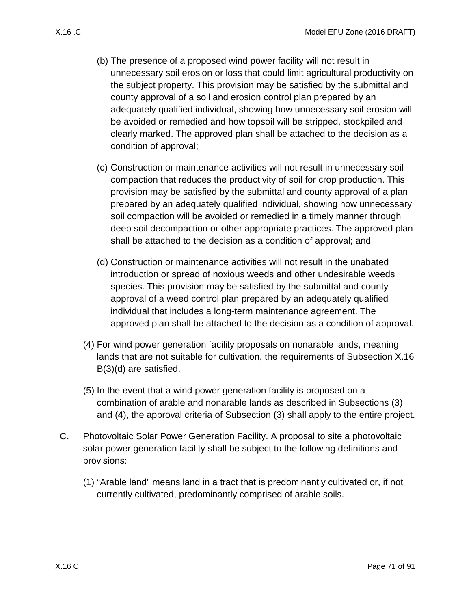- (b) The presence of a proposed wind power facility will not result in unnecessary soil erosion or loss that could limit agricultural productivity on the subject property. This provision may be satisfied by the submittal and county approval of a soil and erosion control plan prepared by an adequately qualified individual, showing how unnecessary soil erosion will be avoided or remedied and how topsoil will be stripped, stockpiled and clearly marked. The approved plan shall be attached to the decision as a condition of approval;
- (c) Construction or maintenance activities will not result in unnecessary soil compaction that reduces the productivity of soil for crop production. This provision may be satisfied by the submittal and county approval of a plan prepared by an adequately qualified individual, showing how unnecessary soil compaction will be avoided or remedied in a timely manner through deep soil decompaction or other appropriate practices. The approved plan shall be attached to the decision as a condition of approval; and
- <span id="page-70-0"></span>(d) Construction or maintenance activities will not result in the unabated introduction or spread of noxious weeds and other undesirable weeds species. This provision may be satisfied by the submittal and county approval of a weed control plan prepared by an adequately qualified individual that includes a long-term maintenance agreement. The approved plan shall be attached to the decision as a condition of approval.
- <span id="page-70-1"></span>(4) For wind power generation facility proposals on nonarable lands, meaning lands that are not suitable for cultivation, the requirements of Subsection [X.16](#page-70-0)  [B\(3\)\(d\)](#page-70-0) are satisfied.
- (5) In the event that a wind power generation facility is proposed on a combination of arable and nonarable lands as described in Subsections [\(3\)](#page-69-1) and [\(4\),](#page-70-1) the approval criteria of Subsection [\(3\)](#page-69-1) shall apply to the entire project.
- C. Photovoltaic Solar Power Generation Facility. A proposal to site a photovoltaic solar power generation facility shall be subject to the following definitions and provisions:
	- (1) "Arable land" means land in a tract that is predominantly cultivated or, if not currently cultivated, predominantly comprised of arable soils.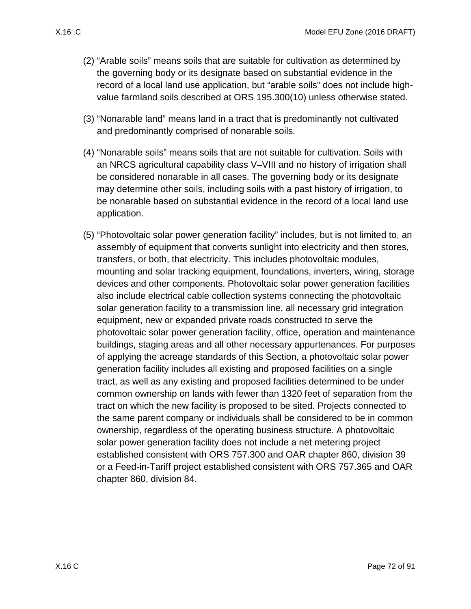- (2) "Arable soils" means soils that are suitable for cultivation as determined by the governing body or its designate based on substantial evidence in the record of a local land use application, but "arable soils" does not include highvalue farmland soils described at ORS 195.300(10) unless otherwise stated.
- (3) "Nonarable land" means land in a tract that is predominantly not cultivated and predominantly comprised of nonarable soils.
- (4) "Nonarable soils" means soils that are not suitable for cultivation. Soils with an NRCS agricultural capability class V–VIII and no history of irrigation shall be considered nonarable in all cases. The governing body or its designate may determine other soils, including soils with a past history of irrigation, to be nonarable based on substantial evidence in the record of a local land use application.
- (5) "Photovoltaic solar power generation facility" includes, but is not limited to, an assembly of equipment that converts sunlight into electricity and then stores, transfers, or both, that electricity. This includes photovoltaic modules, mounting and solar tracking equipment, foundations, inverters, wiring, storage devices and other components. Photovoltaic solar power generation facilities also include electrical cable collection systems connecting the photovoltaic solar generation facility to a transmission line, all necessary grid integration equipment, new or expanded private roads constructed to serve the photovoltaic solar power generation facility, office, operation and maintenance buildings, staging areas and all other necessary appurtenances. For purposes of applying the acreage standards of this Section, a photovoltaic solar power generation facility includes all existing and proposed facilities on a single tract, as well as any existing and proposed facilities determined to be under common ownership on lands with fewer than 1320 feet of separation from the tract on which the new facility is proposed to be sited. Projects connected to the same parent company or individuals shall be considered to be in common ownership, regardless of the operating business structure. A photovoltaic solar power generation facility does not include a net metering project established consistent with ORS 757.300 and OAR chapter 860, division 39 or a Feed-in-Tariff project established consistent with ORS 757.365 and OAR chapter 860, division 84.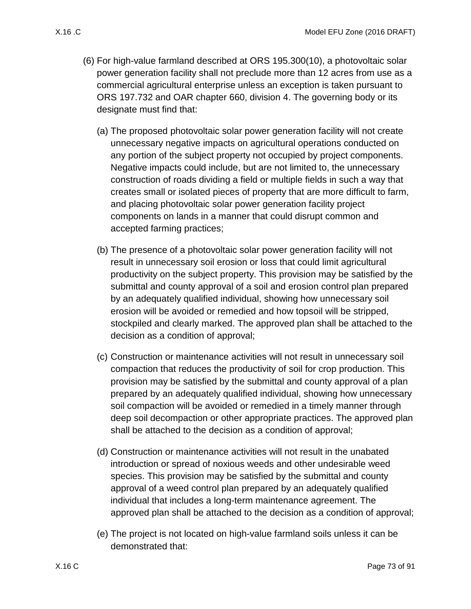- <span id="page-72-3"></span><span id="page-72-2"></span><span id="page-72-1"></span><span id="page-72-0"></span>(6) For high-value farmland described at ORS 195.300(10), a photovoltaic solar power generation facility shall not preclude more than 12 acres from use as a commercial agricultural enterprise unless an exception is taken pursuant to ORS 197.732 and OAR chapter 660, division 4. The governing body or its designate must find that:
	- (a) The proposed photovoltaic solar power generation facility will not create unnecessary negative impacts on agricultural operations conducted on any portion of the subject property not occupied by project components. Negative impacts could include, but are not limited to, the unnecessary construction of roads dividing a field or multiple fields in such a way that creates small or isolated pieces of property that are more difficult to farm, and placing photovoltaic solar power generation facility project components on lands in a manner that could disrupt common and accepted farming practices;
	- (b) The presence of a photovoltaic solar power generation facility will not result in unnecessary soil erosion or loss that could limit agricultural productivity on the subject property. This provision may be satisfied by the submittal and county approval of a soil and erosion control plan prepared by an adequately qualified individual, showing how unnecessary soil erosion will be avoided or remedied and how topsoil will be stripped, stockpiled and clearly marked. The approved plan shall be attached to the decision as a condition of approval;
	- (c) Construction or maintenance activities will not result in unnecessary soil compaction that reduces the productivity of soil for crop production. This provision may be satisfied by the submittal and county approval of a plan prepared by an adequately qualified individual, showing how unnecessary soil compaction will be avoided or remedied in a timely manner through deep soil decompaction or other appropriate practices. The approved plan shall be attached to the decision as a condition of approval;
	- (d) Construction or maintenance activities will not result in the unabated introduction or spread of noxious weeds and other undesirable weed species. This provision may be satisfied by the submittal and county approval of a weed control plan prepared by an adequately qualified individual that includes a long-term maintenance agreement. The approved plan shall be attached to the decision as a condition of approval;
	- (e) The project is not located on high-value farmland soils unless it can be demonstrated that: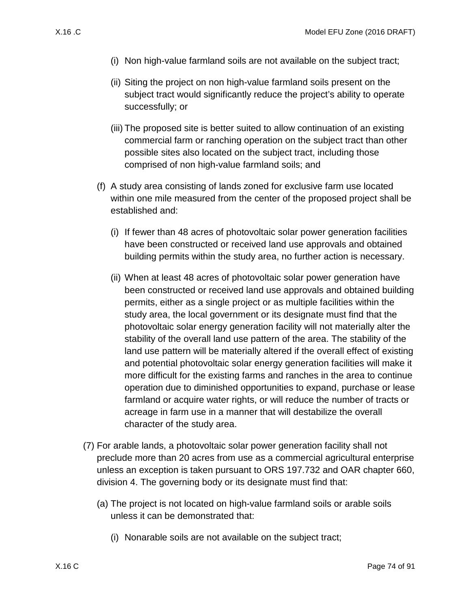- (i) Non high-value farmland soils are not available on the subject tract;
- (ii) Siting the project on non high-value farmland soils present on the subject tract would significantly reduce the project's ability to operate successfully; or
- (iii) The proposed site is better suited to allow continuation of an existing commercial farm or ranching operation on the subject tract than other possible sites also located on the subject tract, including those comprised of non high-value farmland soils; and
- (f) A study area consisting of lands zoned for exclusive farm use located within one mile measured from the center of the proposed project shall be established and:
	- (i) If fewer than 48 acres of photovoltaic solar power generation facilities have been constructed or received land use approvals and obtained building permits within the study area, no further action is necessary.
	- (ii) When at least 48 acres of photovoltaic solar power generation have been constructed or received land use approvals and obtained building permits, either as a single project or as multiple facilities within the study area, the local government or its designate must find that the photovoltaic solar energy generation facility will not materially alter the stability of the overall land use pattern of the area. The stability of the land use pattern will be materially altered if the overall effect of existing and potential photovoltaic solar energy generation facilities will make it more difficult for the existing farms and ranches in the area to continue operation due to diminished opportunities to expand, purchase or lease farmland or acquire water rights, or will reduce the number of tracts or acreage in farm use in a manner that will destabilize the overall character of the study area.
- (7) For arable lands, a photovoltaic solar power generation facility shall not preclude more than 20 acres from use as a commercial agricultural enterprise unless an exception is taken pursuant to ORS 197.732 and OAR chapter 660, division 4. The governing body or its designate must find that:
	- (a) The project is not located on high-value farmland soils or arable soils unless it can be demonstrated that:
		- (i) Nonarable soils are not available on the subject tract;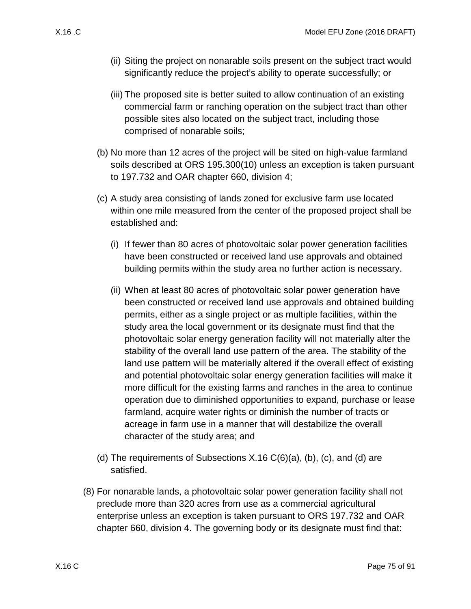- (ii) Siting the project on nonarable soils present on the subject tract would significantly reduce the project's ability to operate successfully; or
- (iii) The proposed site is better suited to allow continuation of an existing commercial farm or ranching operation on the subject tract than other possible sites also located on the subject tract, including those comprised of nonarable soils;
- (b) No more than 12 acres of the project will be sited on high-value farmland soils described at ORS 195.300(10) unless an exception is taken pursuant to 197.732 and OAR chapter 660, division 4;
- (c) A study area consisting of lands zoned for exclusive farm use located within one mile measured from the center of the proposed project shall be established and:
	- (i) If fewer than 80 acres of photovoltaic solar power generation facilities have been constructed or received land use approvals and obtained building permits within the study area no further action is necessary.
	- (ii) When at least 80 acres of photovoltaic solar power generation have been constructed or received land use approvals and obtained building permits, either as a single project or as multiple facilities, within the study area the local government or its designate must find that the photovoltaic solar energy generation facility will not materially alter the stability of the overall land use pattern of the area. The stability of the land use pattern will be materially altered if the overall effect of existing and potential photovoltaic solar energy generation facilities will make it more difficult for the existing farms and ranches in the area to continue operation due to diminished opportunities to expand, purchase or lease farmland, acquire water rights or diminish the number of tracts or acreage in farm use in a manner that will destabilize the overall character of the study area; and
- (d) The requirements of Subsections  $X.16 C(6)(a)$ , [\(b\),](#page-72-1) [\(c\),](#page-72-2) and [\(d\)](#page-72-3) are satisfied.
- (8) For nonarable lands, a photovoltaic solar power generation facility shall not preclude more than 320 acres from use as a commercial agricultural enterprise unless an exception is taken pursuant to ORS 197.732 and OAR chapter 660, division 4. The governing body or its designate must find that: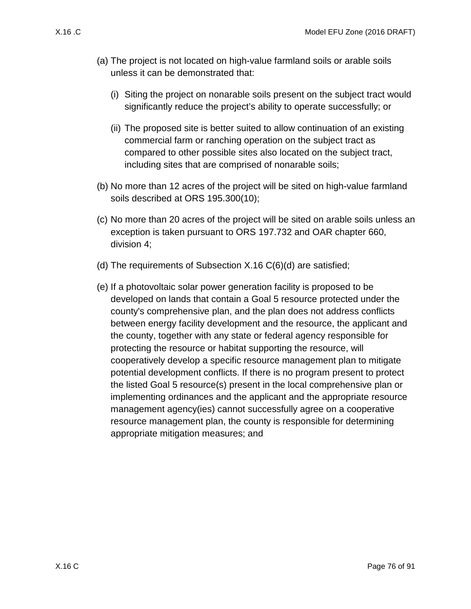- (a) The project is not located on high-value farmland soils or arable soils unless it can be demonstrated that:
	- (i) Siting the project on nonarable soils present on the subject tract would significantly reduce the project's ability to operate successfully; or
	- (ii) The proposed site is better suited to allow continuation of an existing commercial farm or ranching operation on the subject tract as compared to other possible sites also located on the subject tract, including sites that are comprised of nonarable soils;
- (b) No more than 12 acres of the project will be sited on high-value farmland soils described at ORS 195.300(10);
- (c) No more than 20 acres of the project will be sited on arable soils unless an exception is taken pursuant to ORS 197.732 and OAR chapter 660, division 4;
- (d) The requirements of Subsection [X.16 C\(6\)\(d\)](#page-72-3) are satisfied;
- (e) If a photovoltaic solar power generation facility is proposed to be developed on lands that contain a Goal 5 resource protected under the county's comprehensive plan, and the plan does not address conflicts between energy facility development and the resource, the applicant and the county, together with any state or federal agency responsible for protecting the resource or habitat supporting the resource, will cooperatively develop a specific resource management plan to mitigate potential development conflicts. If there is no program present to protect the listed Goal 5 resource(s) present in the local comprehensive plan or implementing ordinances and the applicant and the appropriate resource management agency(ies) cannot successfully agree on a cooperative resource management plan, the county is responsible for determining appropriate mitigation measures; and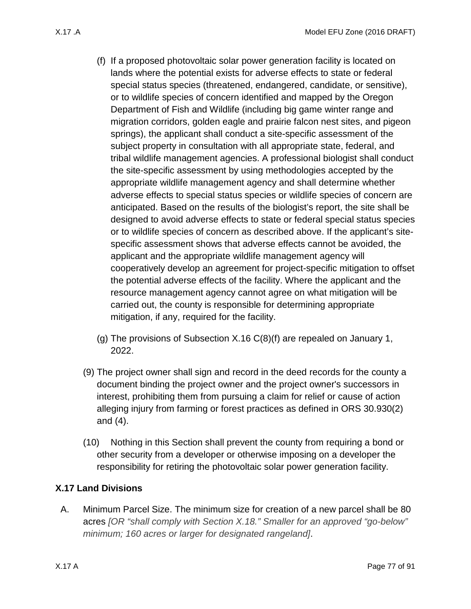- <span id="page-76-0"></span>(f) If a proposed photovoltaic solar power generation facility is located on lands where the potential exists for adverse effects to state or federal special status species (threatened, endangered, candidate, or sensitive), or to wildlife species of concern identified and mapped by the Oregon Department of Fish and Wildlife (including big game winter range and migration corridors, golden eagle and prairie falcon nest sites, and pigeon springs), the applicant shall conduct a site-specific assessment of the subject property in consultation with all appropriate state, federal, and tribal wildlife management agencies. A professional biologist shall conduct the site-specific assessment by using methodologies accepted by the appropriate wildlife management agency and shall determine whether adverse effects to special status species or wildlife species of concern are anticipated. Based on the results of the biologist's report, the site shall be designed to avoid adverse effects to state or federal special status species or to wildlife species of concern as described above. If the applicant's sitespecific assessment shows that adverse effects cannot be avoided, the applicant and the appropriate wildlife management agency will cooperatively develop an agreement for project-specific mitigation to offset the potential adverse effects of the facility. Where the applicant and the resource management agency cannot agree on what mitigation will be carried out, the county is responsible for determining appropriate mitigation, if any, required for the facility.
- (g) The provisions of Subsection [X.16 C\(8\)\(f\)](#page-76-0) are repealed on January 1, 2022.
- (9) The project owner shall sign and record in the deed records for the county a document binding the project owner and the project owner's successors in interest, prohibiting them from pursuing a claim for relief or cause of action alleging injury from farming or forest practices as defined in ORS 30.930(2) and (4).
- (10) Nothing in this Section shall prevent the county from requiring a bond or other security from a developer or otherwise imposing on a developer the responsibility for retiring the photovoltaic solar power generation facility.

## <span id="page-76-2"></span>**X.17 Land Divisions**

<span id="page-76-1"></span>A. Minimum Parcel Size. The minimum size for creation of a new parcel shall be 80 acres *[OR "shall comply with Section X.18." Smaller for an approved "go-below" minimum; 160 acres or larger for designated rangeland]*.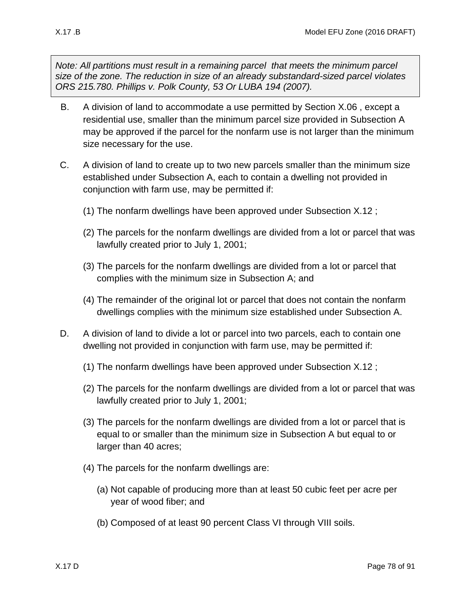*Note: All partitions must result in a remaining parcel that meets the minimum parcel size of the zone. The reduction in size of an already substandard-sized parcel violates ORS 215.780. Phillips v. Polk County, 53 Or LUBA 194 (2007).*

- <span id="page-77-0"></span>B. A division of land to accommodate a use permitted by Section [X.06 ,](#page-14-0) except a residential use, smaller than the minimum parcel size provided in Subsection [A](#page-76-1) may be approved if the parcel for the nonfarm use is not larger than the minimum size necessary for the use.
- <span id="page-77-1"></span>C. A division of land to create up to two new parcels smaller than the minimum size established under Subsection [A,](#page-76-1) each to contain a dwelling not provided in conjunction with farm use, may be permitted if:
	- (1) The nonfarm dwellings have been approved under Subsection [X.12 ;](#page-49-0)
	- (2) The parcels for the nonfarm dwellings are divided from a lot or parcel that was lawfully created prior to July 1, 2001;
	- (3) The parcels for the nonfarm dwellings are divided from a lot or parcel that complies with the minimum size in Subsection [A;](#page-76-1) and
	- (4) The remainder of the original lot or parcel that does not contain the nonfarm dwellings complies with the minimum size established under Subsection [A.](#page-76-1)
- <span id="page-77-2"></span>D. A division of land to divide a lot or parcel into two parcels, each to contain one dwelling not provided in conjunction with farm use, may be permitted if:
	- (1) The nonfarm dwellings have been approved under Subsection [X.12 ;](#page-49-0)
	- (2) The parcels for the nonfarm dwellings are divided from a lot or parcel that was lawfully created prior to July 1, 2001;
	- (3) The parcels for the nonfarm dwellings are divided from a lot or parcel that is equal to or smaller than the minimum size in Subsection A but equal to or larger than 40 acres;
	- (4) The parcels for the nonfarm dwellings are:
		- (a) Not capable of producing more than at least 50 cubic feet per acre per year of wood fiber; and
		- (b) Composed of at least 90 percent Class VI through VIII soils.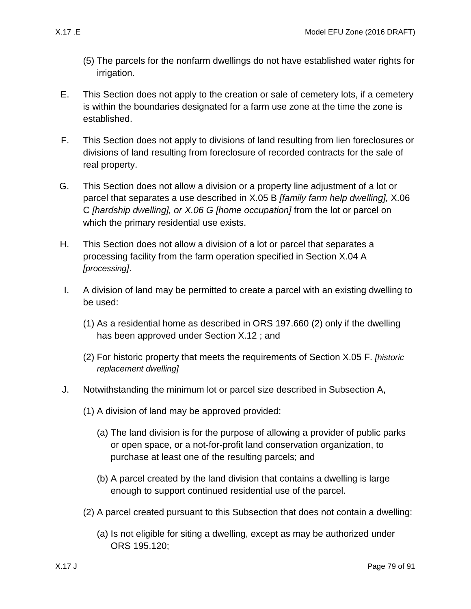- (5) The parcels for the nonfarm dwellings do not have established water rights for irrigation.
- E. This Section does not apply to the creation or sale of cemetery lots, if a cemetery is within the boundaries designated for a farm use zone at the time the zone is established.
- F. This Section does not apply to divisions of land resulting from lien foreclosures or divisions of land resulting from foreclosure of recorded contracts for the sale of real property.
- G. This Section does not allow a division or a property line adjustment of a lot or parcel that separates a use described in [X.05 B](#page-13-0) *[family farm help dwelling],* [X.06](#page-14-1)  [C](#page-14-1) *[hardship dwelling], or X.06 G [home occupation]* from the lot or parcel on which the primary residential use exists.
- H. This Section does not allow a division of a lot or parcel that separates a processing facility from the farm operation specified in Section [X.04 A](#page-12-0) *[processing]*.
- <span id="page-78-0"></span>I. A division of land may be permitted to create a parcel with an existing dwelling to be used:
	- (1) As a residential home as described in ORS 197.660 (2) only if the dwelling has been approved under Section [X.12 ;](#page-49-0) and
	- (2) For historic property that meets the requirements of Section [X.05 F.](#page-14-2) *[historic replacement dwelling]*
- <span id="page-78-1"></span>J. Notwithstanding the minimum lot or parcel size described in Subsection [A,](#page-76-1)
	- (1) A division of land may be approved provided:
		- (a) The land division is for the purpose of allowing a provider of public parks or open space, or a not-for-profit land conservation organization, to purchase at least one of the resulting parcels; and
		- (b) A parcel created by the land division that contains a dwelling is large enough to support continued residential use of the parcel.
	- (2) A parcel created pursuant to this Subsection that does not contain a dwelling:
		- (a) Is not eligible for siting a dwelling, except as may be authorized under ORS 195.120;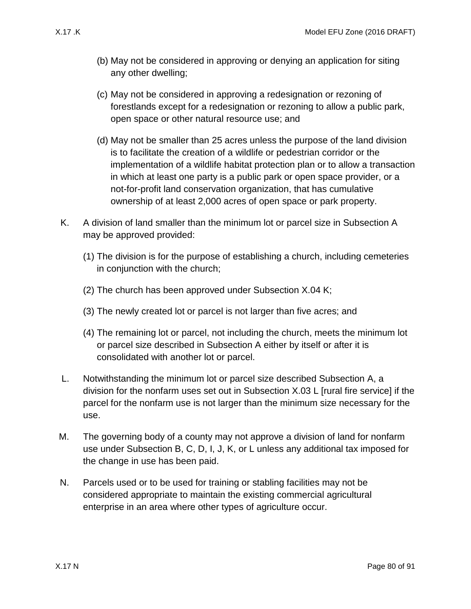- (b) May not be considered in approving or denying an application for siting any other dwelling;
- (c) May not be considered in approving a redesignation or rezoning of forestlands except for a redesignation or rezoning to allow a public park, open space or other natural resource use; and
- (d) May not be smaller than 25 acres unless the purpose of the land division is to facilitate the creation of a wildlife or pedestrian corridor or the implementation of a wildlife habitat protection plan or to allow a transaction in which at least one party is a public park or open space provider, or a not-for-profit land conservation organization, that has cumulative ownership of at least 2,000 acres of open space or park property.
- <span id="page-79-0"></span>K. A division of land smaller than the minimum lot or parcel size in Subsection [A](#page-76-1) may be approved provided:
	- (1) The division is for the purpose of establishing a church, including cemeteries in conjunction with the church;
	- (2) The church has been approved under Subsection [X.04 K;](#page-13-1)
	- (3) The newly created lot or parcel is not larger than five acres; and
	- (4) The remaining lot or parcel, not including the church, meets the minimum lot or parcel size described in Subsection [A](#page-76-1) either by itself or after it is consolidated with another lot or parcel.
- <span id="page-79-1"></span>L. Notwithstanding the minimum lot or parcel size described Subsection [A,](#page-76-1) a division for the nonfarm uses set out in Subsection [X.03 L](#page-12-1) [rural fire service] if the parcel for the nonfarm use is not larger than the minimum size necessary for the use.
- M. The governing body of a county may not approve a division of land for nonfarm use under Subsection [B,](#page-77-0) [C,](#page-77-1) [D,](#page-77-2) [I,](#page-78-0) [J,](#page-78-1) [K,](#page-79-0) or [L](#page-79-1) unless any additional tax imposed for the change in use has been paid.
- N. Parcels used or to be used for training or stabling facilities may not be considered appropriate to maintain the existing commercial agricultural enterprise in an area where other types of agriculture occur.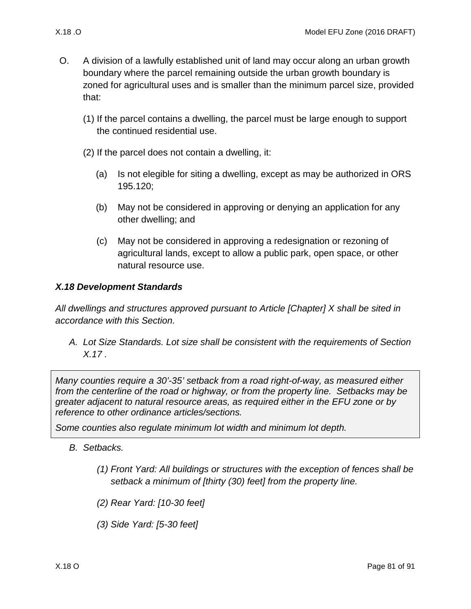- O. A division of a lawfully established unit of land may occur along an urban growth boundary where the parcel remaining outside the urban growth boundary is zoned for agricultural uses and is smaller than the minimum parcel size, provided that:
	- (1) If the parcel contains a dwelling, the parcel must be large enough to support the continued residential use.
	- (2) If the parcel does not contain a dwelling, it:
		- (a) Is not elegible for siting a dwelling, except as may be authorized in ORS 195.120;
		- (b) May not be considered in approving or denying an application for any other dwelling; and
		- (c) May not be considered in approving a redesignation or rezoning of agricultural lands, except to allow a public park, open space, or other natural resource use.

## *X.18 Development Standards*

*All dwellings and structures approved pursuant to Article [Chapter] X shall be sited in accordance with this Section.*

*A. Lot Size Standards. Lot size shall be consistent with the requirements of Section [X.17 .](#page-76-2)*

*Many counties require a 30'-35' setback from a road right-of-way, as measured either from the centerline of the road or highway, or from the property line. Setbacks may be greater adjacent to natural resource areas, as required either in the EFU zone or by reference to other ordinance articles/sections.*

*Some counties also regulate minimum lot width and minimum lot depth.*

- *B. Setbacks.* 
	- *(1) Front Yard: All buildings or structures with the exception of fences shall be setback a minimum of [thirty (30) feet] from the property line.*
	- *(2) Rear Yard: [10-30 feet]*
	- *(3) Side Yard: [5-30 feet]*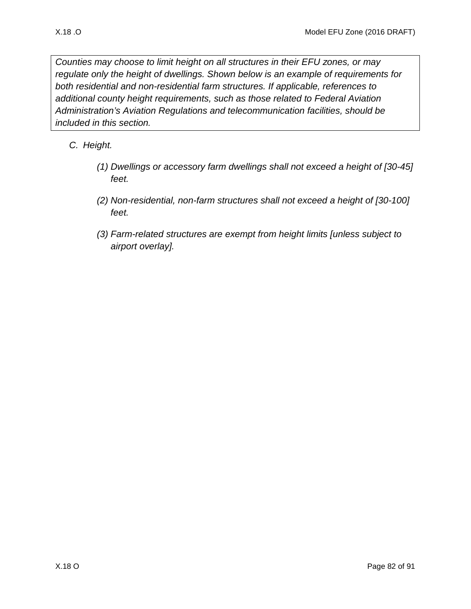*Counties may choose to limit height on all structures in their EFU zones, or may regulate only the height of dwellings. Shown below is an example of requirements for both residential and non-residential farm structures. If applicable, references to additional county height requirements, such as those related to Federal Aviation Administration's Aviation Regulations and telecommunication facilities, should be included in this section.*

- *C. Height.* 
	- *(1) Dwellings or accessory farm dwellings shall not exceed a height of [30-45] feet.*
	- *(2) Non-residential, non-farm structures shall not exceed a height of [30-100] feet.*
	- *(3) Farm-related structures are exempt from height limits [unless subject to airport overlay].*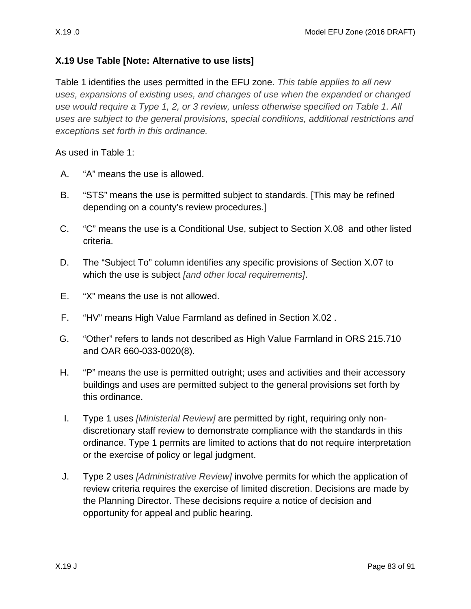## **X.19 Use Table [Note: Alternative to use lists]**

Table 1 identifies the uses permitted in the EFU zone. *This table applies to all new uses, expansions of existing uses, and changes of use when the expanded or changed use would require a Type 1, 2, or 3 review, unless otherwise specified on Table 1. All uses are subject to the general provisions, special conditions, additional restrictions and exceptions set forth in this ordinance.* 

As used in Table 1:

- A. "A" means the use is allowed.
- B. "STS" means the use is permitted subject to standards. [This may be refined depending on a county's review procedures.]
- C. "C" means the use is a Conditional Use, subject to Section [X.08](#page-36-0) and other listed criteria.
- D. The "Subject To" column identifies any specific provisions of Section [X.07 t](#page-17-0)o which the use is subject *[and other local requirements]*.
- E. "X" means the use is not allowed.
- F. "HV" means High Value Farmland as defined in Section [X.02 .](#page-1-0)
- G. "Other" refers to lands not described as High Value Farmland in ORS 215.710 and OAR 660-033-0020(8).
- H. "P" means the use is permitted outright; uses and activities and their accessory buildings and uses are permitted subject to the general provisions set forth by this ordinance.
- I. Type 1 uses *[Ministerial Review]* are permitted by right, requiring only nondiscretionary staff review to demonstrate compliance with the standards in this ordinance. Type 1 permits are limited to actions that do not require interpretation or the exercise of policy or legal judgment.
- J. Type 2 uses *[Administrative Review]* involve permits for which the application of review criteria requires the exercise of limited discretion. Decisions are made by the Planning Director. These decisions require a notice of decision and opportunity for appeal and public hearing.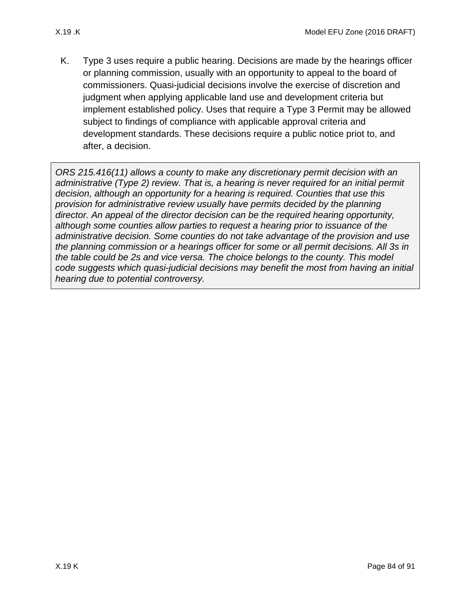K. Type 3 uses require a public hearing. Decisions are made by the hearings officer or planning commission, usually with an opportunity to appeal to the board of commissioners. Quasi-judicial decisions involve the exercise of discretion and judgment when applying applicable land use and development criteria but implement established policy. Uses that require a Type 3 Permit may be allowed subject to findings of compliance with applicable approval criteria and development standards. These decisions require a public notice priot to, and after, a decision.

*ORS 215.416(11) allows a county to make any discretionary permit decision with an administrative (Type 2) review. That is, a hearing is never required for an initial permit decision, although an opportunity for a hearing is required. Counties that use this provision for administrative review usually have permits decided by the planning director. An appeal of the director decision can be the required hearing opportunity, although some counties allow parties to request a hearing prior to issuance of the administrative decision. Some counties do not take advantage of the provision and use the planning commission or a hearings officer for some or all permit decisions. All 3s in the table could be 2s and vice versa. The choice belongs to the county. This model code suggests which quasi-judicial decisions may benefit the most from having an initial hearing due to potential controversy.*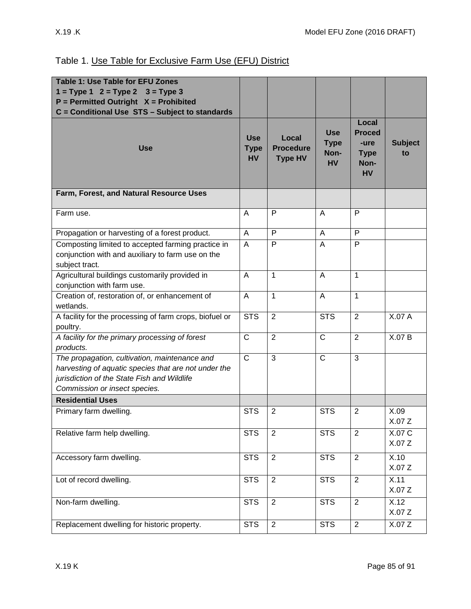| <b>Table 1: Use Table for EFU Zones</b>                                                                                                                                               |                                        |                                             |                                                |                                                                    |                      |
|---------------------------------------------------------------------------------------------------------------------------------------------------------------------------------------|----------------------------------------|---------------------------------------------|------------------------------------------------|--------------------------------------------------------------------|----------------------|
| $1 = Type 1$ $2 = Type 2$ $3 = Type 3$                                                                                                                                                |                                        |                                             |                                                |                                                                    |                      |
| $P = Permitted$ Outright $X = Prohibited$                                                                                                                                             |                                        |                                             |                                                |                                                                    |                      |
| C = Conditional Use STS - Subject to standards                                                                                                                                        |                                        |                                             |                                                |                                                                    |                      |
| <b>Use</b>                                                                                                                                                                            | <b>Use</b><br><b>Type</b><br><b>HV</b> | Local<br><b>Procedure</b><br><b>Type HV</b> | <b>Use</b><br><b>Type</b><br>Non-<br><b>HV</b> | Local<br><b>Proced</b><br>-ure<br><b>Type</b><br>Non-<br><b>HV</b> | <b>Subject</b><br>to |
| Farm, Forest, and Natural Resource Uses                                                                                                                                               |                                        |                                             |                                                |                                                                    |                      |
| Farm use.                                                                                                                                                                             | A                                      | P                                           | A                                              | P                                                                  |                      |
| Propagation or harvesting of a forest product.                                                                                                                                        | A                                      | P                                           | A                                              | P                                                                  |                      |
| Composting limited to accepted farming practice in<br>conjunction with and auxiliary to farm use on the<br>subject tract.                                                             | A                                      | P                                           | A                                              | P                                                                  |                      |
| Agricultural buildings customarily provided in<br>conjunction with farm use.                                                                                                          | A                                      | 1                                           | A                                              | $\mathbf{1}$                                                       |                      |
| Creation of, restoration of, or enhancement of<br>wetlands.                                                                                                                           | A                                      | 1                                           | A                                              | $\mathbf{1}$                                                       |                      |
| A facility for the processing of farm crops, biofuel or<br>poultry.                                                                                                                   | <b>STS</b>                             | $\overline{2}$                              | $\overline{\text{STS}}$                        | $\overline{2}$                                                     | X.07A                |
| A facility for the primary processing of forest<br>products.                                                                                                                          | $\overline{C}$                         | $\overline{2}$                              | $\overline{C}$                                 | $\overline{2}$                                                     | X.07 B               |
| The propagation, cultivation, maintenance and<br>harvesting of aquatic species that are not under the<br>jurisdiction of the State Fish and Wildlife<br>Commission or insect species. | $\mathsf{C}$                           | 3                                           | $\overline{C}$                                 | 3                                                                  |                      |
| <b>Residential Uses</b>                                                                                                                                                               |                                        |                                             |                                                |                                                                    |                      |
| Primary farm dwelling.                                                                                                                                                                | <b>STS</b>                             | $\overline{2}$                              | <b>STS</b>                                     | $\overline{2}$                                                     | X.09<br>X.07 Z       |
| Relative farm help dwelling.                                                                                                                                                          | <b>STS</b>                             | $\overline{2}$                              | <b>STS</b>                                     | 2                                                                  | X.07 C<br>X.07Z      |
| Accessory farm dwelling.                                                                                                                                                              | $\overline{\text{STS}}$                | $\overline{2}$                              | <b>STS</b>                                     | $\overline{2}$                                                     | X.10<br>X.07Z        |
| Lot of record dwelling.                                                                                                                                                               | <b>STS</b>                             | $\overline{2}$                              | <b>STS</b>                                     | $\overline{2}$                                                     | X.11<br>X.07Z        |
| Non-farm dwelling.                                                                                                                                                                    | <b>STS</b>                             | $\overline{2}$                              | <b>STS</b>                                     | $\overline{2}$                                                     | X.12<br>X.07Z        |
| Replacement dwelling for historic property.                                                                                                                                           | <b>STS</b>                             | $\overline{2}$                              | <b>STS</b>                                     | $\overline{2}$                                                     | X.07Z                |

## Table 1. Use Table for Exclusive Farm Use (EFU) District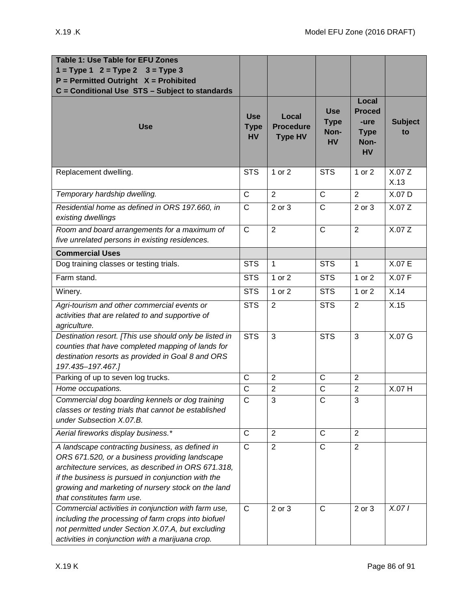| <b>Table 1: Use Table for EFU Zones</b><br>$1 = Type 1$ $2 = Type 2$ $3 = Type 3$<br>$P = Permitted$ Outright $X = Prohibited$<br>C = Conditional Use STS - Subject to standards                                                                                                                   |                                        |                                             |                                                |                                                                    |                      |
|----------------------------------------------------------------------------------------------------------------------------------------------------------------------------------------------------------------------------------------------------------------------------------------------------|----------------------------------------|---------------------------------------------|------------------------------------------------|--------------------------------------------------------------------|----------------------|
| <b>Use</b>                                                                                                                                                                                                                                                                                         | <b>Use</b><br><b>Type</b><br><b>HV</b> | Local<br><b>Procedure</b><br><b>Type HV</b> | <b>Use</b><br><b>Type</b><br>Non-<br><b>HV</b> | Local<br><b>Proced</b><br>-ure<br><b>Type</b><br>Non-<br><b>HV</b> | <b>Subject</b><br>to |
| Replacement dwelling.                                                                                                                                                                                                                                                                              | <b>STS</b>                             | 1 or 2                                      | <b>STS</b>                                     | 1 or 2                                                             | X.07 Z<br>X.13       |
| Temporary hardship dwelling.                                                                                                                                                                                                                                                                       | $\overline{C}$                         | $\overline{2}$                              | $\overline{C}$                                 | $\overline{2}$                                                     | X.07 D               |
| Residential home as defined in ORS 197.660, in<br>existing dwellings                                                                                                                                                                                                                               | $\overline{C}$                         | 2 or 3                                      | $\overline{C}$                                 | 2 or 3                                                             | X.07Z                |
| Room and board arrangements for a maximum of<br>five unrelated persons in existing residences.                                                                                                                                                                                                     | $\mathsf{C}$                           | $\overline{2}$                              | $\mathsf{C}$                                   | $\overline{2}$                                                     | X.07Z                |
| <b>Commercial Uses</b>                                                                                                                                                                                                                                                                             |                                        |                                             |                                                |                                                                    |                      |
| Dog training classes or testing trials.                                                                                                                                                                                                                                                            | <b>STS</b>                             | $\mathbf{1}$                                | <b>STS</b>                                     | $\mathbf{1}$                                                       | X.07 E               |
| Farm stand.                                                                                                                                                                                                                                                                                        | <b>STS</b>                             | 1 or 2                                      | <b>STS</b>                                     | 1 or 2                                                             | X.07 F               |
| Winery.                                                                                                                                                                                                                                                                                            | <b>STS</b>                             | 1 or 2                                      | <b>STS</b>                                     | 1 or 2                                                             | X.14                 |
| Agri-tourism and other commercial events or<br>activities that are related to and supportive of<br>agriculture.                                                                                                                                                                                    | <b>STS</b>                             | 2                                           | <b>STS</b>                                     | $\overline{2}$                                                     | X.15                 |
| Destination resort. [This use should only be listed in<br>counties that have completed mapping of lands for<br>destination resorts as provided in Goal 8 and ORS<br>197.435-197.467.]                                                                                                              | <b>STS</b>                             | 3                                           | <b>STS</b>                                     | 3                                                                  | X.07 G               |
| Parking of up to seven log trucks.                                                                                                                                                                                                                                                                 | $\mathsf{C}$                           | $\overline{2}$                              | $\mathsf{C}$                                   | $\overline{2}$                                                     |                      |
| Home occupations.                                                                                                                                                                                                                                                                                  | $\mathsf{C}$                           | $\overline{2}$                              | $\mathsf{C}$                                   | $\overline{2}$                                                     | X.07 H               |
| Commercial dog boarding kennels or dog training<br>classes or testing trials that cannot be established<br>under Subsection X.07.B.                                                                                                                                                                | $\mathsf{C}$                           | 3                                           | C                                              | 3                                                                  |                      |
| Aerial fireworks display business.*                                                                                                                                                                                                                                                                | $\mathsf C$                            | $\overline{2}$                              | $\mathsf{C}$                                   | $\overline{2}$                                                     |                      |
| A landscape contracting business, as defined in<br>ORS 671.520, or a business providing landscape<br>architecture services, as described in ORS 671.318,<br>if the business is pursued in conjunction with the<br>growing and marketing of nursery stock on the land<br>that constitutes farm use. | $\mathsf{C}$                           | $\overline{2}$                              | $\mathsf C$                                    | $\overline{2}$                                                     |                      |
| Commercial activities in conjunction with farm use,<br>including the processing of farm crops into biofuel<br>not permitted under Section X.07.A, but excluding<br>activities in conjunction with a marijuana crop.                                                                                | $\mathsf{C}$                           | 2 or 3                                      | $\mathsf{C}$                                   | 2 or 3                                                             | X.071                |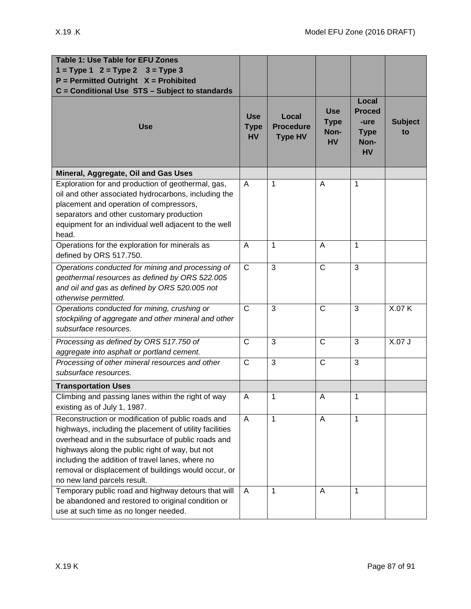| <b>Table 1: Use Table for EFU Zones</b><br>$1 = Type 1$ $2 = Type 2$ $3 = Type 3$<br>$P = Permitted$ Outright $X = Prohibited$<br>C = Conditional Use STS - Subject to standards                                                                                                                                                                                                                                         |                                           |                                             |                                                |                                                                    |                      |
|--------------------------------------------------------------------------------------------------------------------------------------------------------------------------------------------------------------------------------------------------------------------------------------------------------------------------------------------------------------------------------------------------------------------------|-------------------------------------------|---------------------------------------------|------------------------------------------------|--------------------------------------------------------------------|----------------------|
| <b>Use</b>                                                                                                                                                                                                                                                                                                                                                                                                               | <b>Use</b><br><b>Type</b><br><b>HV</b>    | Local<br><b>Procedure</b><br><b>Type HV</b> | <b>Use</b><br><b>Type</b><br>Non-<br><b>HV</b> | Local<br><b>Proced</b><br>-ure<br><b>Type</b><br>Non-<br><b>HV</b> | <b>Subject</b><br>to |
| Mineral, Aggregate, Oil and Gas Uses                                                                                                                                                                                                                                                                                                                                                                                     |                                           |                                             |                                                |                                                                    |                      |
| Exploration for and production of geothermal, gas,<br>oil and other associated hydrocarbons, including the<br>placement and operation of compressors,<br>separators and other customary production<br>equipment for an individual well adjacent to the well<br>head.                                                                                                                                                     | $\overline{A}$                            | 1                                           | A                                              | 1                                                                  |                      |
| Operations for the exploration for minerals as<br>defined by ORS 517.750.                                                                                                                                                                                                                                                                                                                                                | $\overline{A}$                            | 1                                           | A                                              | $\mathbf{1}$                                                       |                      |
| Operations conducted for mining and processing of<br>geothermal resources as defined by ORS 522.005<br>and oil and gas as defined by ORS 520.005 not<br>otherwise permitted.                                                                                                                                                                                                                                             | $\overline{C}$                            | 3                                           | $\mathsf{C}$                                   | 3                                                                  |                      |
| Operations conducted for mining, crushing or<br>stockpiling of aggregate and other mineral and other<br>subsurface resources.                                                                                                                                                                                                                                                                                            | $\mathsf{C}$                              | 3                                           | $\mathsf{C}$                                   | 3                                                                  | X.07 K               |
| Processing as defined by ORS 517.750 of<br>aggregate into asphalt or portland cement.                                                                                                                                                                                                                                                                                                                                    | $\overline{C}$                            | 3                                           | $\mathsf{C}$                                   | 3                                                                  | X.07J                |
| Processing of other mineral resources and other<br>subsurface resources.                                                                                                                                                                                                                                                                                                                                                 | $\mathsf{C}$                              | 3                                           | $\mathsf C$                                    | 3                                                                  |                      |
| <b>Transportation Uses</b>                                                                                                                                                                                                                                                                                                                                                                                               |                                           |                                             |                                                |                                                                    |                      |
| Climbing and passing lanes within the right of way<br>existing as of July 1, 1987.                                                                                                                                                                                                                                                                                                                                       | A                                         | $\mathbf 1$                                 | A                                              | 1                                                                  |                      |
| Reconstruction or modification of public roads and<br>highways, including the placement of utility facilities<br>overhead and in the subsurface of public roads and<br>highways along the public right of way, but not<br>including the addition of travel lanes, where no<br>removal or displacement of buildings would occur, or<br>no new land parcels result.<br>Temporary public road and highway detours that will | $\overline{\mathsf{A}}$<br>$\overline{A}$ | 1<br>1                                      | A<br>A                                         | $\mathbf 1$<br>$\mathbf 1$                                         |                      |
| be abandoned and restored to original condition or<br>use at such time as no longer needed.                                                                                                                                                                                                                                                                                                                              |                                           |                                             |                                                |                                                                    |                      |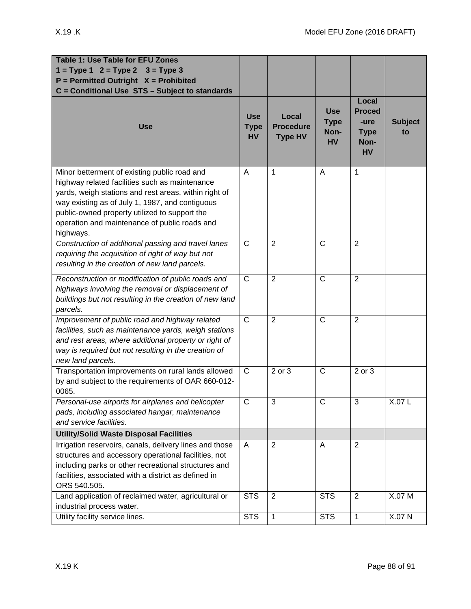| <b>Table 1: Use Table for EFU Zones</b><br>$1 = Type 1$ $2 = Type 2$ $3 = Type 3$<br>$P = Permitted$ Outright $X = Prohibited$                                                                                                                                                                                            |                                        |                                             |                                                |                                                                    |                      |
|---------------------------------------------------------------------------------------------------------------------------------------------------------------------------------------------------------------------------------------------------------------------------------------------------------------------------|----------------------------------------|---------------------------------------------|------------------------------------------------|--------------------------------------------------------------------|----------------------|
| C = Conditional Use STS - Subject to standards<br><b>Use</b>                                                                                                                                                                                                                                                              | <b>Use</b><br><b>Type</b><br><b>HV</b> | Local<br><b>Procedure</b><br><b>Type HV</b> | <b>Use</b><br><b>Type</b><br>Non-<br><b>HV</b> | Local<br><b>Proced</b><br>-ure<br><b>Type</b><br>Non-<br><b>HV</b> | <b>Subject</b><br>to |
| Minor betterment of existing public road and<br>highway related facilities such as maintenance<br>yards, weigh stations and rest areas, within right of<br>way existing as of July 1, 1987, and contiguous<br>public-owned property utilized to support the<br>operation and maintenance of public roads and<br>highways. | A                                      | 1                                           | A                                              | 1                                                                  |                      |
| Construction of additional passing and travel lanes<br>requiring the acquisition of right of way but not<br>resulting in the creation of new land parcels.                                                                                                                                                                | $\mathsf{C}$                           | 2                                           | $\mathsf{C}$                                   | $\overline{2}$                                                     |                      |
| Reconstruction or modification of public roads and<br>highways involving the removal or displacement of<br>buildings but not resulting in the creation of new land<br>parcels.                                                                                                                                            | $\mathsf{C}$                           | $\overline{2}$                              | $\mathsf{C}$                                   | $\overline{2}$                                                     |                      |
| Improvement of public road and highway related<br>facilities, such as maintenance yards, weigh stations<br>and rest areas, where additional property or right of<br>way is required but not resulting in the creation of<br>new land parcels.                                                                             | $\mathsf{C}$                           | $\overline{2}$                              | $\mathsf{C}$                                   | $\overline{2}$                                                     |                      |
| Transportation improvements on rural lands allowed<br>by and subject to the requirements of OAR 660-012-<br>0065.                                                                                                                                                                                                         | $\mathsf{C}$                           | 2 or 3                                      | $\mathsf{C}$                                   | 2 or 3                                                             |                      |
| Personal-use airports for airplanes and helicopter<br>pads, including associated hangar, maintenance<br>and service facilities.                                                                                                                                                                                           | $\mathsf{C}$                           | 3                                           | C                                              | 3                                                                  | X.07L                |
| <b>Utility/Solid Waste Disposal Facilities</b>                                                                                                                                                                                                                                                                            |                                        |                                             |                                                |                                                                    |                      |
| Irrigation reservoirs, canals, delivery lines and those<br>structures and accessory operational facilities, not<br>including parks or other recreational structures and<br>facilities, associated with a district as defined in<br>ORS 540.505.                                                                           | A                                      | 2                                           | A                                              | 2                                                                  |                      |
| Land application of reclaimed water, agricultural or<br>industrial process water.                                                                                                                                                                                                                                         | <b>STS</b>                             | 2                                           | <b>STS</b>                                     | 2                                                                  | X.07 M               |
| Utility facility service lines.                                                                                                                                                                                                                                                                                           | <b>STS</b>                             | 1                                           | <b>STS</b>                                     | $\mathbf{1}$                                                       | X.07 N               |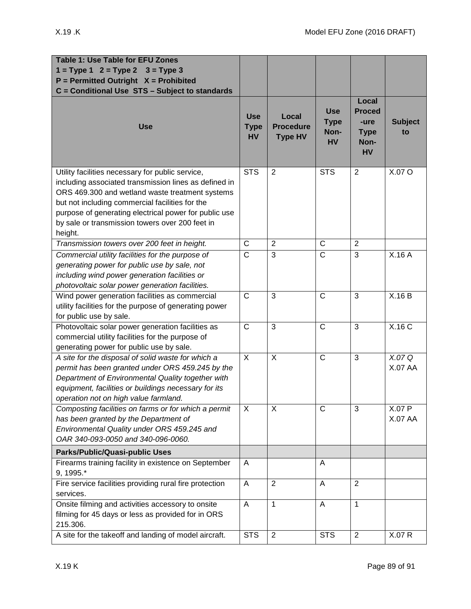| <b>Table 1: Use Table for EFU Zones</b><br>$1 = Type 1$ $2 = Type 2$ $3 = Type 3$<br>$P = Permitted$ Outright $X = Prohibited$                                                                                                                                                                                                         |                                        |                                             |                                                |                                                                    |                          |
|----------------------------------------------------------------------------------------------------------------------------------------------------------------------------------------------------------------------------------------------------------------------------------------------------------------------------------------|----------------------------------------|---------------------------------------------|------------------------------------------------|--------------------------------------------------------------------|--------------------------|
| C = Conditional Use STS - Subject to standards<br><b>Use</b>                                                                                                                                                                                                                                                                           | <b>Use</b><br><b>Type</b><br><b>HV</b> | Local<br><b>Procedure</b><br><b>Type HV</b> | <b>Use</b><br><b>Type</b><br>Non-<br><b>HV</b> | Local<br><b>Proced</b><br>-ure<br><b>Type</b><br>Non-<br><b>HV</b> | <b>Subject</b><br>to     |
| Utility facilities necessary for public service,<br>including associated transmission lines as defined in<br>ORS 469.300 and wetland waste treatment systems<br>but not including commercial facilities for the<br>purpose of generating electrical power for public use<br>by sale or transmission towers over 200 feet in<br>height. | <b>STS</b>                             | $\overline{2}$                              | $\overline{\text{STS}}$                        | $\overline{2}$                                                     | X.07 O                   |
| Transmission towers over 200 feet in height.                                                                                                                                                                                                                                                                                           | $\mathsf{C}$                           | $\overline{2}$                              | $\mathsf{C}$                                   | 2                                                                  |                          |
| Commercial utility facilities for the purpose of<br>generating power for public use by sale, not<br>including wind power generation facilities or<br>photovoltaic solar power generation facilities.                                                                                                                                   | $\overline{C}$                         | $\overline{3}$                              | $\overline{\text{c}}$                          | 3                                                                  | X.16A                    |
| Wind power generation facilities as commercial<br>utility facilities for the purpose of generating power<br>for public use by sale.                                                                                                                                                                                                    | $\mathsf{C}$                           | 3                                           | $\mathsf{C}$                                   | 3                                                                  | X.16B                    |
| Photovoltaic solar power generation facilities as<br>commercial utility facilities for the purpose of<br>generating power for public use by sale.                                                                                                                                                                                      | $\mathsf{C}$                           | 3                                           | $\mathsf{C}$                                   | 3                                                                  | X.16 C                   |
| A site for the disposal of solid waste for which a<br>permit has been granted under ORS 459.245 by the<br>Department of Environmental Quality together with<br>equipment, facilities or buildings necessary for its<br>operation not on high value farmland.                                                                           | $\boldsymbol{\mathsf{X}}$              | X                                           | $\mathsf{C}$                                   | 3                                                                  | X.07 Q<br><b>X.07 AA</b> |
| Composting facilities on farms or for which a permit<br>has been granted by the Department of<br>Environmental Quality under ORS 459.245 and<br>OAR 340-093-0050 and 340-096-0060.                                                                                                                                                     | X                                      | X                                           | $\mathsf{C}$                                   | 3                                                                  | X.07 P<br><b>X.07 AA</b> |
| Parks/Public/Quasi-public Uses                                                                                                                                                                                                                                                                                                         |                                        |                                             |                                                |                                                                    |                          |
| Firearms training facility in existence on September<br>9, 1995.*                                                                                                                                                                                                                                                                      | A                                      |                                             | A                                              |                                                                    |                          |
| Fire service facilities providing rural fire protection<br>services.                                                                                                                                                                                                                                                                   | A                                      | $\overline{2}$                              | A                                              | 2                                                                  |                          |
| Onsite filming and activities accessory to onsite<br>filming for 45 days or less as provided for in ORS<br>215.306.                                                                                                                                                                                                                    | A                                      | $\mathbf{1}$                                | A                                              | $\mathbf{1}$                                                       |                          |
| A site for the takeoff and landing of model aircraft.                                                                                                                                                                                                                                                                                  | <b>STS</b>                             | $\overline{2}$                              | <b>STS</b>                                     | $\overline{2}$                                                     | X.07 R                   |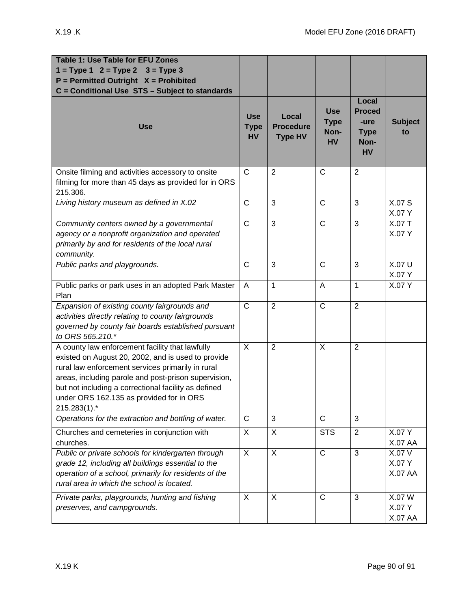| Table 1: Use Table for EFU Zones<br>$1 = Type 1$ $2 = Type 2$ $3 = Type 3$<br>$P = Permitted$ Outright $X = Prohibited$<br>C = Conditional Use STS - Subject to standards                                                                                                                                                              |                                        |                                             |                                                |                                                                    |                                    |
|----------------------------------------------------------------------------------------------------------------------------------------------------------------------------------------------------------------------------------------------------------------------------------------------------------------------------------------|----------------------------------------|---------------------------------------------|------------------------------------------------|--------------------------------------------------------------------|------------------------------------|
| <b>Use</b>                                                                                                                                                                                                                                                                                                                             | <b>Use</b><br><b>Type</b><br><b>HV</b> | Local<br><b>Procedure</b><br><b>Type HV</b> | <b>Use</b><br><b>Type</b><br>Non-<br><b>HV</b> | Local<br><b>Proced</b><br>-ure<br><b>Type</b><br>Non-<br><b>HV</b> | <b>Subject</b><br>to               |
| Onsite filming and activities accessory to onsite<br>filming for more than 45 days as provided for in ORS<br>215.306.                                                                                                                                                                                                                  | $\mathsf{C}$                           | $\overline{2}$                              | $\mathsf{C}$                                   | $\overline{2}$                                                     |                                    |
| Living history museum as defined in X.02                                                                                                                                                                                                                                                                                               | $\mathsf{C}$                           | 3                                           | $\mathsf{C}$                                   | 3                                                                  | X.07 S<br>X.07 Y                   |
| Community centers owned by a governmental<br>agency or a nonprofit organization and operated<br>primarily by and for residents of the local rural<br>community.                                                                                                                                                                        | $\overline{C}$                         | 3                                           | $\overline{C}$                                 | 3                                                                  | X.07 T<br>X.07 Y                   |
| Public parks and playgrounds.                                                                                                                                                                                                                                                                                                          | $\mathsf{C}$                           | 3                                           | $\overline{C}$                                 | 3                                                                  | X.07 U<br>X.07 Y                   |
| Public parks or park uses in an adopted Park Master<br>Plan                                                                                                                                                                                                                                                                            | A                                      | $\mathbf{1}$                                | A                                              | $\mathbf{1}$                                                       | X.07 Y                             |
| Expansion of existing county fairgrounds and<br>activities directly relating to county fairgrounds<br>governed by county fair boards established pursuant<br>to ORS 565.210.*                                                                                                                                                          | $\overline{\text{c}}$                  | $\overline{2}$                              | $\overline{C}$                                 | $\overline{2}$                                                     |                                    |
| A county law enforcement facility that lawfully<br>existed on August 20, 2002, and is used to provide<br>rural law enforcement services primarily in rural<br>areas, including parole and post-prison supervision,<br>but not including a correctional facility as defined<br>under ORS 162.135 as provided for in ORS<br>215.283(1).* | X                                      | $\overline{2}$                              | X                                              | $\overline{2}$                                                     |                                    |
| Operations for the extraction and bottling of water.                                                                                                                                                                                                                                                                                   | $\mathsf{C}$                           | 3                                           | $\mathsf{C}$                                   | 3                                                                  |                                    |
| Churches and cemeteries in conjunction with<br>churches.                                                                                                                                                                                                                                                                               | X                                      | X                                           | <b>STS</b>                                     | $\overline{2}$                                                     | X.07 Y<br><b>X.07 AA</b>           |
| Public or private schools for kindergarten through<br>grade 12, including all buildings essential to the<br>operation of a school, primarily for residents of the<br>rural area in which the school is located.                                                                                                                        | X                                      | X                                           | $\overline{C}$                                 | 3                                                                  | X.07 V<br>X.07 Y<br><b>X.07 AA</b> |
| Private parks, playgrounds, hunting and fishing<br>preserves, and campgrounds.                                                                                                                                                                                                                                                         | X                                      | X                                           | $\mathsf{C}$                                   | 3                                                                  | X.07 W<br>X.07 Y<br>X.07 AA        |